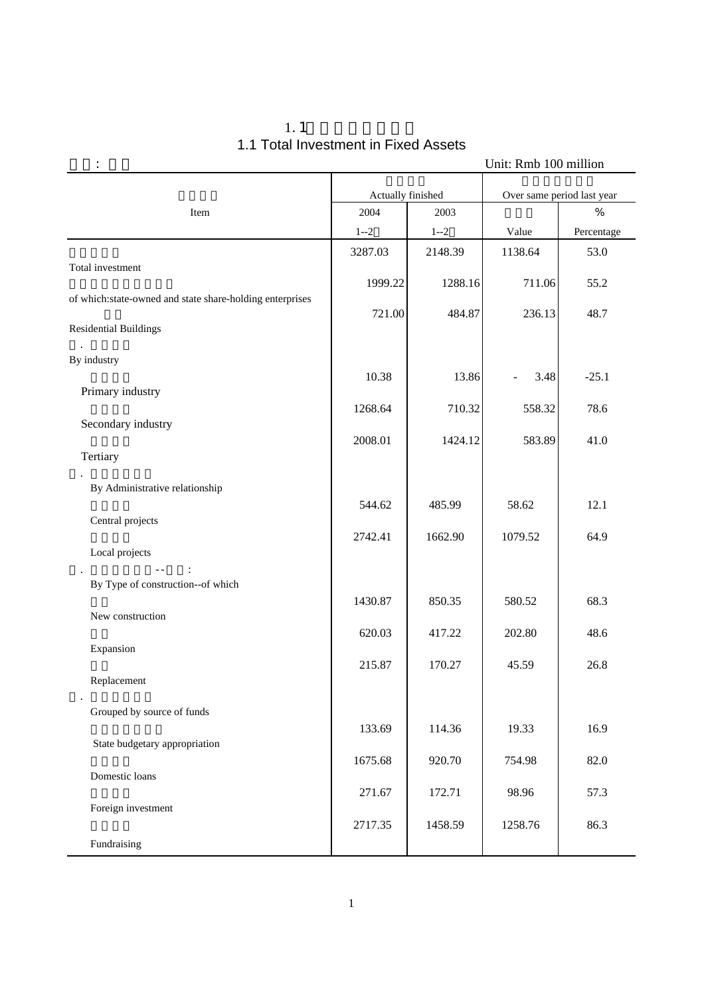|                                                          |                   |         | Unit: Rmb 100 million      |            |  |
|----------------------------------------------------------|-------------------|---------|----------------------------|------------|--|
|                                                          | Actually finished |         | Over same period last year |            |  |
| Item                                                     | 2004              | 2003    |                            | %          |  |
|                                                          | $1 - 2$           | $1 - 2$ | Value                      | Percentage |  |
|                                                          | 3287.03           | 2148.39 | 1138.64                    | 53.0       |  |
| Total investment                                         | 1999.22           | 1288.16 | 711.06                     | 55.2       |  |
| of which:state-owned and state share-holding enterprises |                   |         |                            |            |  |
| <b>Residential Buildings</b>                             | 721.00            | 484.87  | 236.13                     | 48.7       |  |
| By industry                                              |                   |         |                            |            |  |
|                                                          | 10.38             | 13.86   | 3.48                       | $-25.1$    |  |
| Primary industry                                         | 1268.64           | 710.32  | 558.32                     | 78.6       |  |
| Secondary industry                                       |                   |         |                            |            |  |
| Tertiary                                                 | 2008.01           | 1424.12 | 583.89                     | 41.0       |  |
|                                                          |                   |         |                            |            |  |
| By Administrative relationship                           |                   |         |                            |            |  |
| Central projects                                         | 544.62            | 485.99  | 58.62                      | 12.1       |  |
|                                                          | 2742.41           | 1662.90 | 1079.52                    | 64.9       |  |
| Local projects                                           |                   |         |                            |            |  |
| By Type of construction--of which                        |                   |         |                            |            |  |
|                                                          | 1430.87           | 850.35  | 580.52                     | 68.3       |  |
| New construction                                         | 620.03            | 417.22  | 202.80                     | 48.6       |  |
| Expansion                                                |                   |         |                            |            |  |
| Replacement                                              | 215.87            | 170.27  | 45.59                      | 26.8       |  |
|                                                          |                   |         |                            |            |  |
| Grouped by source of funds                               |                   |         |                            |            |  |
| State budgetary appropriation                            | 133.69            | 114.36  | 19.33                      | 16.9       |  |
|                                                          | 1675.68           | 920.70  | 754.98                     | 82.0       |  |
| Domestic loans                                           | 271.67            | 172.71  | 98.96                      | 57.3       |  |
| Foreign investment                                       |                   |         |                            |            |  |
|                                                          | 2717.35           | 1458.59 | 1258.76                    | 86.3       |  |
| Fundraising                                              |                   |         |                            |            |  |

### 1.1 1.1 Total Investment in Fixed Assets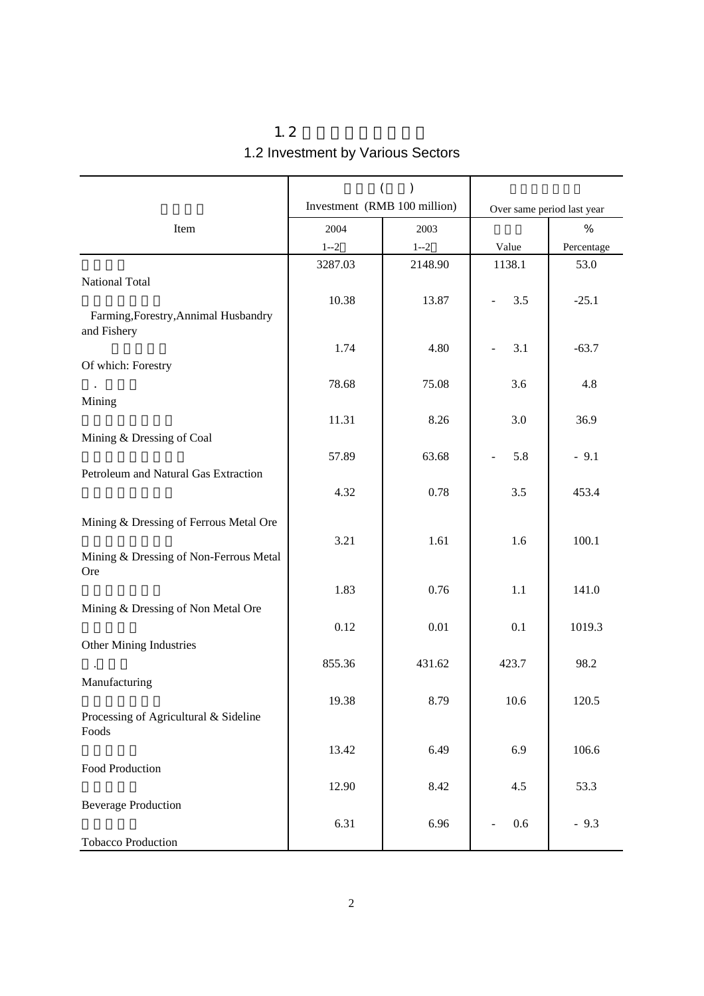|                                                      | $\left(\vphantom{\raisebox{1.5pt}{.}}\right.$<br>$\mathcal{L}$ |          |                            |            |
|------------------------------------------------------|----------------------------------------------------------------|----------|----------------------------|------------|
|                                                      | Investment (RMB 100 million)                                   |          | Over same period last year |            |
| Item                                                 | 2004                                                           | 2003     |                            | %          |
|                                                      | $1 - 2$                                                        | $1 - 2$  | Value                      | Percentage |
| National Total                                       | 3287.03                                                        | 2148.90  | 1138.1                     | 53.0       |
| Farming, Forestry, Annimal Husbandry<br>and Fishery  | 10.38                                                          | 13.87    | 3.5                        | $-25.1$    |
|                                                      | 1.74                                                           | 4.80     | 3.1                        | $-63.7$    |
| Of which: Forestry                                   | 78.68                                                          | 75.08    | 3.6                        | 4.8        |
| Mining                                               | 11.31                                                          | 8.26     | 3.0                        | 36.9       |
| Mining & Dressing of Coal                            | 57.89                                                          | 63.68    | 5.8                        | $-9.1$     |
| Petroleum and Natural Gas Extraction                 | 4.32                                                           | 0.78     | 3.5                        | 453.4      |
| Mining & Dressing of Ferrous Metal Ore               | 3.21                                                           | 1.61     | 1.6                        | 100.1      |
| Mining & Dressing of Non-Ferrous Metal<br><b>Ore</b> |                                                                |          |                            |            |
| Mining & Dressing of Non Metal Ore                   | 1.83                                                           | 0.76     | $1.1\,$                    | 141.0      |
|                                                      | 0.12                                                           | $0.01\,$ | 0.1                        | 1019.3     |
| Other Mining Industries                              | 855.36                                                         | 431.62   | 423.7                      | 98.2       |
| Manufacturing                                        | 19.38                                                          | 8.79     | 10.6                       | 120.5      |
| Processing of Agricultural & Sideline<br>Foods       |                                                                |          |                            |            |
| Food Production                                      | 13.42                                                          | 6.49     | 6.9                        | 106.6      |
| <b>Beverage Production</b>                           | 12.90                                                          | 8.42     | 4.5                        | 53.3       |
|                                                      | 6.31                                                           | 6.96     | 0.6                        | $-9.3$     |
| <b>Tobacco Production</b>                            |                                                                |          |                            |            |

 $1.2$ 1.2 Investment by Various Sectors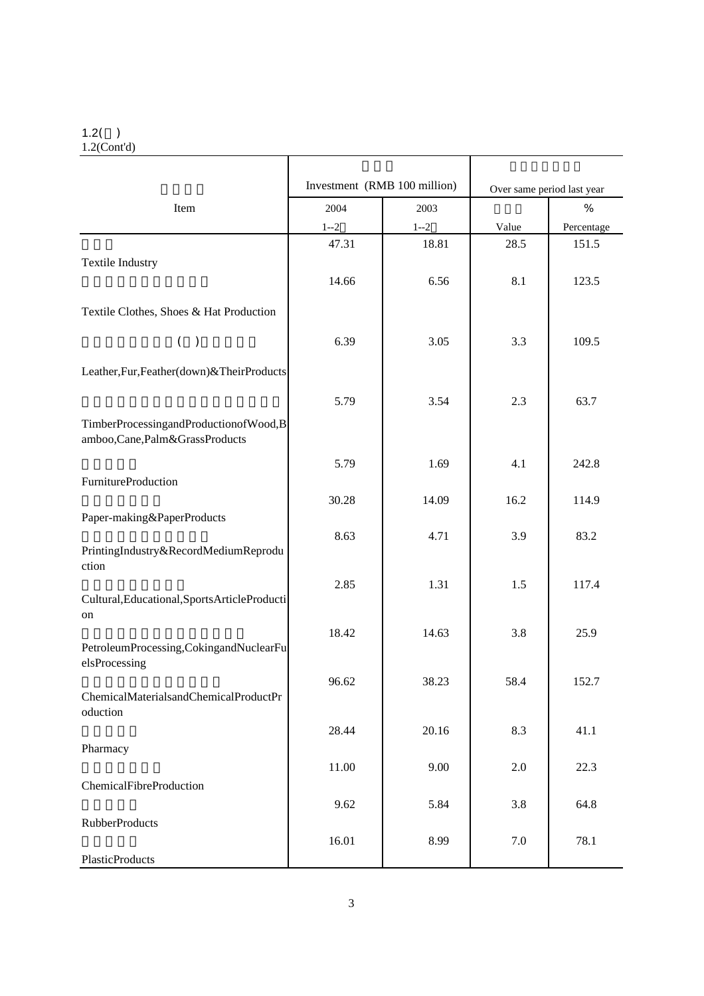#### $1.2()$

1.2(Cont'd)

|                                                                        | Investment (RMB 100 million) |         |                            |            |
|------------------------------------------------------------------------|------------------------------|---------|----------------------------|------------|
|                                                                        |                              |         | Over same period last year |            |
| Item                                                                   | 2004                         | 2003    |                            | %          |
|                                                                        | $1 - 2$                      | $1 - 2$ | Value                      | Percentage |
|                                                                        | 47.31                        | 18.81   | 28.5                       | 151.5      |
| <b>Textile Industry</b>                                                |                              |         |                            |            |
|                                                                        | 14.66                        | 6.56    | 8.1                        | 123.5      |
| Textile Clothes, Shoes & Hat Production                                |                              |         |                            |            |
| ( )                                                                    | 6.39                         | 3.05    | 3.3                        | 109.5      |
| Leather, Fur, Feather(down)& Their Products                            |                              |         |                            |            |
|                                                                        | 5.79                         | 3.54    | 2.3                        | 63.7       |
| TimberProcessingandProductionofWood,B<br>amboo,Cane,Palm&GrassProducts |                              |         |                            |            |
|                                                                        | 5.79                         | 1.69    | 4.1                        | 242.8      |
| <b>FurnitureProduction</b>                                             |                              |         |                            |            |
|                                                                        | 30.28                        | 14.09   | 16.2                       | 114.9      |
| Paper-making&PaperProducts                                             |                              |         |                            |            |
| PrintingIndustry&RecordMediumReprodu                                   | 8.63                         | 4.71    | 3.9                        | 83.2       |
| ction                                                                  |                              |         |                            |            |
|                                                                        | 2.85                         | 1.31    | 1.5                        | 117.4      |
| Cultural, Educational, Sports Article Producti                         |                              |         |                            |            |
| on                                                                     |                              |         |                            |            |
| PetroleumProcessing, CokingandNuclearFu                                | 18.42                        | 14.63   | 3.8                        | 25.9       |
| elsProcessing                                                          |                              |         |                            |            |
|                                                                        | 96.62                        | 38.23   | 58.4                       | 152.7      |
| ChemicalMaterialsandChemicalProductPr                                  |                              |         |                            |            |
| oduction                                                               |                              |         |                            |            |
|                                                                        | 28.44                        | 20.16   | 8.3                        | 41.1       |
| Pharmacy                                                               | 11.00                        | 9.00    | 2.0                        | 22.3       |
| ChemicalFibreProduction                                                |                              |         |                            |            |
|                                                                        | 9.62                         | 5.84    | 3.8                        | 64.8       |
| <b>RubberProducts</b>                                                  |                              |         |                            |            |
|                                                                        | 16.01                        | 8.99    | $7.0\,$                    | 78.1       |
| PlasticProducts                                                        |                              |         |                            |            |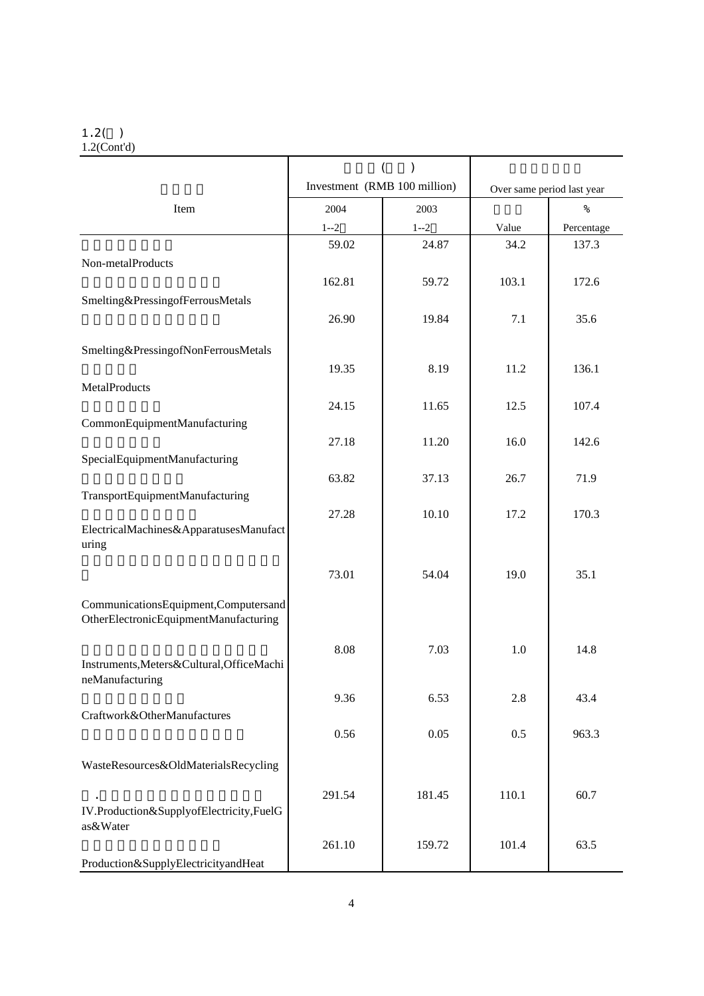#### $1.2($

1.2(Cont'd)

|                                                                               | $\left($<br>$\mathcal{E}$    |         |       |                            |
|-------------------------------------------------------------------------------|------------------------------|---------|-------|----------------------------|
|                                                                               | Investment (RMB 100 million) |         |       | Over same period last year |
| Item                                                                          | 2004                         | 2003    |       | %                          |
|                                                                               | $1 - 2$                      | $1 - 2$ | Value | Percentage                 |
|                                                                               | 59.02                        | 24.87   | 34.2  | 137.3                      |
| Non-metalProducts                                                             |                              |         |       |                            |
|                                                                               | 162.81                       | 59.72   | 103.1 | 172.6                      |
| Smelting&PressingofFerrousMetals                                              |                              |         |       |                            |
|                                                                               | 26.90                        | 19.84   | 7.1   | 35.6                       |
| Smelting&PressingofNonFerrousMetals                                           |                              |         |       |                            |
|                                                                               | 19.35                        | 8.19    | 11.2  | 136.1                      |
| MetalProducts                                                                 |                              |         |       |                            |
|                                                                               | 24.15                        | 11.65   | 12.5  | 107.4                      |
| CommonEquipmentManufacturing                                                  |                              |         |       |                            |
| SpecialEquipmentManufacturing                                                 | 27.18                        | 11.20   | 16.0  | 142.6                      |
|                                                                               | 63.82                        | 37.13   | 26.7  | 71.9                       |
| TransportEquipmentManufacturing                                               |                              |         |       |                            |
|                                                                               | 27.28                        | 10.10   | 17.2  | 170.3                      |
| ElectricalMachines&ApparatusesManufact                                        |                              |         |       |                            |
| uring                                                                         |                              |         |       |                            |
|                                                                               | 73.01                        | 54.04   | 19.0  | 35.1                       |
|                                                                               |                              |         |       |                            |
| CommunicationsEquipment,Computersand<br>OtherElectronicEquipmentManufacturing |                              |         |       |                            |
|                                                                               |                              |         |       |                            |
|                                                                               | 8.08                         | 7.03    | 1.0   | 14.8                       |
| Instruments, Meters& Cultural, OfficeMachi<br>neManufacturing                 |                              |         |       |                            |
|                                                                               | 9.36                         | 6.53    | 2.8   | 43.4                       |
| Craftwork&OtherManufactures                                                   |                              |         |       |                            |
|                                                                               | 0.56                         | 0.05    | 0.5   | 963.3                      |
| WasteResources&OldMaterialsRecycling                                          |                              |         |       |                            |
|                                                                               |                              |         |       |                            |
|                                                                               | 291.54                       | 181.45  | 110.1 | 60.7                       |
| IV.Production&SupplyofElectricity,FuelG<br>as&Water                           |                              |         |       |                            |
|                                                                               | 261.10                       | 159.72  | 101.4 | 63.5                       |
| Production&SupplyElectricityandHeat                                           |                              |         |       |                            |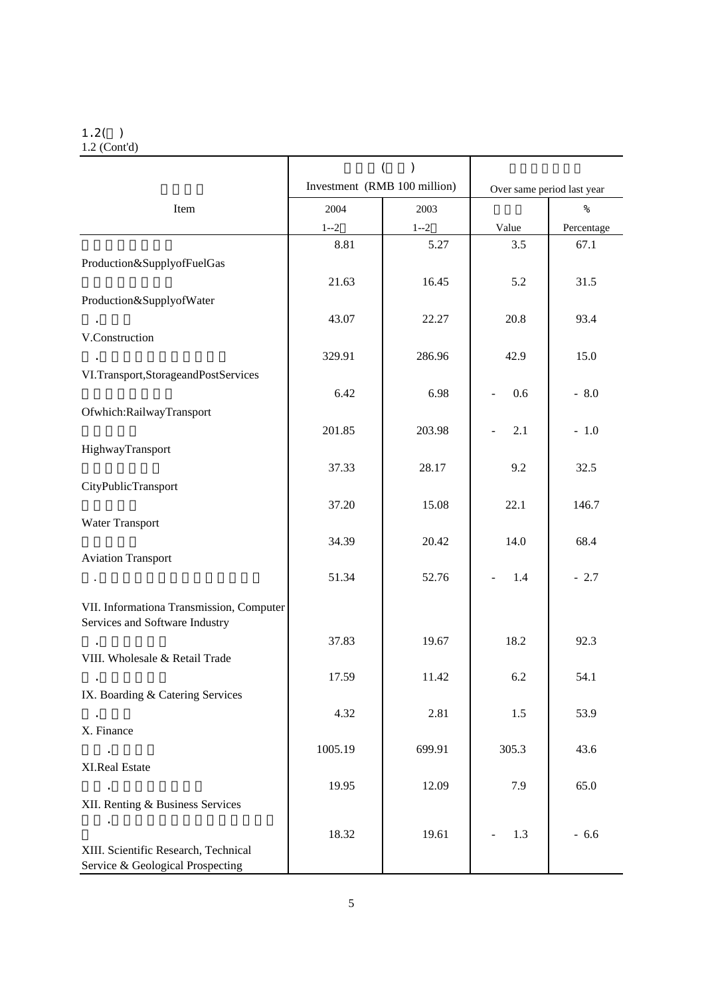#### $1.2($

1.2 (Cont'd)

|                                                                          | $\mathcal{E}$<br>(           |         |                            |            |
|--------------------------------------------------------------------------|------------------------------|---------|----------------------------|------------|
|                                                                          | Investment (RMB 100 million) |         | Over same period last year |            |
| Item                                                                     | 2004                         | 2003    |                            | $\%$       |
|                                                                          | $1 - 2$                      | $1 - 2$ | Value                      | Percentage |
|                                                                          | 8.81                         | 5.27    | 3.5                        | 67.1       |
| Production&SupplyofFuelGas                                               |                              |         |                            |            |
|                                                                          | 21.63                        | 16.45   | 5.2                        | 31.5       |
| Production&SupplyofWater                                                 |                              |         |                            |            |
|                                                                          | 43.07                        | 22.27   | 20.8                       | 93.4       |
| V.Construction                                                           |                              |         |                            |            |
|                                                                          | 329.91                       | 286.96  | 42.9                       | 15.0       |
| VI.Transport,StorageandPostServices                                      |                              |         |                            |            |
|                                                                          | 6.42                         | 6.98    | 0.6                        | $-8.0$     |
| Ofwhich:RailwayTransport                                                 |                              |         |                            |            |
|                                                                          | 201.85                       | 203.98  | 2.1                        | $-1.0$     |
| HighwayTransport                                                         |                              |         |                            |            |
|                                                                          | 37.33                        | 28.17   | 9.2                        | 32.5       |
| CityPublicTransport                                                      |                              |         |                            |            |
|                                                                          | 37.20                        | 15.08   | 22.1                       | 146.7      |
| Water Transport                                                          | 34.39                        | 20.42   | 14.0                       | 68.4       |
| <b>Aviation Transport</b>                                                |                              |         |                            |            |
|                                                                          | 51.34                        | 52.76   | 1.4                        | $-2.7$     |
|                                                                          |                              |         |                            |            |
| VII. Informationa Transmission, Computer                                 |                              |         |                            |            |
| Services and Software Industry                                           |                              |         |                            |            |
|                                                                          | 37.83                        | 19.67   | 18.2                       | 92.3       |
| VIII. Wholesale & Retail Trade                                           |                              |         |                            |            |
| IX. Boarding & Catering Services                                         | 17.59                        | 11.42   | 6.2                        | 54.1       |
|                                                                          | 4.32                         | 2.81    | 1.5                        | 53.9       |
| X. Finance                                                               |                              |         |                            |            |
|                                                                          | 1005.19                      | 699.91  | 305.3                      | 43.6       |
| XI.Real Estate                                                           |                              |         |                            |            |
|                                                                          | 19.95                        | 12.09   | 7.9                        | 65.0       |
| XII. Renting & Business Services                                         |                              |         |                            |            |
|                                                                          |                              |         |                            |            |
|                                                                          | 18.32                        | 19.61   | 1.3                        | $-6.6$     |
| XIII. Scientific Research, Technical<br>Service & Geological Prospecting |                              |         |                            |            |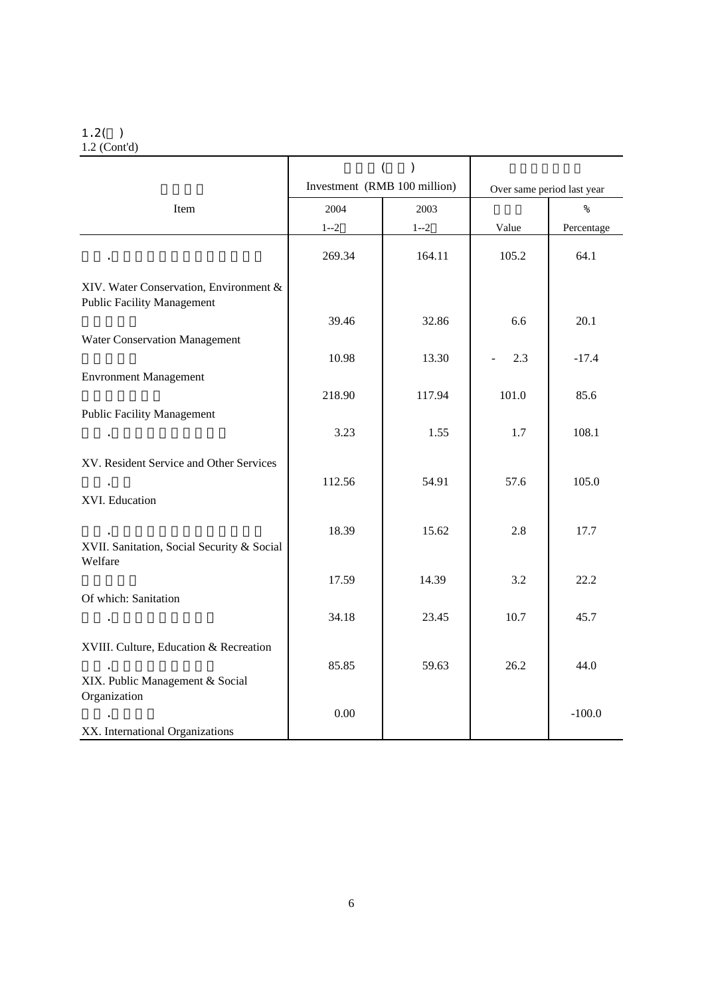### $1.2($

1.2 (Cont'd)

|                                                                             | $\overline{(\ }$<br>$\mathcal{E}$ |         |       |                            |  |
|-----------------------------------------------------------------------------|-----------------------------------|---------|-------|----------------------------|--|
|                                                                             | Investment (RMB 100 million)      |         |       | Over same period last year |  |
| Item                                                                        | 2004                              | 2003    |       | $\frac{9}{6}$              |  |
|                                                                             | $1 - 2$                           | $1 - 2$ | Value | Percentage                 |  |
| $\sim$                                                                      | 269.34                            | 164.11  | 105.2 | 64.1                       |  |
| XIV. Water Conservation, Environment &<br><b>Public Facility Management</b> |                                   |         |       |                            |  |
|                                                                             | 39.46                             | 32.86   | 6.6   | 20.1                       |  |
| Water Conservation Management                                               |                                   |         |       |                            |  |
|                                                                             | 10.98                             | 13.30   | 2.3   | $-17.4$                    |  |
| <b>Envronment Management</b>                                                |                                   |         |       |                            |  |
|                                                                             | 218.90                            | 117.94  | 101.0 | 85.6                       |  |
| <b>Public Facility Management</b>                                           | 3.23                              | 1.55    | 1.7   | 108.1                      |  |
|                                                                             |                                   |         |       |                            |  |
| XV. Resident Service and Other Services                                     |                                   |         |       |                            |  |
| $\sim$                                                                      | 112.56                            | 54.91   | 57.6  | 105.0                      |  |
| XVI. Education                                                              |                                   |         |       |                            |  |
|                                                                             | 18.39                             | 15.62   | 2.8   | 17.7                       |  |
| XVII. Sanitation, Social Security & Social<br>Welfare                       |                                   |         |       |                            |  |
|                                                                             | 17.59                             | 14.39   | 3.2   | 22.2                       |  |
| Of which: Sanitation                                                        |                                   |         |       |                            |  |
| $\sim$                                                                      | 34.18                             | 23.45   | 10.7  | 45.7                       |  |
| XVIII. Culture, Education & Recreation                                      |                                   |         |       |                            |  |
|                                                                             | 85.85                             | 59.63   | 26.2  | 44.0                       |  |
| XIX. Public Management & Social                                             |                                   |         |       |                            |  |
| Organization                                                                |                                   |         |       |                            |  |
| XX. International Organizations                                             | 0.00                              |         |       | $-100.0$                   |  |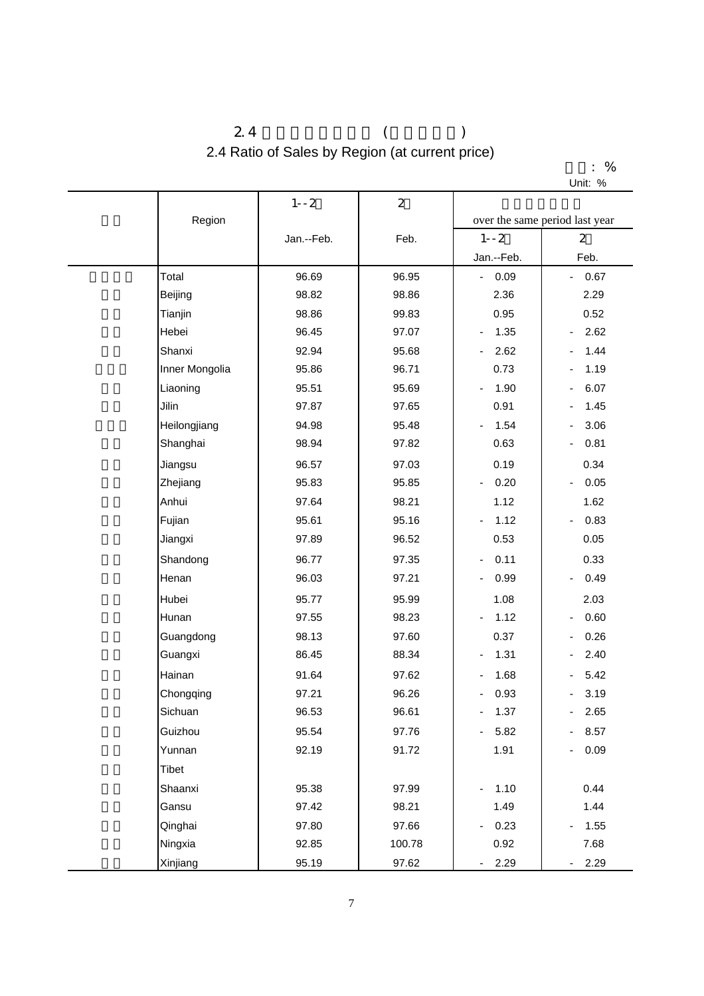## $2.4$  ( ) 2.4 Ratio of Sales by Region (at current price)

|         | % |
|---------|---|
| Unit: % |   |

|                | $1 - -2$       | $\overline{2}$                             |                                          |                                  |
|----------------|----------------|--------------------------------------------|------------------------------------------|----------------------------------|
| Region         |                |                                            |                                          | over the same period last year   |
|                | Jan.--Feb.     | Feb.                                       | $1 - -2$                                 | $\overline{2}$                   |
|                |                |                                            | Jan.--Feb.                               | Feb.                             |
| Total          | 96.69          | 96.95                                      | 0.09<br>$\sim 10$                        | 0.67<br>$\blacksquare$           |
| Beijing        | 98.82          | 98.86                                      | 2.36                                     | 2.29                             |
| Tianjin        | 98.86          | 99.83                                      | 0.95                                     | 0.52                             |
| Hebei          | 96.45          | 97.07                                      | 1.35<br>$\overline{\phantom{0}}$         | 2.62<br>$\overline{\phantom{a}}$ |
| Shanxi         | 92.94          | 95.68                                      | 2.62                                     | 1.44                             |
| Inner Mongolia | 95.86          | 96.71                                      | 0.73                                     | 1.19                             |
| Liaoning       | 95.51          | 95.69                                      | 1.90<br>$\overline{\phantom{0}}$         | 6.07                             |
| Jilin          | 97.87          | 97.65                                      | 0.91                                     | 1.45                             |
| Heilongjiang   | 94.98          | 95.48                                      | 1.54<br>$\overline{\phantom{0}}$         | 3.06                             |
| Shanghai       | 98.94          | 97.82                                      | 0.63                                     | 0.81<br>$\overline{\phantom{a}}$ |
| Jiangsu        | 96.57          | 97.03                                      | 0.19                                     | 0.34                             |
| Zhejiang       | 95.83          | 95.85                                      | 0.20<br>$\overline{\phantom{0}}$         | 0.05                             |
| Anhui          | 97.64<br>95.61 | 98.21<br>95.16<br>$\overline{\phantom{a}}$ | 1.12                                     | 1.62                             |
| Fujian         |                |                                            | 1.12                                     | 0.83<br>$\overline{\phantom{a}}$ |
| Jiangxi        | 97.89          | 96.52                                      | 0.53                                     | 0.05                             |
| Shandong       | 96.77          | 97.35                                      | 0.11<br>$\overline{\phantom{a}}$         | 0.33                             |
| Henan          | 96.03          | 97.21                                      | 0.99<br>$\overline{\phantom{0}}$<br>1.08 | 0.49<br>$\overline{\phantom{a}}$ |
| Hubei          | 95.77          | 95.99                                      |                                          | 2.03                             |
| Hunan          | 97.55          | 98.23                                      | 1.12                                     | 0.60                             |
| Guangdong      | 98.13          | 97.60                                      | 0.37                                     | 0.26                             |
| Guangxi        | 86.45          | 88.34                                      | 1.31<br>$\overline{\phantom{0}}$         | 2.40                             |
| Hainan         | 91.64          | 97.62                                      | 1.68<br>÷,                               | 5.42                             |
| Chongqing      | 97.21          | 96.26                                      | 0.93                                     | 3.19                             |
| Sichuan        | 96.53          | 96.61                                      | 1.37<br>$\overline{\phantom{0}}$         | $-2.65$                          |
| Guizhou        | 95.54          | 97.76                                      | 5.82<br>$\sim$                           | 8.57<br>$\overline{\phantom{0}}$ |
| Yunnan         | 92.19          | 91.72                                      | 1.91                                     | 0.09                             |
| Tibet          |                |                                            |                                          |                                  |
| Shaanxi        | 95.38          | 97.99                                      | 1.10<br>$\blacksquare$                   | 0.44                             |
| Gansu          | 97.42          | 98.21                                      | 1.49                                     | 1.44                             |
| Qinghai        | 97.80          | 97.66                                      | 0.23<br>$\overline{\phantom{a}}$         | 1.55                             |
| Ningxia        | 92.85          | 100.78                                     | 0.92                                     | 7.68                             |
| Xinjiang       | 95.19          | 97.62                                      | 2.29<br>$\blacksquare$                   | $-2.29$                          |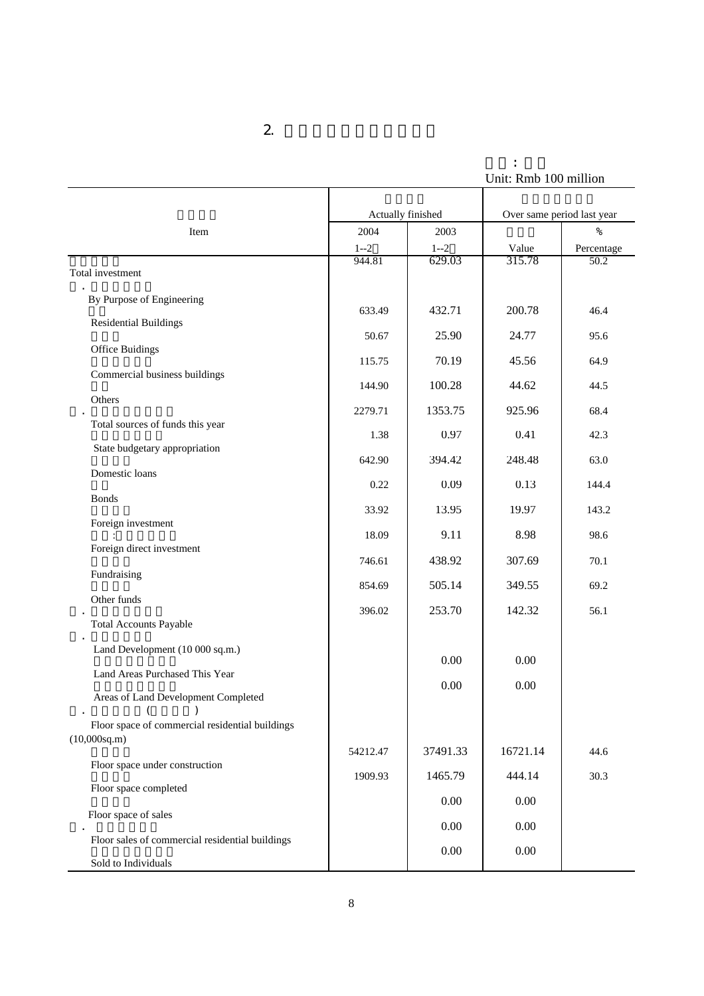单位: 亿元 Unit: Rmb 100 million

|                                                                        | Actually finished |          | Over same period last year |               |
|------------------------------------------------------------------------|-------------------|----------|----------------------------|---------------|
| Item                                                                   | 2004              | 2003     |                            | $\frac{9}{6}$ |
|                                                                        | $1 - 2$           | $1 - 2$  | Value                      | Percentage    |
| Total investment                                                       | 944.81            | 629.03   | 315.78                     | 50.2          |
| By Purpose of Engineering                                              |                   |          |                            |               |
| <b>Residential Buildings</b>                                           | 633.49            | 432.71   | 200.78                     | 46.4          |
| <b>Office Buidings</b>                                                 | 50.67             | 25.90    | 24.77                      | 95.6          |
| Commercial business buildings                                          | 115.75            | 70.19    | 45.56                      | 64.9          |
| Others                                                                 | 144.90            | 100.28   | 44.62                      | 44.5          |
| Total sources of funds this year                                       | 2279.71           | 1353.75  | 925.96                     | 68.4          |
| State budgetary appropriation                                          | 1.38              | 0.97     | 0.41                       | 42.3          |
| Domestic loans                                                         | 642.90            | 394.42   | 248.48                     | 63.0          |
| <b>Bonds</b>                                                           | 0.22              | 0.09     | 0.13                       | 144.4         |
|                                                                        | 33.92             | 13.95    | 19.97                      | 143.2         |
| Foreign investment                                                     | 18.09             | 9.11     | 8.98                       | 98.6          |
| Foreign direct investment                                              | 746.61            | 438.92   | 307.69                     | 70.1          |
| Fundraising                                                            | 854.69            | 505.14   | 349.55                     | 69.2          |
| Other funds                                                            | 396.02            | 253.70   | 142.32                     | 56.1          |
| <b>Total Accounts Payable</b>                                          |                   |          |                            |               |
| Land Development (10 000 sq.m.)                                        |                   | 0.00     | 0.00                       |               |
| Land Areas Purchased This Year                                         |                   | 0.00     | 0.00                       |               |
| Areas of Land Development Completed                                    |                   |          |                            |               |
| Floor space of commercial residential buildings<br>$(10,000$ sq.m $)$  |                   |          |                            |               |
| Floor space under construction                                         | 54212.47          | 37491.33 | 16721.14                   | 44.6          |
| Floor space completed                                                  | 1909.93           | 1465.79  | 444.14                     | 30.3          |
|                                                                        |                   | 0.00     | 0.00                       |               |
| Floor space of sales                                                   |                   | $0.00\,$ | 0.00                       |               |
| Floor sales of commercial residential buildings<br>Sold to Individuals |                   | $0.00\,$ | 0.00                       |               |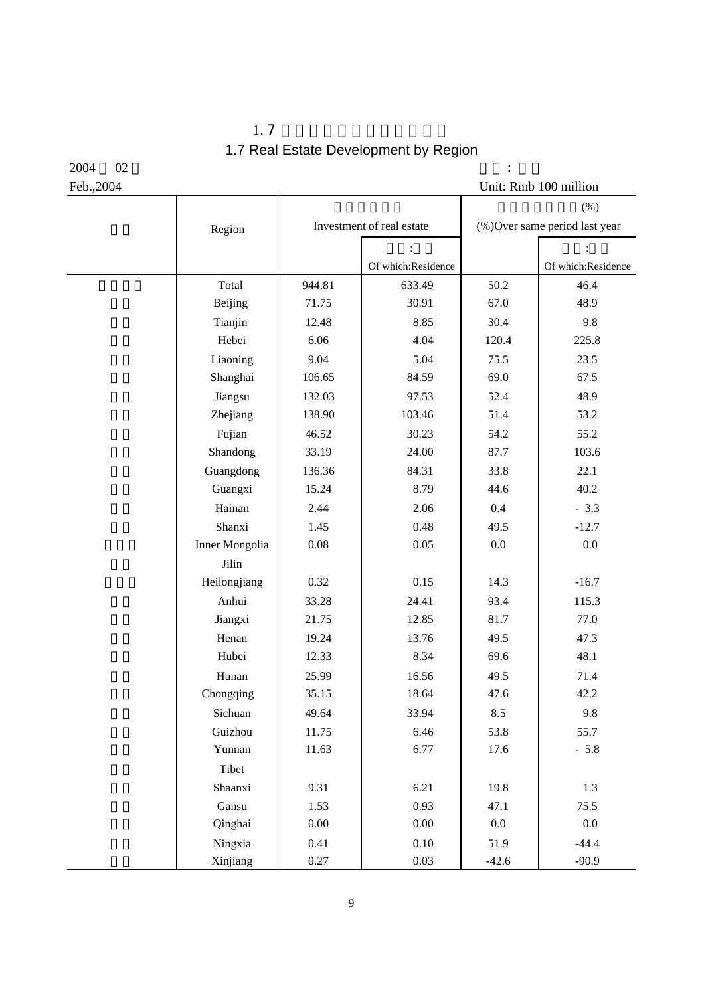$1.7$ 1.7 Real Estate Development by Region

 $2004$   $02$  :

| Feb., 2004 |                |          |                           |         | Unit: Rmb 100 million         |
|------------|----------------|----------|---------------------------|---------|-------------------------------|
|            |                |          |                           |         | (%)                           |
|            | Region         |          | Investment of real estate |         | (%)Over same period last year |
|            |                |          |                           |         |                               |
|            |                |          | Of which:Residence        |         | Of which:Residence            |
|            | Total          | 944.81   | 633.49                    | 50.2    | 46.4                          |
|            | Beijing        | 71.75    | 30.91                     | 67.0    | 48.9                          |
|            | Tianjin        | 12.48    | 8.85                      | 30.4    | 9.8                           |
|            | Hebei          | 6.06     | 4.04                      | 120.4   | 225.8                         |
|            | Liaoning       | 9.04     | 5.04                      | 75.5    | 23.5                          |
|            | Shanghai       | 106.65   | 84.59                     | 69.0    | 67.5                          |
|            | Jiangsu        | 132.03   | 97.53                     | 52.4    | 48.9                          |
|            | Zhejiang       | 138.90   | 103.46                    | 51.4    | 53.2                          |
|            | Fujian         | 46.52    | 30.23                     | 54.2    | 55.2                          |
|            | Shandong       | 33.19    | 24.00                     | 87.7    | 103.6                         |
|            | Guangdong      | 136.36   | 84.31                     | 33.8    | 22.1                          |
|            | Guangxi        | 15.24    | 8.79                      | 44.6    | 40.2                          |
|            | Hainan         | 2.44     | 2.06                      | 0.4     | $-3.3$                        |
|            | Shanxi         | 1.45     | 0.48                      | 49.5    | $-12.7$                       |
|            | Inner Mongolia | $0.08\,$ | 0.05                      | $0.0\,$ | $0.0\,$                       |
|            | Jilin          |          |                           |         |                               |
|            | Heilongjiang   | 0.32     | 0.15                      | 14.3    | $-16.7$                       |
|            | Anhui          | 33.28    | 24.41                     | 93.4    | 115.3                         |
|            | Jiangxi        | 21.75    | 12.85                     | 81.7    | 77.0                          |
|            | Henan          | 19.24    | 13.76                     | 49.5    | 47.3                          |
|            | Hubei          | 12.33    | 8.34                      | 69.6    | 48.1                          |
|            | Hunan          | 25.99    | 16.56                     | 49.5    | 71.4                          |
|            | Chongqing      | 35.15    | 18.64                     | 47.6    | 42.2                          |
|            | Sichuan        | 49.64    | 33.94                     | 8.5     | 9.8                           |
|            | Guizhou        | 11.75    | 6.46                      | 53.8    | 55.7                          |
|            | Yunnan         | 11.63    | 6.77                      | 17.6    | $-5.8$                        |
|            | Tibet          |          |                           |         |                               |
|            | Shaanxi        | 9.31     | 6.21                      | 19.8    | 1.3                           |
|            | Gansu          | 1.53     | 0.93                      | 47.1    | 75.5                          |
|            | Qinghai        | $0.00\,$ | $0.00\,$                  | $0.0\,$ | $0.0\,$                       |
|            | Ningxia        | 0.41     | $0.10\,$                  | 51.9    | $-44.4$                       |
|            | Xinjiang       | 0.27     | 0.03                      | $-42.6$ | $-90.9$                       |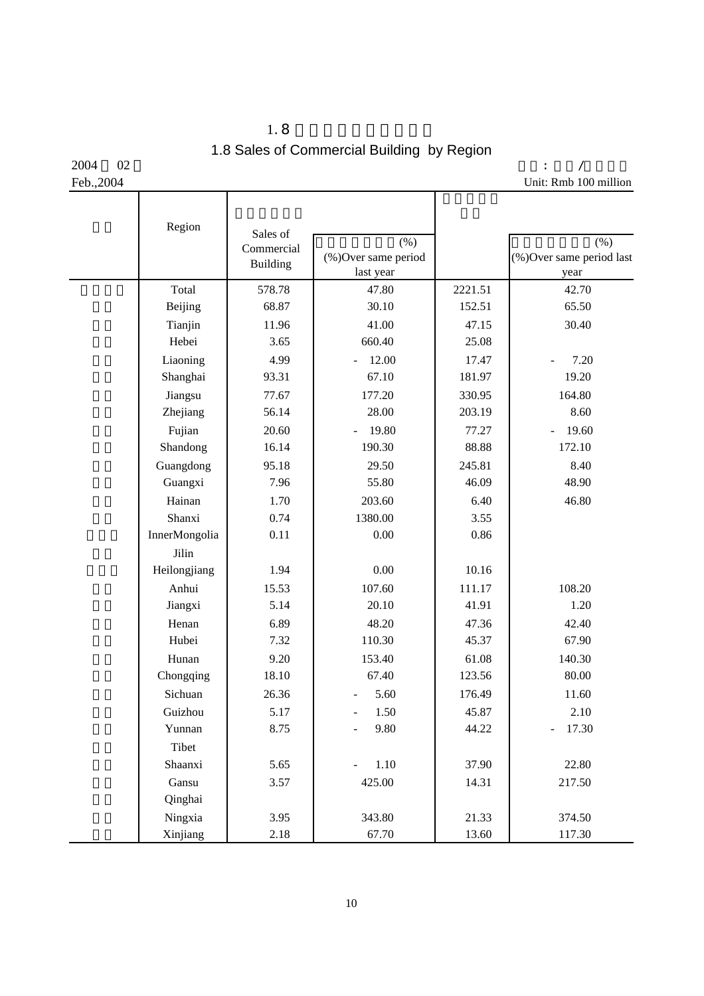$1.8$ 1.8 Sales of Commercial Building by Region

2004 02

Feb.,2004

 单位: 亿元/万平方米 Unit: Rmb 100 million

| Region        | Sales of<br>Commercial<br>Building | (% )<br>(%) Over same period<br>last year |         | (% )<br>(%)Over same period last<br>year |
|---------------|------------------------------------|-------------------------------------------|---------|------------------------------------------|
| Total         | 578.78                             | 47.80                                     | 2221.51 | 42.70                                    |
| Beijing       | 68.87                              | 30.10                                     | 152.51  | 65.50                                    |
| Tianjin       | 11.96                              | 41.00                                     | 47.15   | 30.40                                    |
| Hebei         | 3.65                               | 660.40                                    | 25.08   |                                          |
| Liaoning      | 4.99                               | 12.00                                     | 17.47   | 7.20                                     |
| Shanghai      | 93.31                              | 67.10                                     | 181.97  | 19.20                                    |
| Jiangsu       | 77.67                              | 177.20                                    | 330.95  | 164.80                                   |
| Zhejiang      | 56.14                              | 28.00                                     | 203.19  | 8.60                                     |
| Fujian        | 20.60                              | 19.80                                     | 77.27   | 19.60                                    |
| Shandong      | 16.14                              | 190.30                                    | 88.88   | 172.10                                   |
| Guangdong     | 95.18                              | 29.50                                     | 245.81  | 8.40                                     |
| Guangxi       | 7.96                               | 55.80                                     | 46.09   | 48.90                                    |
| Hainan        | 1.70                               | 203.60                                    | 6.40    | 46.80                                    |
| Shanxi        | 0.74                               | 1380.00                                   | 3.55    |                                          |
| InnerMongolia | 0.11                               | 0.00                                      | 0.86    |                                          |
| Jilin         |                                    |                                           |         |                                          |
| Heilongjiang  | 1.94                               | 0.00                                      | 10.16   |                                          |
| Anhui         | 15.53                              | 107.60                                    | 111.17  | 108.20                                   |
| Jiangxi       | 5.14                               | 20.10                                     | 41.91   | 1.20                                     |
| Henan         | 6.89                               | 48.20                                     | 47.36   | 42.40                                    |
| Hubei         | 7.32                               | 110.30                                    | 45.37   | 67.90                                    |
| Hunan         | 9.20                               | 153.40                                    | 61.08   | 140.30                                   |
| Chongqing     | 18.10                              | 67.40                                     | 123.56  | 80.00                                    |
| Sichuan       | 26.36                              | 5.60                                      | 176.49  | 11.60                                    |
| Guizhou       | 5.17                               | 1.50                                      | 45.87   | 2.10                                     |
| Yunnan        | 8.75                               | 9.80                                      | 44.22   | 17.30<br>$\frac{1}{2}$                   |
| Tibet         |                                    |                                           |         |                                          |
| Shaanxi       | 5.65                               | 1.10                                      | 37.90   | 22.80                                    |
| Gansu         | 3.57                               | 425.00                                    | 14.31   | 217.50                                   |
| Qinghai       |                                    |                                           |         |                                          |
| Ningxia       | 3.95                               | 343.80                                    | 21.33   | 374.50                                   |
| Xinjiang      | 2.18                               | 67.70                                     | 13.60   | 117.30                                   |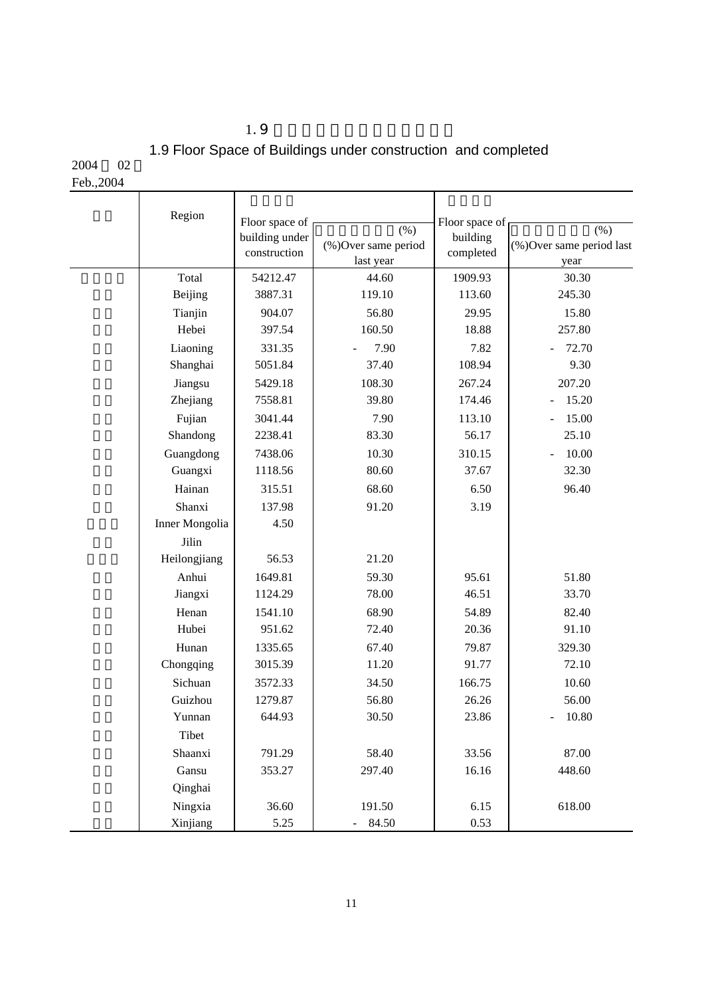$1.9$ 

# 1.9 Floor Space of Buildings under construction and completed

2004 02

Feb.,2004

| Feb., 2004 |                |                                |                                          |                       |                                          |
|------------|----------------|--------------------------------|------------------------------------------|-----------------------|------------------------------------------|
|            | Region         | Floor space of                 |                                          | Floor space of        |                                          |
|            |                | building under<br>construction | (% )<br>(%)Over same period<br>last year | building<br>completed | (% )<br>(%)Over same period last<br>year |
|            | Total          | 54212.47                       | 44.60                                    | 1909.93               | 30.30                                    |
|            | Beijing        | 3887.31                        | 119.10                                   | 113.60                | 245.30                                   |
|            | Tianjin        | 904.07                         | 56.80                                    | 29.95                 | 15.80                                    |
|            | Hebei          | 397.54                         | 160.50                                   | 18.88                 | 257.80                                   |
|            | Liaoning       | 331.35                         | 7.90                                     | 7.82                  | 72.70                                    |
|            | Shanghai       | 5051.84                        | 37.40                                    | 108.94                | 9.30                                     |
|            | Jiangsu        | 5429.18                        | 108.30                                   | 267.24                | 207.20                                   |
|            | Zhejiang       | 7558.81                        | 39.80                                    | 174.46                | 15.20<br>$\overline{\phantom{a}}$        |
|            | Fujian         | 3041.44                        | 7.90                                     | 113.10                | 15.00                                    |
|            | Shandong       | 2238.41                        | 83.30                                    | 56.17                 | 25.10                                    |
|            | Guangdong      | 7438.06                        | 10.30                                    | 310.15                | 10.00                                    |
|            | Guangxi        | 1118.56                        | 80.60                                    | 37.67                 | 32.30                                    |
|            | Hainan         | 315.51                         | 68.60                                    | 6.50                  | 96.40                                    |
|            | Shanxi         | 137.98                         | 91.20                                    | 3.19                  |                                          |
|            | Inner Mongolia | 4.50                           |                                          |                       |                                          |
|            | Jilin          |                                |                                          |                       |                                          |
|            | Heilongjiang   | 56.53                          | 21.20                                    |                       |                                          |
|            | Anhui          | 1649.81                        | 59.30                                    | 95.61                 | 51.80                                    |
|            | Jiangxi        | 1124.29                        | 78.00                                    | 46.51                 | 33.70                                    |
|            | Henan          | 1541.10                        | 68.90                                    | 54.89                 | 82.40                                    |
|            | Hubei          | 951.62                         | 72.40                                    | 20.36                 | 91.10                                    |
|            | Hunan          | 1335.65                        | 67.40                                    | 79.87                 | 329.30                                   |
|            | Chongqing      | 3015.39                        | 11.20                                    | 91.77                 | 72.10                                    |
|            | Sichuan        | 3572.33                        | 34.50                                    | 166.75                | 10.60                                    |
|            | Guizhou        | 1279.87                        | 56.80                                    | 26.26                 | 56.00                                    |
|            | Yunnan         | 644.93                         | 30.50                                    | 23.86                 | 10.80                                    |
|            | Tibet          |                                |                                          |                       |                                          |
|            | Shaanxi        | 791.29                         | 58.40                                    | 33.56                 | 87.00                                    |
|            | Gansu          | 353.27                         | 297.40                                   | 16.16                 | 448.60                                   |
|            | Qinghai        |                                |                                          |                       |                                          |
|            | Ningxia        | 36.60                          | 191.50                                   | 6.15                  | 618.00                                   |
|            | Xinjiang       | 5.25                           | 84.50                                    | 0.53                  |                                          |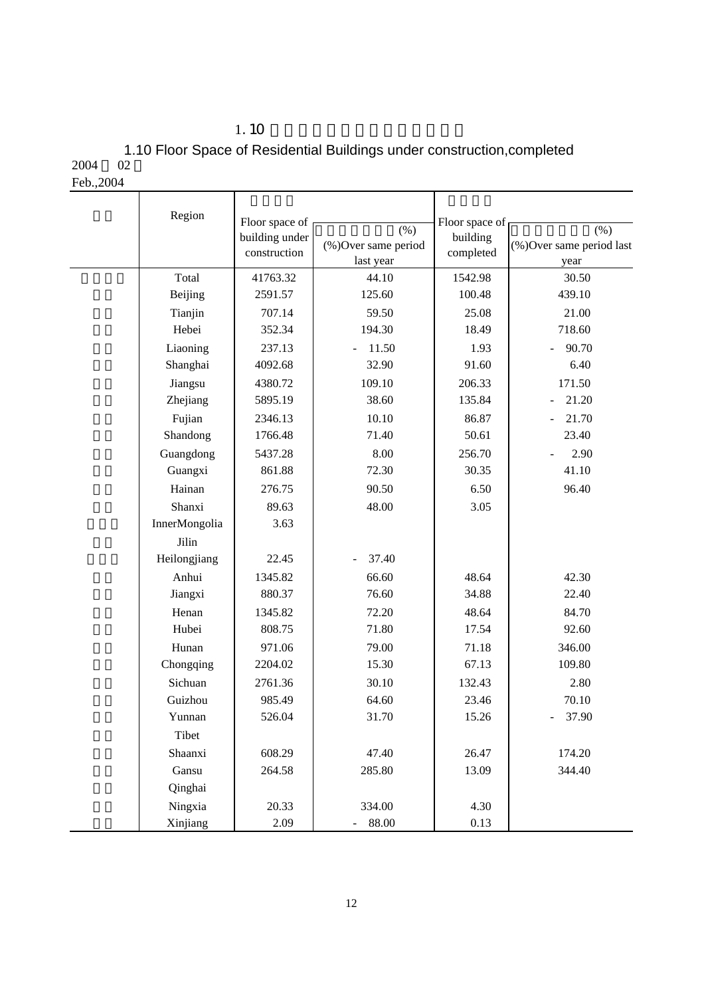$1.10$ 

2004 1.10 Floor Space of Residential Buildings under construction,completed

| Feb., 2004 |  |
|------------|--|
|            |  |

| Region        | Floor space of<br>building under | $(\% )$                           | Floor space of<br>building | (% )                             |
|---------------|----------------------------------|-----------------------------------|----------------------------|----------------------------------|
|               | construction                     | (%) Over same period<br>last year | completed                  | (%)Over same period last<br>year |
| Total         | 41763.32                         | 44.10                             | 1542.98                    | 30.50                            |
| Beijing       | 2591.57                          | 125.60                            | 100.48                     | 439.10                           |
| Tianjin       | 707.14                           | 59.50                             | 25.08                      | 21.00                            |
| Hebei         | 352.34                           | 194.30                            | 18.49                      | 718.60                           |
| Liaoning      | 237.13                           | 11.50                             | 1.93                       | 90.70                            |
| Shanghai      | 4092.68                          | 32.90                             | 91.60                      | 6.40                             |
| Jiangsu       | 4380.72                          | 109.10                            | 206.33                     | 171.50                           |
| Zhejiang      | 5895.19                          | 38.60                             | 135.84                     | 21.20                            |
| Fujian        | 2346.13                          | 10.10                             | 86.87                      | 21.70                            |
| Shandong      | 1766.48                          | 71.40                             | 50.61                      | 23.40                            |
| Guangdong     | 5437.28                          | 8.00                              | 256.70                     | 2.90                             |
| Guangxi       | 861.88                           | 72.30                             | 30.35                      | 41.10                            |
| Hainan        | 276.75                           | 90.50                             | 6.50                       | 96.40                            |
| Shanxi        | 89.63                            | 48.00                             | 3.05                       |                                  |
| InnerMongolia | 3.63                             |                                   |                            |                                  |
| Jilin         |                                  |                                   |                            |                                  |
| Heilongjiang  | 22.45                            | 37.40                             |                            |                                  |
| Anhui         | 1345.82                          | 66.60                             | 48.64                      | 42.30                            |
| Jiangxi       | 880.37                           | 76.60                             | 34.88                      | 22.40                            |
| Henan         | 1345.82                          | 72.20                             | 48.64                      | 84.70                            |
| Hubei         | 808.75                           | 71.80                             | 17.54                      | 92.60                            |
| Hunan         | 971.06                           | 79.00                             | 71.18                      | 346.00                           |
| Chongqing     | 2204.02                          | 15.30                             | 67.13                      | 109.80                           |
| Sichuan       | 2761.36                          | 30.10                             | 132.43                     | 2.80                             |
| Guizhou       | 985.49                           | 64.60                             | 23.46                      | 70.10                            |
| Yunnan        | 526.04                           | 31.70                             | 15.26                      | 37.90                            |
| Tibet         |                                  |                                   |                            |                                  |
| Shaanxi       | 608.29                           | 47.40                             | 26.47                      | 174.20                           |
| Gansu         | 264.58                           | 285.80                            | 13.09                      | 344.40                           |
| Qinghai       |                                  |                                   |                            |                                  |
| Ningxia       | 20.33                            | 334.00                            | 4.30                       |                                  |
| Xinjiang      | 2.09                             | 88.00                             | 0.13                       |                                  |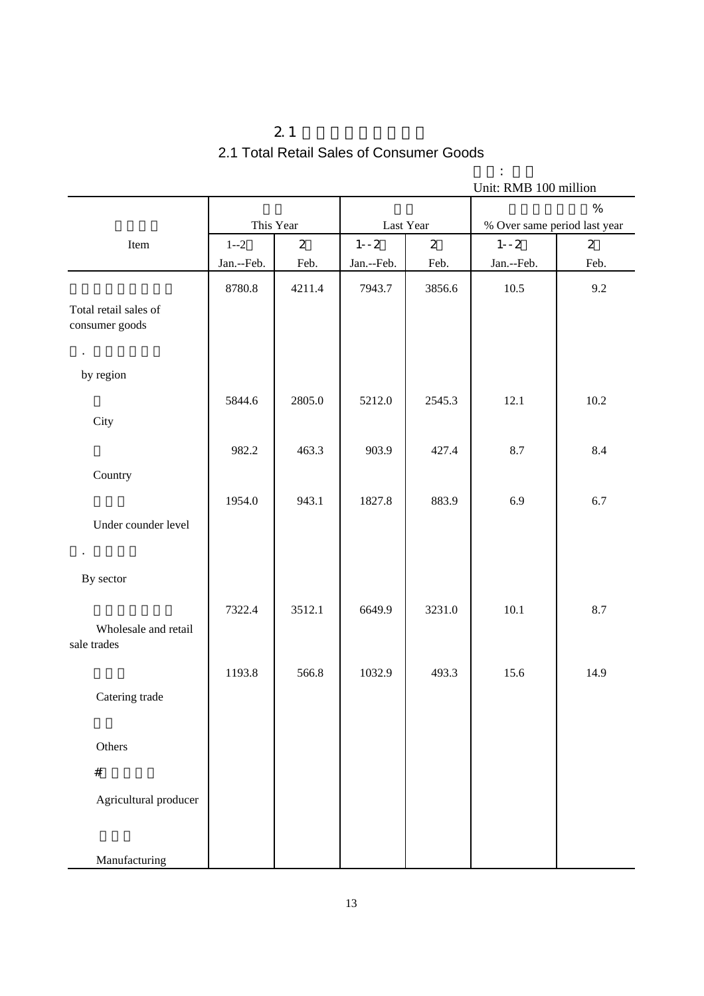## $2.1$ 2.1 Total Retail Sales of Consumer Goods

单位: 亿元

| Unit: RMB 100 million                   |            |                |            |                |                              |                |
|-----------------------------------------|------------|----------------|------------|----------------|------------------------------|----------------|
|                                         |            |                |            |                |                              | $\%$           |
|                                         |            | This Year      |            | Last Year      | % Over same period last year |                |
| Item                                    | $1 - 2$    | $\overline{2}$ | $1 - -2$   | $\overline{2}$ | $1 - -2$                     | $\overline{2}$ |
|                                         | Jan.--Feb. | Feb.           | Jan.--Feb. | Feb.           | Jan.--Feb.                   | Feb.           |
|                                         | 8780.8     | 4211.4         | 7943.7     | 3856.6         | 10.5                         | 9.2            |
| Total retail sales of<br>consumer goods |            |                |            |                |                              |                |
| $\epsilon$                              |            |                |            |                |                              |                |
| by region                               |            |                |            |                |                              |                |
|                                         | 5844.6     | 2805.0         | 5212.0     | 2545.3         | 12.1                         | 10.2           |
| City                                    |            |                |            |                |                              |                |
|                                         | 982.2      | 463.3          | 903.9      | 427.4          | 8.7                          | 8.4            |
| Country                                 |            |                |            |                |                              |                |
|                                         | 1954.0     | 943.1          | 1827.8     | 883.9          | 6.9                          | 6.7            |
| Under counder level                     |            |                |            |                |                              |                |
| $\bullet$<br>By sector                  |            |                |            |                |                              |                |
|                                         | 7322.4     | 3512.1         | 6649.9     | 3231.0         | 10.1                         | 8.7            |
| Wholesale and retail<br>sale trades     |            |                |            |                |                              |                |
|                                         | 1193.8     | 566.8          | 1032.9     | 493.3          | 15.6                         | 14.9           |
| Catering trade                          |            |                |            |                |                              |                |
| Others                                  |            |                |            |                |                              |                |
| $\#$                                    |            |                |            |                |                              |                |
| Agricultural producer                   |            |                |            |                |                              |                |
| Manufacturing                           |            |                |            |                |                              |                |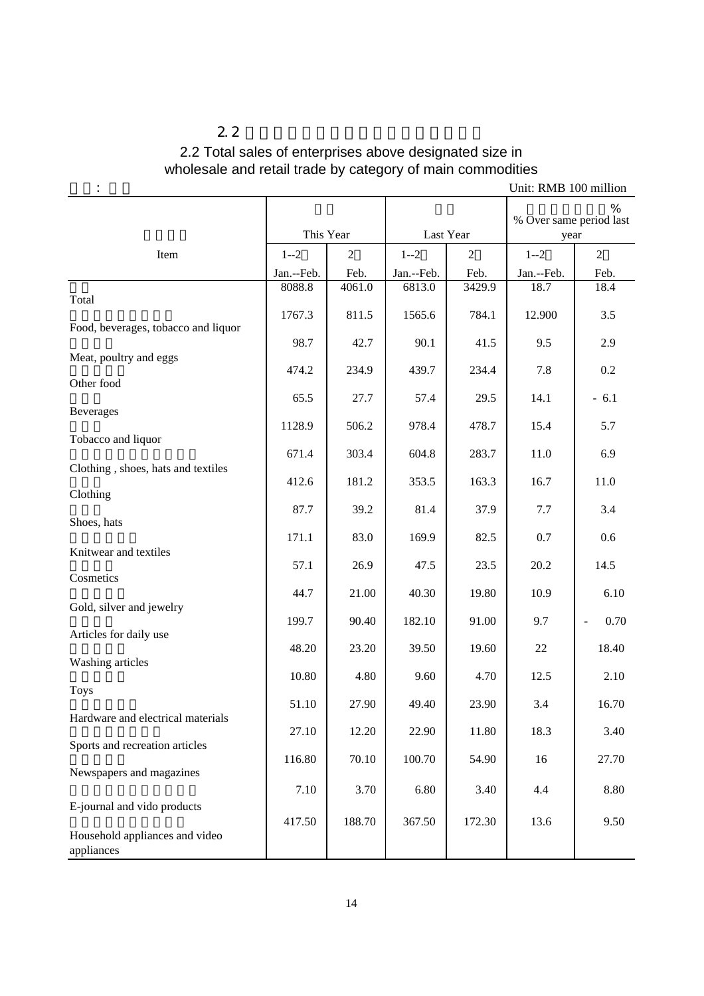## $2.2$ 2.2 Total sales of enterprises above designated size in wholesale and retail trade by category of main commodities

| ٠                                              |            |                |            |                | UIIII. INNID TUU IIIIIIIUII          |                |
|------------------------------------------------|------------|----------------|------------|----------------|--------------------------------------|----------------|
|                                                | This Year  |                | Last Year  |                | %<br>% Over same period last<br>year |                |
| Item                                           | $1 - 2$    | $\overline{2}$ | $1 - 2$    | $\overline{2}$ | $1 - 2$                              | $\overline{2}$ |
|                                                | Jan.--Feb. | Feb.           | Jan.--Feb. | Feb.           | Jan.--Feb.                           | Feb.           |
| Total                                          | 8088.8     | 4061.0         | 6813.0     | 3429.9         | 18.7                                 | 18.4           |
| Food, beverages, tobacco and liquor            | 1767.3     | 811.5          | 1565.6     | 784.1          | 12.900                               | 3.5            |
|                                                | 98.7       | 42.7           | 90.1       | 41.5           | 9.5                                  | 2.9            |
| Meat, poultry and eggs<br>Other food           | 474.2      | 234.9          | 439.7      | 234.4          | 7.8                                  | 0.2            |
| <b>Beverages</b>                               | 65.5       | 27.7           | 57.4       | 29.5           | 14.1                                 | $-6.1$         |
| Tobacco and liquor                             | 1128.9     | 506.2          | 978.4      | 478.7          | 15.4                                 | 5.7            |
|                                                | 671.4      | 303.4          | 604.8      | 283.7          | 11.0                                 | 6.9            |
| Clothing, shoes, hats and textiles<br>Clothing | 412.6      | 181.2          | 353.5      | 163.3          | 16.7                                 | 11.0           |
|                                                | 87.7       | 39.2           | 81.4       | 37.9           | 7.7                                  | 3.4            |
| Shoes, hats                                    | 171.1      | 83.0           | 169.9      | 82.5           | 0.7                                  | 0.6            |
| Knitwear and textiles<br>Cosmetics             | 57.1       | 26.9           | 47.5       | 23.5           | 20.2                                 | 14.5           |
|                                                | 44.7       | 21.00          | 40.30      | 19.80          | 10.9                                 | 6.10           |
| Gold, silver and jewelry                       | 199.7      | 90.40          | 182.10     | 91.00          | 9.7                                  | 0.70           |
| Articles for daily use                         | 48.20      | 23.20          | 39.50      | 19.60          | 22                                   | 18.40          |
| Washing articles                               | 10.80      | 4.80           | 9.60       | 4.70           | 12.5                                 | 2.10           |
| <b>Toys</b>                                    | 51.10      | 27.90          | 49.40      | 23.90          | 3.4                                  | 16.70          |
| Hardware and electrical materials              | 27.10      | 12.20          | 22.90      | 11.80          | 18.3                                 | 3.40           |
| Sports and recreation articles                 | 116.80     | 70.10          | 100.70     | 54.90          | 16                                   | 27.70          |
| Newspapers and magazines                       | 7.10       | 3.70           | 6.80       | 3.40           | 4.4                                  | 8.80           |
| E-journal and vido products                    | 417.50     | 188.70         | 367.50     | 172.30         | 13.6                                 | 9.50           |
| Household appliances and video<br>appliances   |            |                |            |                |                                      |                |

Unit: RMB 100 million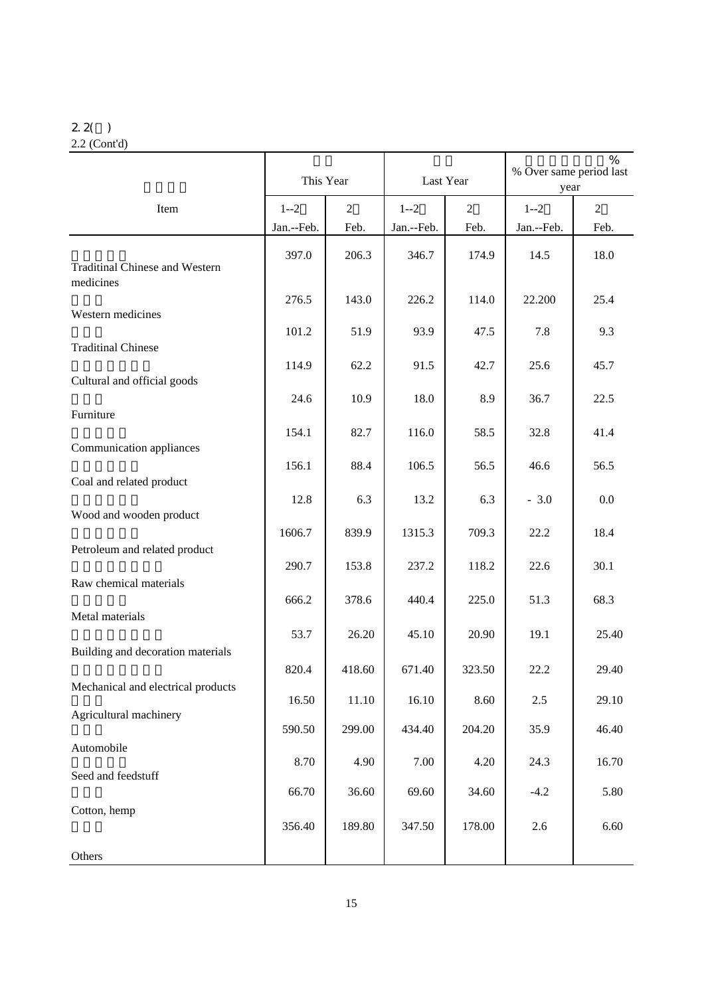#### 2.2( ) 2.2 (Cont'd)

|                                                    | This Year  |                | Last Year  |                | $\frac{0}{0}$<br>% Over same period last<br>year |                |
|----------------------------------------------------|------------|----------------|------------|----------------|--------------------------------------------------|----------------|
| Item                                               | $1 - 2$    | $\overline{2}$ | $1 - 2$    | $\overline{2}$ | $1 - 2$                                          | $\overline{2}$ |
|                                                    | Jan.--Feb. | Feb.           | Jan.--Feb. | Feb.           | Jan.--Feb.                                       | Feb.           |
| <b>Traditinal Chinese and Western</b><br>medicines | 397.0      | 206.3          | 346.7      | 174.9          | 14.5                                             | 18.0           |
| Western medicines                                  | 276.5      | 143.0          | 226.2      | 114.0          | 22.200                                           | 25.4           |
|                                                    | 101.2      | 51.9           | 93.9       | 47.5           | 7.8                                              | 9.3            |
| <b>Traditinal Chinese</b>                          | 114.9      | 62.2           | 91.5       | 42.7           | 25.6                                             | 45.7           |
| Cultural and official goods                        |            |                |            |                |                                                  |                |
| Furniture                                          | 24.6       | 10.9           | 18.0       | 8.9            | 36.7                                             | 22.5           |
|                                                    | 154.1      | 82.7           | 116.0      | 58.5           | 32.8                                             | 41.4           |
| Communication appliances                           | 156.1      | 88.4           | 106.5      | 56.5           | 46.6                                             | 56.5           |
| Coal and related product                           |            |                |            |                |                                                  |                |
| Wood and wooden product                            | 12.8       | 6.3            | 13.2       | 6.3            | $-3.0$                                           | 0.0            |
|                                                    | 1606.7     | 839.9          | 1315.3     | 709.3          | 22.2                                             | 18.4           |
| Petroleum and related product                      | 290.7      | 153.8          | 237.2      | 118.2          | 22.6                                             | 30.1           |
| Raw chemical materials                             |            |                |            |                |                                                  |                |
| Metal materials                                    | 666.2      | 378.6          | 440.4      | 225.0          | 51.3                                             | 68.3           |
|                                                    | 53.7       | 26.20          | 45.10      | 20.90          | 19.1                                             | 25.40          |
| Building and decoration materials                  |            |                |            |                |                                                  |                |
| Mechanical and electrical products                 | 820.4      | 418.60         | 671.40     | 323.50         | 22.2                                             | 29.40          |
| Agricultural machinery                             | 16.50      | 11.10          | 16.10      | 8.60           | $2.5\,$                                          | 29.10          |
|                                                    | 590.50     | 299.00         | 434.40     | 204.20         | 35.9                                             | 46.40          |
| Automobile                                         | 8.70       | 4.90           | 7.00       | 4.20           | 24.3                                             | 16.70          |
| Seed and feedstuff                                 |            |                |            |                |                                                  |                |
| Cotton, hemp                                       | 66.70      | 36.60          | 69.60      | 34.60          | $-4.2$                                           | 5.80           |
|                                                    | 356.40     | 189.80         | 347.50     | 178.00         | 2.6                                              | 6.60           |
| Others                                             |            |                |            |                |                                                  |                |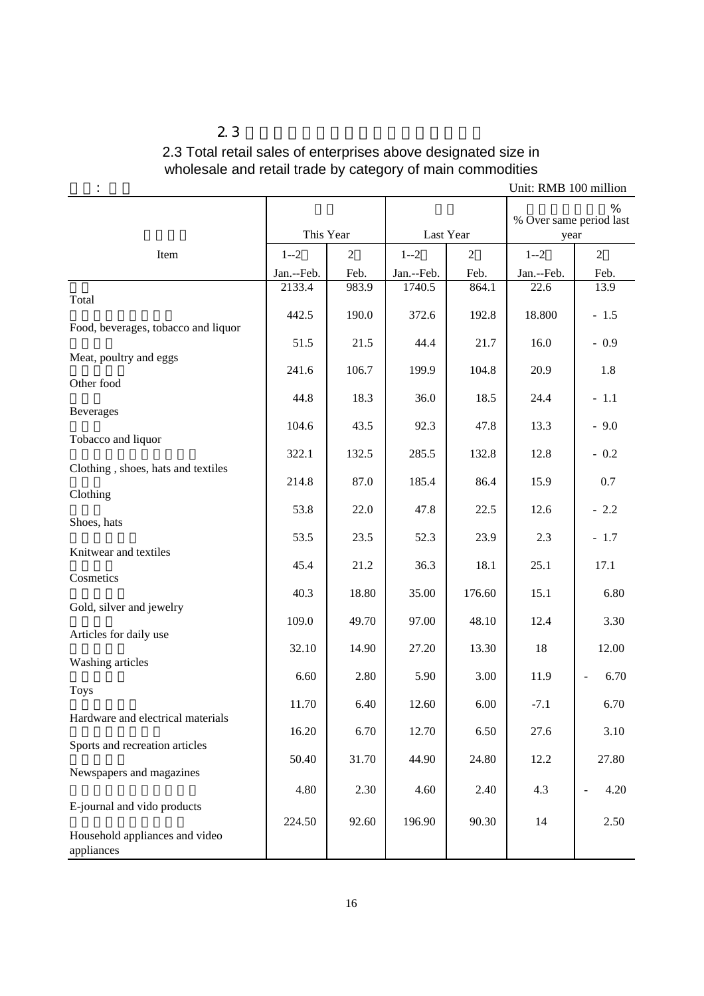## $2.3$ 2.3 Total retail sales of enterprises above designated size in wholesale and retail trade by category of main commodities

| ÷                                            |            |                |            |                | Unit: RMB 100 million |                                  |  |
|----------------------------------------------|------------|----------------|------------|----------------|-----------------------|----------------------------------|--|
|                                              | This Year  |                | Last Year  |                |                       | % Over same period last<br>year  |  |
| Item                                         | $1 - 2$    | $\overline{2}$ | $1 - 2$    | $\overline{2}$ | $1 - 2$               | $\overline{2}$                   |  |
|                                              | Jan.--Feb. | Feb.           | Jan.--Feb. | Feb.           | Jan.--Feb.            | Feb.                             |  |
|                                              | 2133.4     | 983.9          | 1740.5     | 864.1          | 22.6                  | 13.9                             |  |
| Total                                        | 442.5      | 190.0          | 372.6      | 192.8          | 18.800                | $-1.5$                           |  |
| Food, beverages, tobacco and liquor          | 51.5       | 21.5           | 44.4       | 21.7           | 16.0                  | $-0.9$                           |  |
| Meat, poultry and eggs                       | 241.6      | 106.7          | 199.9      | 104.8          | 20.9                  | 1.8                              |  |
| Other food                                   | 44.8       | 18.3           | 36.0       | 18.5           | 24.4                  | $-1.1$                           |  |
| <b>Beverages</b>                             | 104.6      | 43.5           | 92.3       | 47.8           | 13.3                  | $-9.0$                           |  |
| Tobacco and liquor                           | 322.1      | 132.5          | 285.5      | 132.8          | 12.8                  | $-0.2$                           |  |
| Clothing, shoes, hats and textiles           | 214.8      | 87.0           | 185.4      | 86.4           | 15.9                  | 0.7                              |  |
| Clothing                                     | 53.8       | 22.0           | 47.8       | 22.5           | 12.6                  | $-2.2$                           |  |
| Shoes, hats                                  | 53.5       | 23.5           | 52.3       | 23.9           | 2.3                   | $-1.7$                           |  |
| Knitwear and textiles                        | 45.4       | 21.2           | 36.3       | 18.1           | 25.1                  | 17.1                             |  |
| Cosmetics                                    | 40.3       | 18.80          | 35.00      | 176.60         | 15.1                  | 6.80                             |  |
| Gold, silver and jewelry                     | 109.0      | 49.70          | 97.00      | 48.10          | 12.4                  | 3.30                             |  |
| Articles for daily use                       | 32.10      | 14.90          | 27.20      | 13.30          | 18                    | 12.00                            |  |
| Washing articles                             | 6.60       | 2.80           | 5.90       | 3.00           | 11.9                  | 6.70<br>$\overline{\phantom{a}}$ |  |
| <b>Toys</b>                                  | 11.70      | 6.40           | 12.60      | 6.00           | $-7.1$                | 6.70                             |  |
| Hardware and electrical materials            | 16.20      | 6.70           | 12.70      | 6.50           | 27.6                  | 3.10                             |  |
| Sports and recreation articles               | 50.40      | 31.70          | 44.90      | 24.80          | 12.2                  | 27.80                            |  |
| Newspapers and magazines                     |            |                |            |                |                       |                                  |  |
| E-journal and vido products                  | 4.80       | 2.30           | 4.60       | 2.40           | 4.3                   | 4.20<br>$\overline{\phantom{0}}$ |  |
| Household appliances and video<br>appliances | 224.50     | 92.60          | 196.90     | 90.30          | 14                    | 2.50                             |  |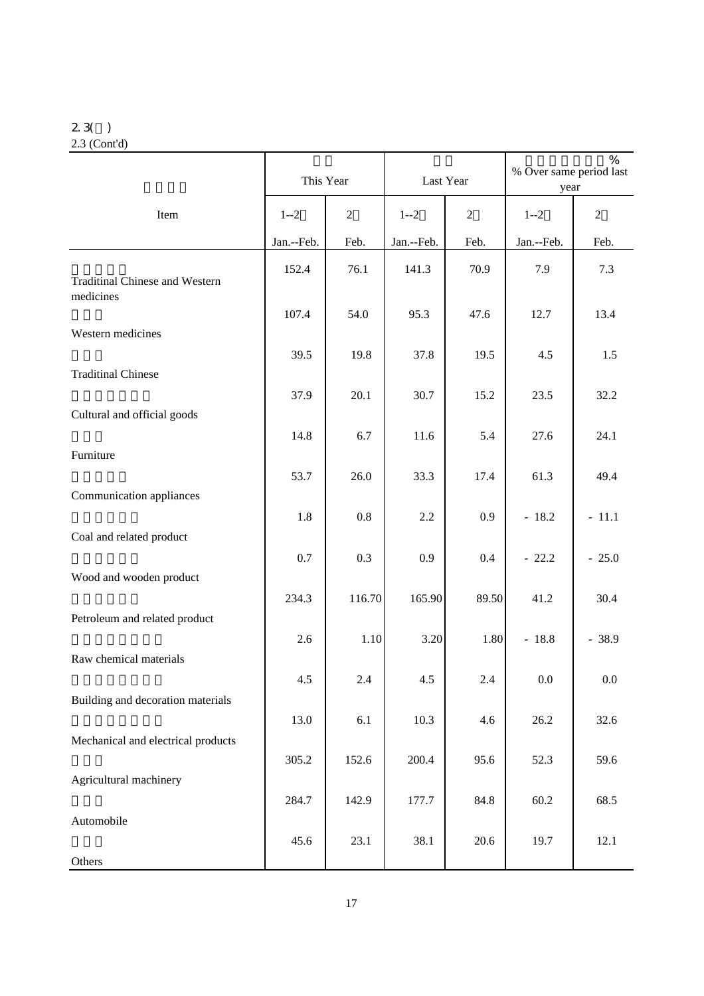#### 2.3( ) 2.3 (Cont'd)

|                                                    | This Year  |                | Last Year  |            | %<br>% Over same period last<br>year |                |
|----------------------------------------------------|------------|----------------|------------|------------|--------------------------------------|----------------|
| Item                                               | $1 - 2$    | $\overline{2}$ | $1 - 2$    | $\sqrt{2}$ | $1 - 2$                              | $\overline{2}$ |
|                                                    | Jan.--Feb. | Feb.           | Jan.--Feb. | Feb.       | Jan.--Feb.                           | Feb.           |
| <b>Traditinal Chinese and Western</b><br>medicines | 152.4      | 76.1           | 141.3      | 70.9       | 7.9                                  | 7.3            |
|                                                    | 107.4      | 54.0           | 95.3       | 47.6       | 12.7                                 | 13.4           |
| Western medicines                                  |            |                |            |            |                                      |                |
| <b>Traditinal Chinese</b>                          | 39.5       | 19.8           | 37.8       | 19.5       | 4.5                                  | 1.5            |
|                                                    | 37.9       | 20.1           | 30.7       | 15.2       | 23.5                                 | 32.2           |
| Cultural and official goods                        |            |                |            |            |                                      |                |
|                                                    | 14.8       | 6.7            | 11.6       | 5.4        | 27.6                                 | 24.1           |
| Furniture                                          | 53.7       | 26.0           | 33.3       | 17.4       | 61.3                                 | 49.4           |
| Communication appliances                           |            |                |            |            |                                      |                |
|                                                    | 1.8        | $0.8\,$        | 2.2        | 0.9        | $-18.2$                              | $-11.1$        |
| Coal and related product                           |            |                |            |            |                                      |                |
| Wood and wooden product                            | 0.7        | 0.3            | 0.9        | 0.4        | $-22.2$                              | $-25.0$        |
|                                                    | 234.3      | 116.70         | 165.90     | 89.50      | 41.2                                 | 30.4           |
| Petroleum and related product                      |            |                |            |            |                                      |                |
|                                                    | 2.6        | 1.10           | 3.20       | 1.80       | $-18.8$                              | $-38.9$        |
| Raw chemical materials                             | 4.5        | 2.4            | 4.5        | $2.4\,$    | $0.0\,$                              | $0.0\,$        |
| Building and decoration materials                  |            |                |            |            |                                      |                |
|                                                    | 13.0       | 6.1            | 10.3       | 4.6        | 26.2                                 | 32.6           |
| Mechanical and electrical products                 | 305.2      | 152.6          | 200.4      | 95.6       | 52.3                                 | 59.6           |
| Agricultural machinery                             |            |                |            |            |                                      |                |
|                                                    | 284.7      | 142.9          | 177.7      | 84.8       | 60.2                                 | 68.5           |
| Automobile                                         |            |                |            |            |                                      |                |
| Others                                             | 45.6       | 23.1           | 38.1       | 20.6       | 19.7                                 | 12.1           |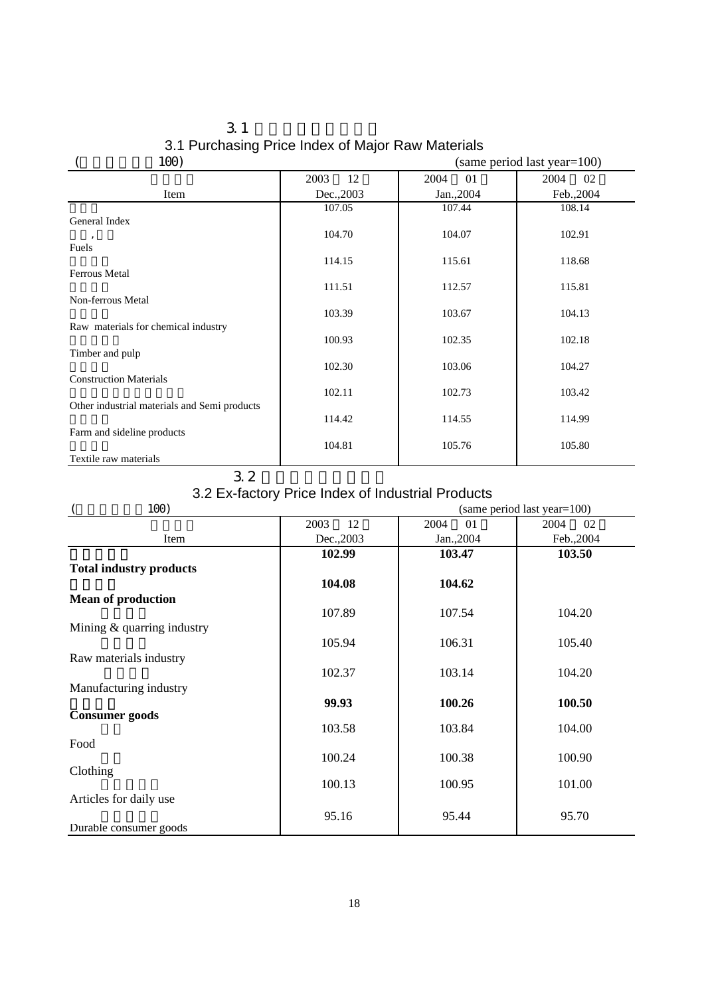|      | 3.1 Purchasing Price Index of Major Raw Materials |
|------|---------------------------------------------------|
| 100) | $(same period last year=100)$                     |

| 1007                                         | $(sailie)$ errou last year $-100$ |            |            |  |  |  |
|----------------------------------------------|-----------------------------------|------------|------------|--|--|--|
|                                              | 12<br>2003                        | 2004<br>01 | 2004<br>02 |  |  |  |
| Item                                         | Dec., 2003                        | Jan.,2004  | Feb., 2004 |  |  |  |
|                                              | 107.05                            | 107.44     | 108.14     |  |  |  |
| General Index                                |                                   |            |            |  |  |  |
|                                              | 104.70                            | 104.07     | 102.91     |  |  |  |
| Fuels                                        |                                   |            |            |  |  |  |
| <b>Ferrous Metal</b>                         | 114.15                            | 115.61     | 118.68     |  |  |  |
|                                              | 111.51                            | 112.57     | 115.81     |  |  |  |
| Non-ferrous Metal                            |                                   |            |            |  |  |  |
|                                              | 103.39                            | 103.67     | 104.13     |  |  |  |
| Raw materials for chemical industry          |                                   |            |            |  |  |  |
|                                              | 100.93                            | 102.35     | 102.18     |  |  |  |
| Timber and pulp                              |                                   |            |            |  |  |  |
|                                              | 102.30                            | 103.06     | 104.27     |  |  |  |
| <b>Construction Materials</b>                |                                   |            |            |  |  |  |
| Other industrial materials and Semi products | 102.11                            | 102.73     | 103.42     |  |  |  |
|                                              | 114.42                            | 114.55     | 114.99     |  |  |  |
| Farm and sideline products                   |                                   |            |            |  |  |  |
|                                              | 104.81                            | 105.76     | 105.80     |  |  |  |
| Textile raw materials                        |                                   |            |            |  |  |  |

#### $3.2$

#### 3.2 Ex-factory Price Index of Industrial Products

| 100)                           | (same period last year=100) |            |            |  |  |  |  |  |
|--------------------------------|-----------------------------|------------|------------|--|--|--|--|--|
|                                | 2003<br>12                  | 2004<br>01 | 2004<br>02 |  |  |  |  |  |
| Item                           | Dec., 2003                  | Jan., 2004 | Feb., 2004 |  |  |  |  |  |
|                                | 102.99                      | 103.47     | 103.50     |  |  |  |  |  |
| <b>Total industry products</b> |                             |            |            |  |  |  |  |  |
|                                | 104.08                      | 104.62     |            |  |  |  |  |  |
| <b>Mean of production</b>      |                             |            |            |  |  |  |  |  |
|                                | 107.89                      | 107.54     | 104.20     |  |  |  |  |  |
| Mining & quarring industry     |                             |            |            |  |  |  |  |  |
|                                | 105.94                      | 106.31     | 105.40     |  |  |  |  |  |
| Raw materials industry         |                             |            |            |  |  |  |  |  |
|                                | 102.37                      | 103.14     | 104.20     |  |  |  |  |  |
| Manufacturing industry         |                             |            |            |  |  |  |  |  |
|                                | 99.93                       | 100.26     | 100.50     |  |  |  |  |  |
| <b>Consumer</b> goods          |                             |            |            |  |  |  |  |  |
|                                | 103.58                      | 103.84     | 104.00     |  |  |  |  |  |
| Food                           |                             |            |            |  |  |  |  |  |
| Clothing                       | 100.24                      | 100.38     | 100.90     |  |  |  |  |  |
|                                | 100.13                      | 100.95     | 101.00     |  |  |  |  |  |
| Articles for daily use         |                             |            |            |  |  |  |  |  |
|                                | 95.16                       | 95.44      | 95.70      |  |  |  |  |  |
| Durable consumer goods         |                             |            |            |  |  |  |  |  |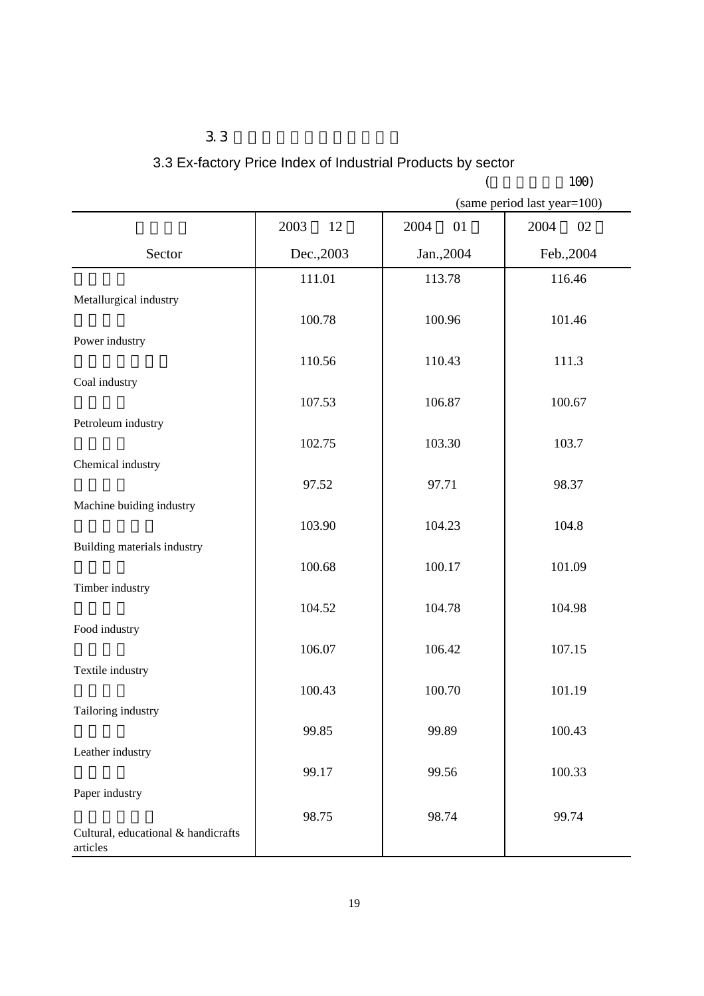3.3 Ex-factory Price Index of Industrial Products by sector

|  |  | 1 N C |  |
|--|--|-------|--|

|                                     |            | (          | 100)                        |
|-------------------------------------|------------|------------|-----------------------------|
|                                     |            |            | (same period last year=100) |
|                                     | 2003<br>12 | 2004<br>01 | 2004<br>02                  |
| Sector                              | Dec., 2003 | Jan., 2004 | Feb., 2004                  |
|                                     | 111.01     | 113.78     | 116.46                      |
| Metallurgical industry              | 100.78     | 100.96     | 101.46                      |
| Power industry                      |            |            |                             |
|                                     | 110.56     | 110.43     | 111.3                       |
| Coal industry                       |            |            |                             |
| Petroleum industry                  | 107.53     | 106.87     | 100.67                      |
|                                     | 102.75     | 103.30     | 103.7                       |
| Chemical industry                   |            |            |                             |
| Machine buiding industry            | 97.52      | 97.71      | 98.37                       |
|                                     | 103.90     | 104.23     | 104.8                       |
| Building materials industry         |            |            |                             |
| Timber industry                     | 100.68     | 100.17     | 101.09                      |
|                                     | 104.52     | 104.78     | 104.98                      |
| Food industry                       |            |            |                             |
| Textile industry                    | 106.07     | 106.42     | 107.15                      |
|                                     | 100.43     | 100.70     | 101.19                      |
| Tailoring industry                  |            |            |                             |
| Leather industry                    | 99.85      | 99.89      | 100.43                      |
|                                     | 99.17      | 99.56      | 100.33                      |
| Paper industry                      |            |            |                             |
| Cultural, educational & handicrafts | 98.75      | 98.74      | 99.74                       |
| articles                            |            |            |                             |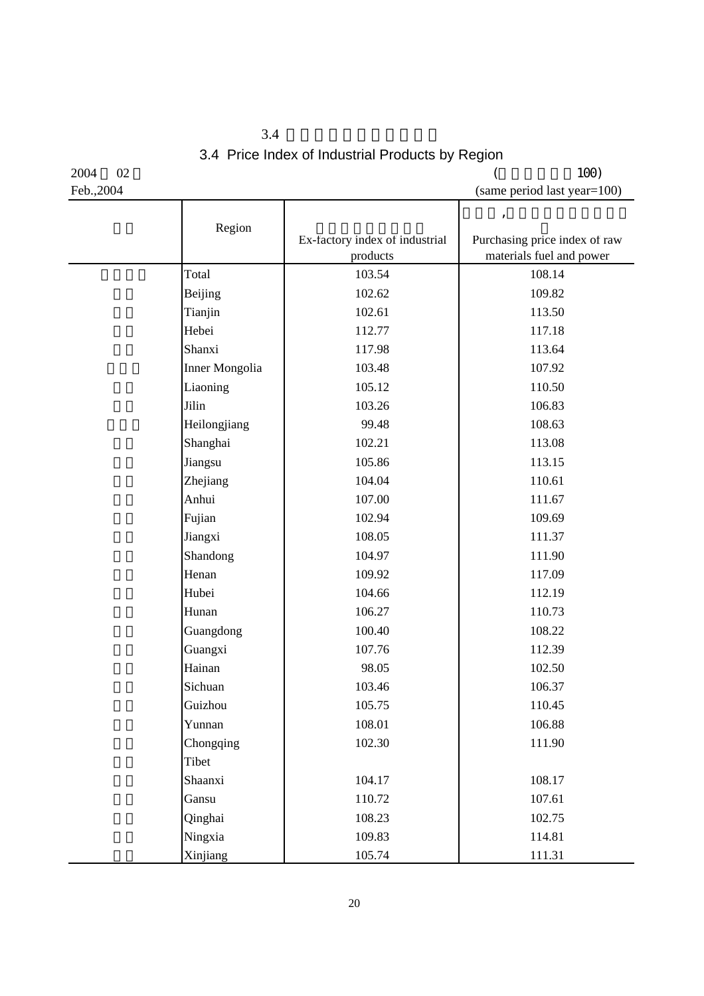$3.4$ 3.4 Price Index of Industrial Products by Region

Feb., 2004 (same period last year=100)

 $2004$   $02$  (100)

|                       |                                            | $\pmb{\mathsf{I}}$                                        |
|-----------------------|--------------------------------------------|-----------------------------------------------------------|
| Region                | Ex-factory index of industrial<br>products | Purchasing price index of raw<br>materials fuel and power |
| Total                 | 103.54                                     | 108.14                                                    |
| Beijing               | 102.62                                     | 109.82                                                    |
| Tianjin               | 102.61                                     | 113.50                                                    |
| Hebei                 | 112.77                                     | 117.18                                                    |
| Shanxi                | 117.98                                     | 113.64                                                    |
| <b>Inner Mongolia</b> | 103.48                                     | 107.92                                                    |
| Liaoning              | 105.12                                     | 110.50                                                    |
| Jilin                 | 103.26                                     | 106.83                                                    |
| Heilongjiang          | 99.48                                      | 108.63                                                    |
| Shanghai              | 102.21                                     | 113.08                                                    |
| Jiangsu               | 105.86                                     | 113.15                                                    |
| Zhejiang              | 104.04                                     | 110.61                                                    |
| Anhui                 | 107.00                                     | 111.67                                                    |
| Fujian                | 102.94                                     | 109.69                                                    |
| Jiangxi               | 108.05                                     | 111.37                                                    |
| Shandong              | 104.97                                     | 111.90                                                    |
| Henan                 | 109.92                                     | 117.09                                                    |
| Hubei                 | 104.66                                     | 112.19                                                    |
| Hunan                 | 106.27                                     | 110.73                                                    |
| Guangdong             | 100.40                                     | 108.22                                                    |
| Guangxi               | 107.76                                     | 112.39                                                    |
| Hainan                | 98.05                                      | 102.50                                                    |
| Sichuan               | 103.46                                     | 106.37                                                    |
| Guizhou               | 105.75                                     | 110.45                                                    |
| Yunnan                | 108.01                                     | 106.88                                                    |
| Chongqing             | 102.30                                     | 111.90                                                    |
| Tibet                 |                                            |                                                           |
| Shaanxi               | 104.17                                     | 108.17                                                    |
| Gansu                 | 110.72                                     | 107.61                                                    |
| Qinghai               | 108.23                                     | 102.75                                                    |
| Ningxia               | 109.83                                     | 114.81                                                    |
| Xinjiang              | 105.74                                     | 111.31                                                    |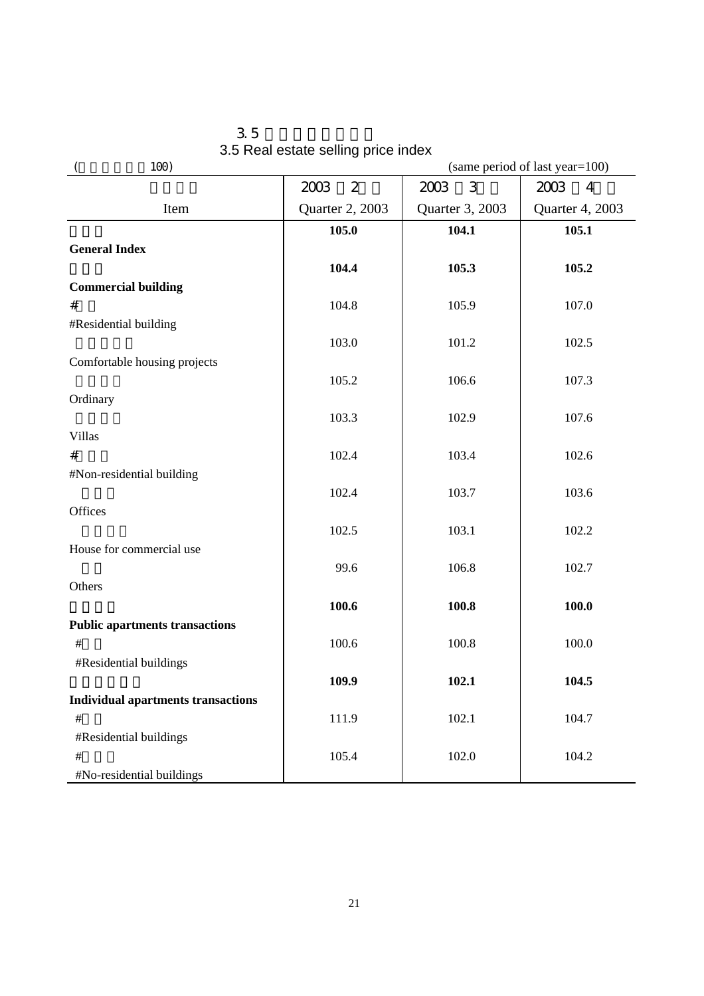| 100)                                      |                        |                 | (same period of last year=100) |  |
|-------------------------------------------|------------------------|-----------------|--------------------------------|--|
|                                           | 2003<br>$\overline{2}$ | 3<br>2003       | 2003<br>$\overline{4}$         |  |
| Item                                      | Quarter 2, 2003        | Quarter 3, 2003 | Quarter 4, 2003                |  |
|                                           | 105.0                  | 104.1           | 105.1                          |  |
| <b>General Index</b>                      |                        |                 |                                |  |
|                                           | 104.4                  | 105.3           | 105.2                          |  |
| <b>Commercial building</b>                |                        |                 |                                |  |
| $\#$                                      | 104.8                  | 105.9           | 107.0                          |  |
| #Residential building                     |                        |                 |                                |  |
| Comfortable housing projects              | 103.0                  | 101.2           | 102.5                          |  |
|                                           | 105.2                  | 106.6           | 107.3                          |  |
| Ordinary                                  |                        |                 |                                |  |
|                                           | 103.3                  | 102.9           | 107.6                          |  |
| <b>Villas</b>                             |                        |                 |                                |  |
| $\#$                                      | 102.4                  | 103.4           | 102.6                          |  |
| #Non-residential building                 |                        |                 |                                |  |
|                                           | 102.4                  | 103.7           | 103.6                          |  |
| Offices                                   |                        |                 |                                |  |
|                                           | 102.5                  | 103.1           | 102.2                          |  |
| House for commercial use                  |                        |                 |                                |  |
|                                           | 99.6                   | 106.8           | 102.7                          |  |
| Others                                    |                        |                 |                                |  |
|                                           | 100.6                  | 100.8           | 100.0                          |  |
| <b>Public apartments transactions</b>     |                        |                 |                                |  |
| $\#$<br>#Residential buildings            | 100.6                  | 100.8           | 100.0                          |  |
|                                           | 109.9                  | 102.1           | 104.5                          |  |
| <b>Individual apartments transactions</b> |                        |                 |                                |  |
| $\#$                                      | 111.9                  | 102.1           | 104.7                          |  |
| #Residential buildings                    |                        |                 |                                |  |
| $\#$                                      | 105.4                  | 102.0           | 104.2                          |  |
| #No-residential buildings                 |                        |                 |                                |  |

 $3.5$ 3.5 Real estate selling price index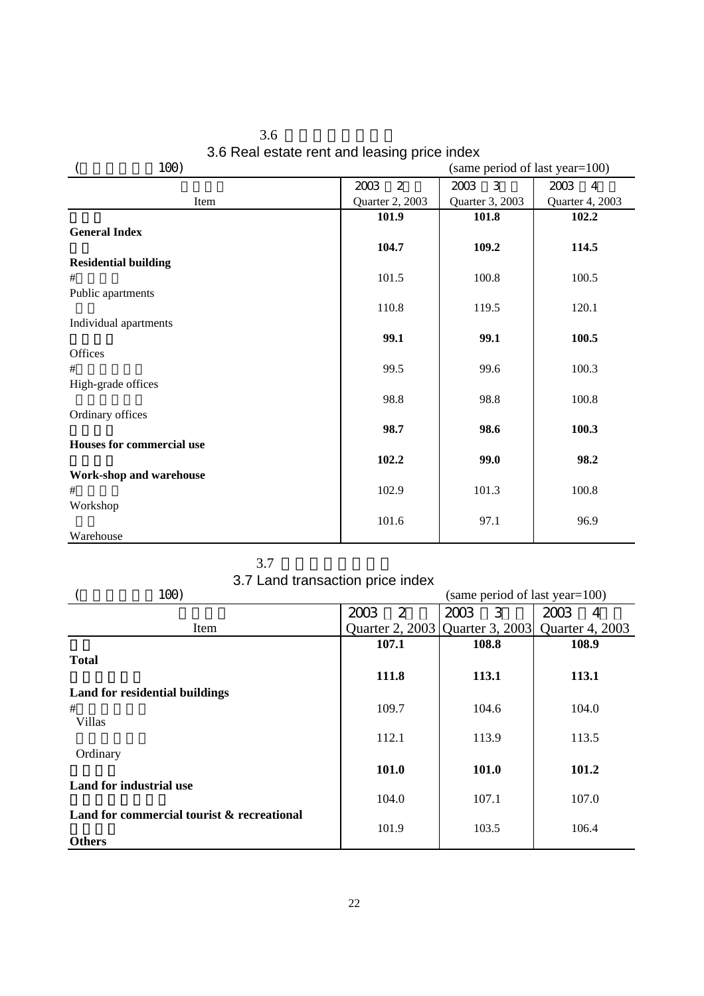| 100)                             |                        | (same period of last year=100) |                        |
|----------------------------------|------------------------|--------------------------------|------------------------|
|                                  | $\overline{2}$<br>2003 | 3<br>2003                      | 2003<br>$\overline{4}$ |
| Item                             | Quarter 2, 2003        | Quarter 3, 2003                | Quarter 4, 2003        |
|                                  | 101.9                  | 101.8                          | 102.2                  |
| <b>General Index</b>             |                        |                                |                        |
|                                  | 104.7                  | 109.2                          | 114.5                  |
| <b>Residential building</b>      |                        |                                |                        |
| #                                | 101.5                  | 100.8                          | 100.5                  |
| Public apartments                |                        |                                |                        |
|                                  | 110.8                  | 119.5                          | 120.1                  |
| Individual apartments            |                        |                                |                        |
|                                  | 99.1                   | 99.1                           | 100.5                  |
| Offices                          |                        |                                |                        |
| #                                | 99.5                   | 99.6                           | 100.3                  |
| High-grade offices               |                        |                                |                        |
|                                  | 98.8                   | 98.8                           | 100.8                  |
| Ordinary offices                 |                        |                                |                        |
|                                  | 98.7                   | 98.6                           | 100.3                  |
| <b>Houses for commercial use</b> |                        |                                |                        |
|                                  | 102.2                  | 99.0                           | 98.2                   |
| Work-shop and warehouse          |                        |                                |                        |
| #                                | 102.9                  | 101.3                          | 100.8                  |
| Workshop                         |                        |                                |                        |
|                                  | 101.6                  | 97.1                           | 96.9                   |
| Warehouse                        |                        |                                |                        |

 $3.6$ 3.6 Real estate rent and leasing price index

 $3.7$ 

3.7 Land transaction price index

| 100)                                       |           | (same period of last year=100) |                                                     |
|--------------------------------------------|-----------|--------------------------------|-----------------------------------------------------|
|                                            | 2<br>2003 | 2003<br>3                      | 2003<br>4                                           |
| Item                                       |           |                                | Quarter 2, 2003   Quarter 3, 2003   Quarter 4, 2003 |
|                                            | 107.1     | 108.8                          | 108.9                                               |
| <b>Total</b>                               |           |                                |                                                     |
|                                            | 111.8     | 113.1                          | 113.1                                               |
| <b>Land for residential buildings</b>      |           |                                |                                                     |
| #                                          | 109.7     | 104.6                          | 104.0                                               |
| <b>Villas</b>                              |           |                                |                                                     |
|                                            | 112.1     | 113.9                          | 113.5                                               |
| Ordinary                                   |           |                                |                                                     |
|                                            | 101.0     | 101.0                          | 101.2                                               |
| Land for industrial use                    |           |                                |                                                     |
|                                            | 104.0     | 107.1                          | 107.0                                               |
| Land for commercial tourist & recreational |           |                                |                                                     |
| <b>Others</b>                              | 101.9     | 103.5                          | 106.4                                               |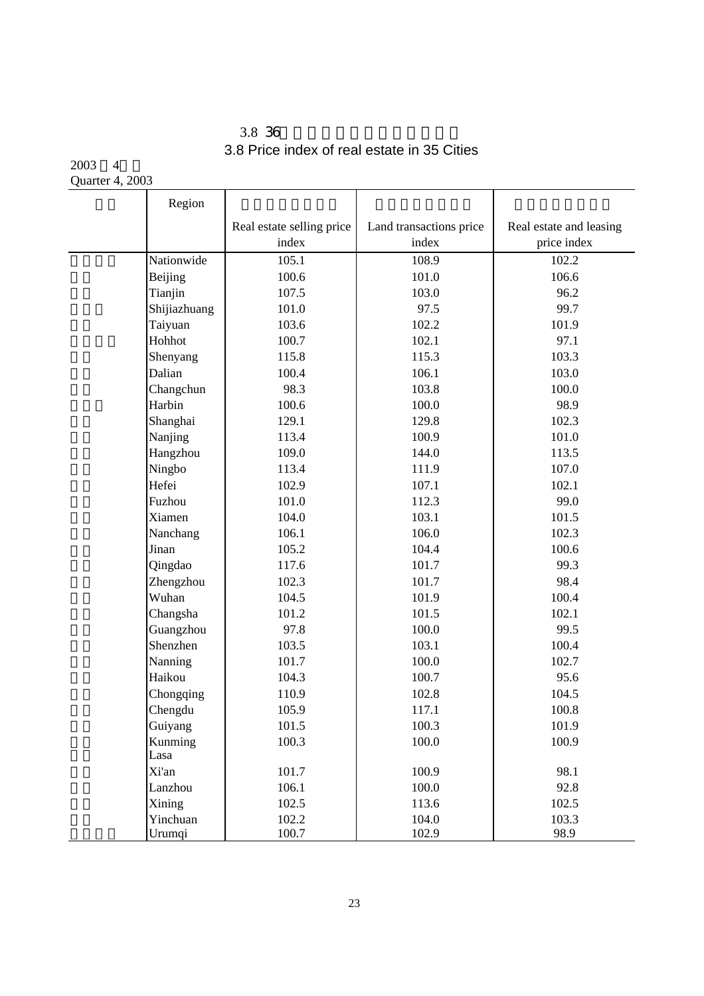## $3.8\,36$ 3.8 Price index of real estate in 35 Cities

 $2003 - 4$ Quarter 4, 2003

|        | Region             |                           |                         |                         |
|--------|--------------------|---------------------------|-------------------------|-------------------------|
|        |                    | Real estate selling price | Land transactions price | Real estate and leasing |
|        |                    | index                     | index                   | price index             |
|        | Nationwide         | 105.1                     | 108.9                   | 102.2                   |
|        | Beijing            | 100.6                     | 101.0                   | 106.6                   |
|        | Tianjin            | 107.5                     | 103.0                   | 96.2                    |
|        | Shijiazhuang       | 101.0                     | 97.5                    | 99.7                    |
|        | Taiyuan            | 103.6                     | 102.2                   | 101.9                   |
|        | Hohhot             | 100.7                     | 102.1                   | 97.1                    |
|        | Shenyang           | 115.8                     | 115.3                   | 103.3                   |
| Dalian |                    | 100.4                     | 106.1                   | 103.0                   |
|        | Changchun          | 98.3                      | 103.8                   | 100.0                   |
| Harbin |                    | 100.6                     | 100.0                   | 98.9                    |
|        | Shanghai           | 129.1                     | 129.8                   | 102.3                   |
|        | Nanjing            | 113.4                     | 100.9                   | 101.0                   |
|        | Hangzhou           | 109.0                     | 144.0                   | 113.5                   |
|        | Ningbo             | 113.4                     | 111.9                   | 107.0                   |
| Hefei  |                    | 102.9                     | 107.1                   | 102.1                   |
|        | Fuzhou             | 101.0                     | 112.3                   | 99.0                    |
|        | Xiamen             | 104.0                     | 103.1                   | 101.5                   |
|        | Nanchang           | 106.1                     | 106.0                   | 102.3                   |
| Jinan  |                    | 105.2                     | 104.4                   | 100.6                   |
|        | Qingdao            | 117.6                     | 101.7                   | 99.3                    |
|        | Zhengzhou          | 102.3                     | 101.7                   | 98.4                    |
|        | Wuhan              | 104.5                     | 101.9                   | 100.4                   |
|        | Changsha           | 101.2                     | 101.5                   | 102.1                   |
|        | Guangzhou          | 97.8                      | 100.0                   | 99.5                    |
|        | Shenzhen           | 103.5                     | 103.1                   | 100.4                   |
|        | Nanning            | 101.7                     | 100.0                   | 102.7                   |
|        | Haikou             | 104.3                     | 100.7                   | 95.6                    |
|        | Chongqing          | 110.9                     | 102.8                   | 104.5                   |
|        | Chengdu            | 105.9                     | 117.1                   | 100.8                   |
|        | Guiyang            | 101.5                     | 100.3                   | 101.9                   |
|        | Kunming            | 100.3                     | 100.0                   | 100.9                   |
| Lasa   |                    |                           |                         |                         |
| Xi'an  |                    | 101.7                     | 100.9                   | 98.1                    |
|        | Lanzhou            | 106.1                     | 100.0                   | 92.8                    |
| Xining |                    | 102.5                     | 113.6                   | 102.5                   |
|        | Yinchuan<br>Urumqi | 102.2<br>100.7            | 104.0<br>102.9          | 103.3<br>98.9           |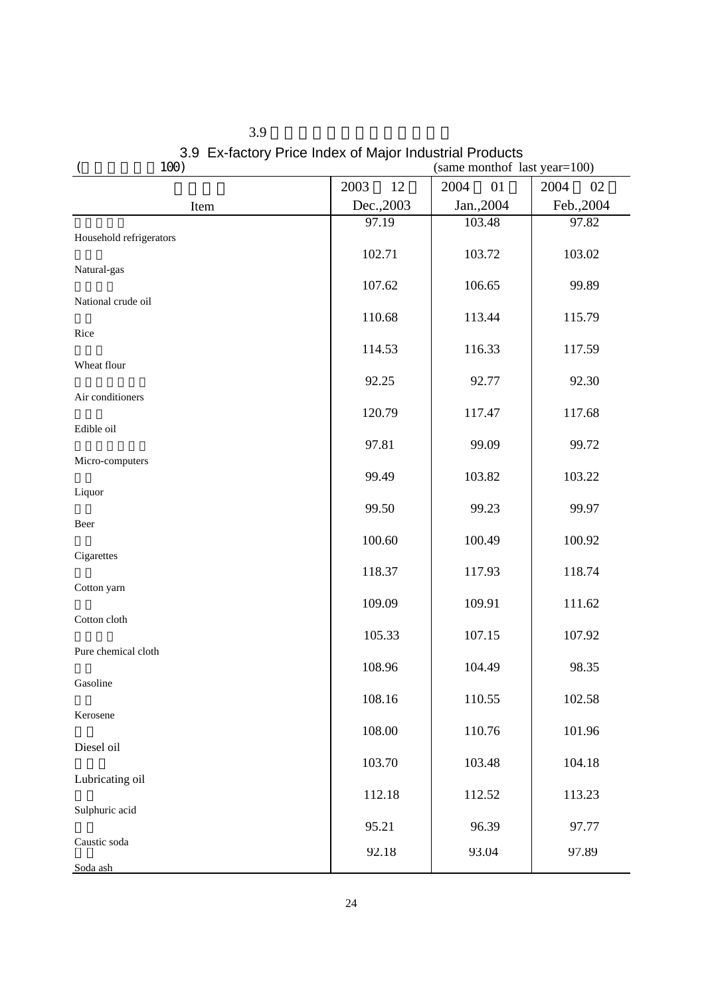| 100)                    |            | (same monthof last year=100) |            |
|-------------------------|------------|------------------------------|------------|
|                         | 2003<br>12 | 2004<br>01                   | 2004<br>02 |
| Item                    | Dec., 2003 | Jan.,2004                    | Feb., 2004 |
|                         | 97.19      | 103.48                       | 97.82      |
| Household refrigerators | 102.71     | 103.72                       | 103.02     |
| Natural-gas             |            |                              |            |
|                         | 107.62     | 106.65                       | 99.89      |
| National crude oil      | 110.68     | 113.44                       | 115.79     |
| Rice                    |            |                              |            |
|                         | 114.53     | 116.33                       | 117.59     |
| Wheat flour             | 92.25      | 92.77                        | 92.30      |
| Air conditioners        |            |                              |            |
|                         | 120.79     | 117.47                       | 117.68     |
| Edible oil              | 97.81      | 99.09                        | 99.72      |
| Micro-computers         |            |                              |            |
|                         | 99.49      | 103.82                       | 103.22     |
| Liquor                  | 99.50      | 99.23                        | 99.97      |
| Beer                    |            |                              |            |
|                         | 100.60     | 100.49                       | 100.92     |
| Cigarettes              | 118.37     | 117.93                       | 118.74     |
| Cotton yarn             |            |                              |            |
|                         | 109.09     | 109.91                       | 111.62     |
| Cotton cloth            | 105.33     | 107.15                       | 107.92     |
| Pure chemical cloth     |            |                              |            |
|                         | 108.96     | 104.49                       | 98.35      |
| Gasoline                | 108.16     | 110.55                       | 102.58     |
| Kerosene                |            |                              |            |
|                         | 108.00     | 110.76                       | 101.96     |
| Diesel oil              | 103.70     | 103.48                       | 104.18     |
| Lubricating oil         |            |                              |            |
|                         | 112.18     | 112.52                       | 113.23     |
| Sulphuric acid          | 95.21      | 96.39                        | 97.77      |
| Caustic soda            |            |                              |            |
| Soda ash                | 92.18      | 93.04                        | 97.89      |

 $3.9$ 3.9 Ex-factory Price Index of Major Industrial Products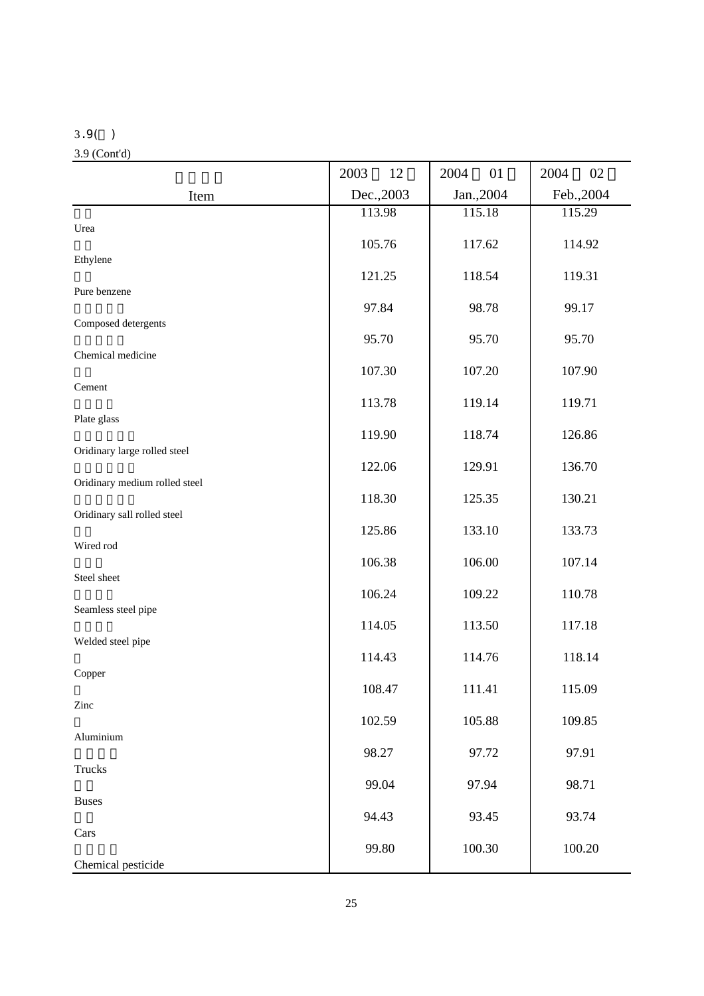#### 3.9( )

3.9 (Cont'd)

|                               | 2003<br>12 | 2004<br>01 | 2004<br>02 |
|-------------------------------|------------|------------|------------|
| Item                          | Dec., 2003 | Jan., 2004 | Feb., 2004 |
|                               | 113.98     | 115.18     | 115.29     |
| Urea                          | 105.76     | 117.62     | 114.92     |
| Ethylene                      | 121.25     | 118.54     | 119.31     |
| Pure benzene                  |            |            |            |
| Composed detergents           | 97.84      | 98.78      | 99.17      |
|                               | 95.70      | 95.70      | 95.70      |
| Chemical medicine             | 107.30     | 107.20     | 107.90     |
| Cement                        | 113.78     | 119.14     | 119.71     |
| Plate glass                   |            |            |            |
| Oridinary large rolled steel  | 119.90     | 118.74     | 126.86     |
|                               | 122.06     | 129.91     | 136.70     |
| Oridinary medium rolled steel | 118.30     | 125.35     | 130.21     |
| Oridinary sall rolled steel   |            |            |            |
| Wired rod                     | 125.86     | 133.10     | 133.73     |
| Steel sheet                   | 106.38     | 106.00     | 107.14     |
|                               | 106.24     | 109.22     | 110.78     |
| Seamless steel pipe           | 114.05     | 113.50     | 117.18     |
| Welded steel pipe             |            |            |            |
| Copper                        | 114.43     | 114.76     | 118.14     |
| Zinc                          | 108.47     | 111.41     | 115.09     |
|                               | 102.59     | 105.88     | 109.85     |
| Aluminium                     | 98.27      | 97.72      | 97.91      |
| Trucks                        |            |            |            |
| <b>Buses</b>                  | 99.04      | 97.94      | 98.71      |
|                               | 94.43      | 93.45      | 93.74      |
| Cars                          | 99.80      | 100.30     | 100.20     |
| Chemical pesticide            |            |            |            |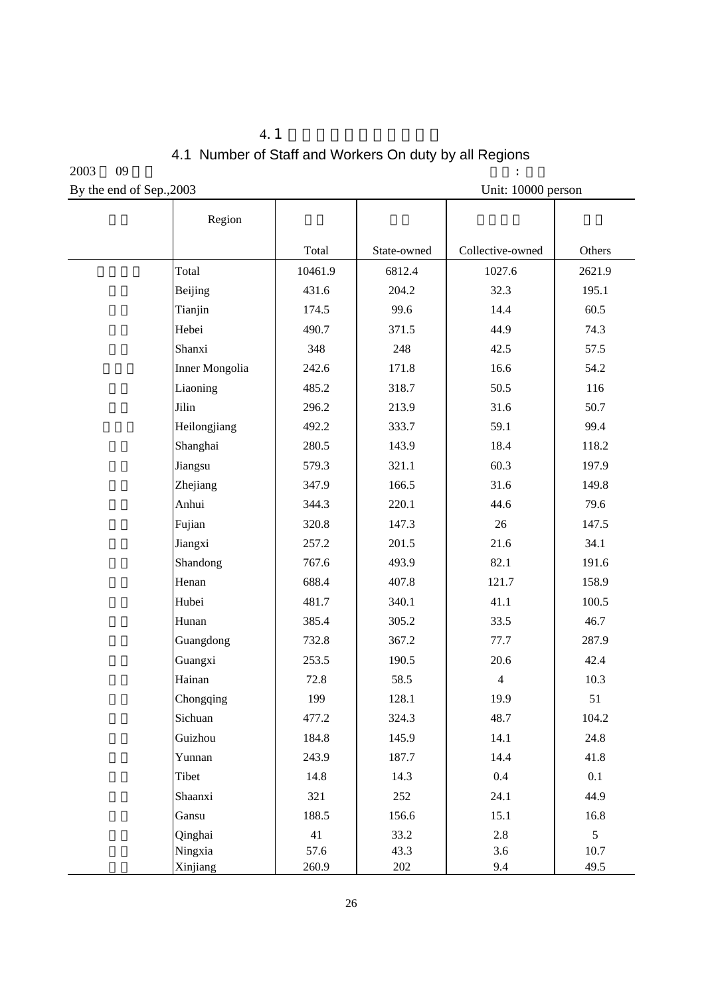# $4.1$ 4.1 Number of Staff and Workers On duty by all Regions

 $2003$  09  $\blacksquare$ By the end of Sep., 2003 Unit: 10000 person

| Region                |         |             |                  |        |
|-----------------------|---------|-------------|------------------|--------|
|                       | Total   | State-owned | Collective-owned | Others |
| Total                 | 10461.9 | 6812.4      | 1027.6           | 2621.9 |
| Beijing               | 431.6   | 204.2       | 32.3             | 195.1  |
| Tianjin               | 174.5   | 99.6        | 14.4             | 60.5   |
| Hebei                 | 490.7   | 371.5       | 44.9             | 74.3   |
| Shanxi                | 348     | 248         | 42.5             | 57.5   |
| <b>Inner Mongolia</b> | 242.6   | 171.8       | 16.6             | 54.2   |
| Liaoning              | 485.2   | 318.7       | 50.5             | 116    |
| Jilin                 | 296.2   | 213.9       | 31.6             | 50.7   |
| Heilongjiang          | 492.2   | 333.7       | 59.1             | 99.4   |
| Shanghai              | 280.5   | 143.9       | 18.4             | 118.2  |
| Jiangsu               | 579.3   | 321.1       | 60.3             | 197.9  |
| Zhejiang              | 347.9   | 166.5       | 31.6             | 149.8  |
| Anhui                 | 344.3   | 220.1       | 44.6             | 79.6   |
| Fujian                | 320.8   | 147.3       | 26               | 147.5  |
| Jiangxi               | 257.2   | 201.5       | 21.6             | 34.1   |
| Shandong              | 767.6   | 493.9       | 82.1             | 191.6  |
| Henan                 | 688.4   | 407.8       | 121.7            | 158.9  |
| Hubei                 | 481.7   | 340.1       | 41.1             | 100.5  |
| Hunan                 | 385.4   | 305.2       | 33.5             | 46.7   |
| Guangdong             | 732.8   | 367.2       | 77.7             | 287.9  |
| Guangxi               | 253.5   | 190.5       | 20.6             | 42.4   |
| Hainan                | 72.8    | 58.5        | $\overline{4}$   | 10.3   |
| Chongqing             | 199     | 128.1       | 19.9             | 51     |
| Sichuan               | 477.2   | 324.3       | 48.7             | 104.2  |
| Guizhou               | 184.8   | 145.9       | 14.1             | 24.8   |
| Yunnan                | 243.9   | 187.7       | 14.4             | 41.8   |
| Tibet                 | 14.8    | 14.3        | $0.4\,$          | 0.1    |
| Shaanxi               | 321     | 252         | 24.1             | 44.9   |
| Gansu                 | 188.5   | 156.6       | 15.1             | 16.8   |
| Qinghai               | 41      | 33.2        | 2.8              | 5      |
| Ningxia               | 57.6    | 43.3        | 3.6              | 10.7   |
| Xinjiang              | 260.9   | 202         | 9.4              | 49.5   |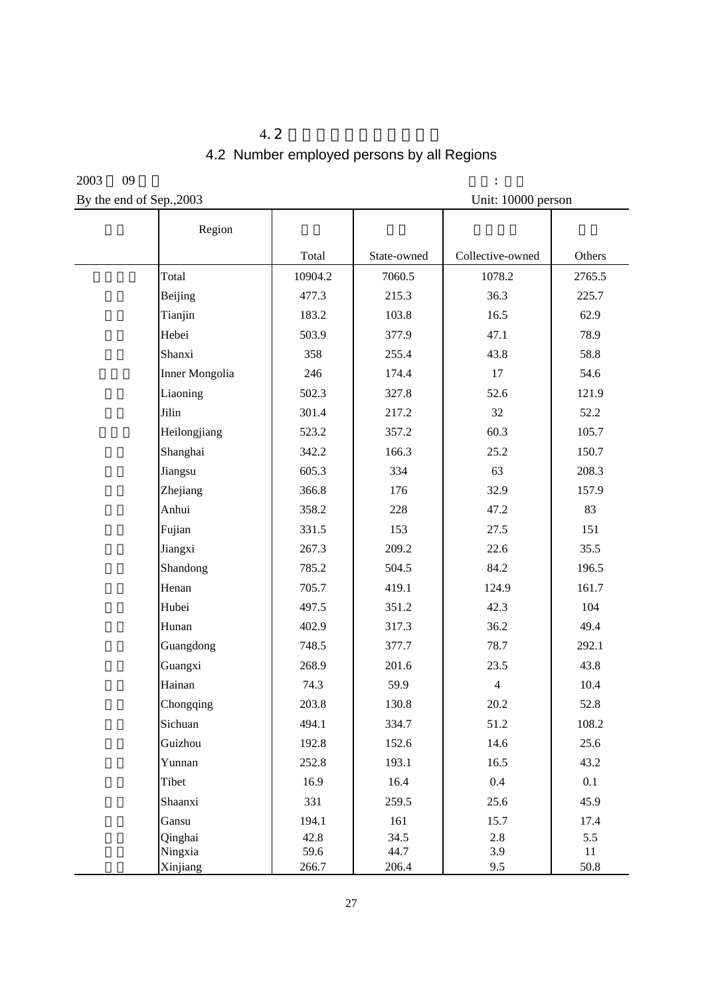# $4.2$ 4.2 Number employed persons by all Regions

 $2003$  09  $\qquad \qquad$  :

By the end of Sep., 2003 Unit: 10000 person

| Region              |               |               |                  |            |
|---------------------|---------------|---------------|------------------|------------|
|                     | Total         | State-owned   | Collective-owned | Others     |
| Total               | 10904.2       | 7060.5        | 1078.2           | 2765.5     |
| Beijing             | 477.3         | 215.3         | 36.3             | 225.7      |
| Tianjin             | 183.2         | 103.8         | 16.5             | 62.9       |
| Hebei               | 503.9         | 377.9         | 47.1             | 78.9       |
| Shanxi              | 358           | 255.4         | 43.8             | 58.8       |
| Inner Mongolia      | 246           | 174.4         | 17               | 54.6       |
| Liaoning            | 502.3         | 327.8         | 52.6             | 121.9      |
| Jilin               | 301.4         | 217.2         | 32               | 52.2       |
| Heilongjiang        | 523.2         | 357.2         | 60.3             | 105.7      |
| Shanghai            | 342.2         | 166.3         | 25.2             | 150.7      |
| Jiangsu             | 605.3         | 334           | 63               | 208.3      |
| Zhejiang            | 366.8         | 176           | 32.9             | 157.9      |
| Anhui               | 358.2         | 228           | 47.2             | 83         |
| Fujian              | 331.5         | 153           | 27.5             | 151        |
| Jiangxi             | 267.3         | 209.2         | 22.6             | 35.5       |
| Shandong            | 785.2         | 504.5         | 84.2             | 196.5      |
| Henan               | 705.7         | 419.1         | 124.9            | 161.7      |
| Hubei               | 497.5         | 351.2         | 42.3             | 104        |
| Hunan               | 402.9         | 317.3         | 36.2             | 49.4       |
| Guangdong           | 748.5         | 377.7         | 78.7             | 292.1      |
| Guangxi             | 268.9         | 201.6         | 23.5             | 43.8       |
| Hainan              | 74.3          | 59.9          | $\overline{4}$   | 10.4       |
| Chongqing           | 203.8         | 130.8         | 20.2             | 52.8       |
| Sichuan             | 494.1         | 334.7         | 51.2             | 108.2      |
| Guizhou             | 192.8         | 152.6         | 14.6             | 25.6       |
| Yunnan              | 252.8         | 193.1         | 16.5             | 43.2       |
| Tibet               | 16.9          | 16.4          | $0.4\,$          | 0.1        |
| Shaanxi             | 331           | 259.5         | 25.6             | 45.9       |
| Gansu               | 194.1         | 161           | 15.7             | 17.4       |
| Qinghai             | 42.8          | 34.5          | 2.8              | 5.5        |
| Ningxia<br>Xinjiang | 59.6<br>266.7 | 44.7<br>206.4 | 3.9<br>9.5       | 11<br>50.8 |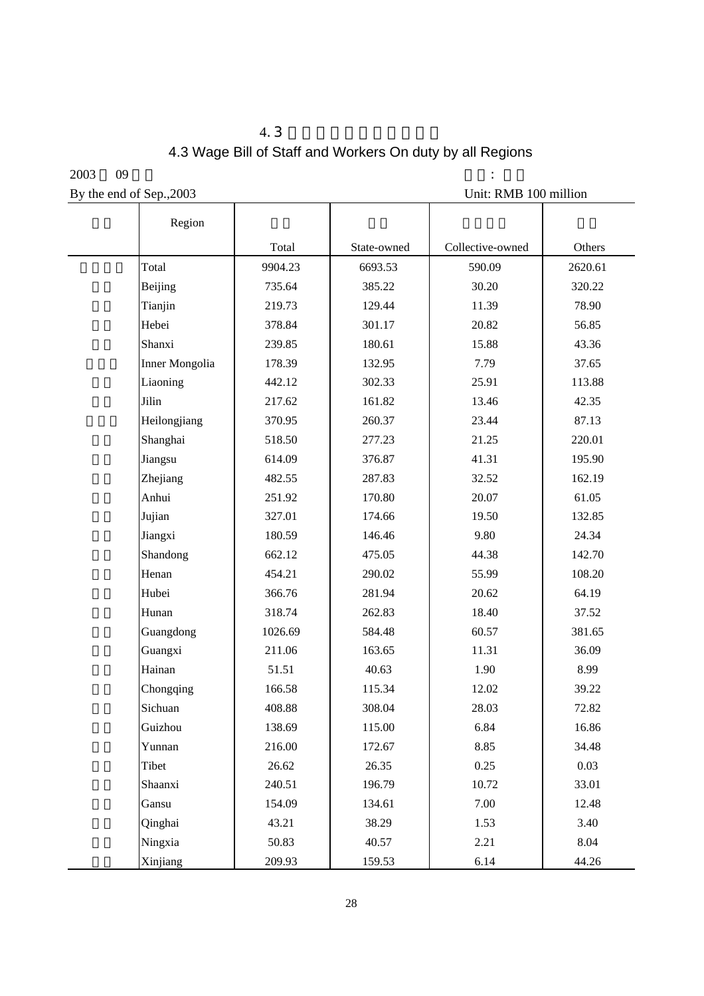# $4.3$ 4.3 Wage Bill of Staff and Workers On duty by all Regions

 $2003$  09  $\therefore$ By the end of Sep., 2003 Unit: RMB 100 million

| Region         |         |             |                  |         |
|----------------|---------|-------------|------------------|---------|
|                | Total   | State-owned | Collective-owned | Others  |
| Total          | 9904.23 | 6693.53     | 590.09           | 2620.61 |
| Beijing        | 735.64  | 385.22      | 30.20            | 320.22  |
| Tianjin        | 219.73  | 129.44      | 11.39            | 78.90   |
| Hebei          | 378.84  | 301.17      | 20.82            | 56.85   |
| Shanxi         | 239.85  | 180.61      | 15.88            | 43.36   |
| Inner Mongolia | 178.39  | 132.95      | 7.79             | 37.65   |
| Liaoning       | 442.12  | 302.33      | 25.91            | 113.88  |
| Jilin          | 217.62  | 161.82      | 13.46            | 42.35   |
| Heilongjiang   | 370.95  | 260.37      | 23.44            | 87.13   |
| Shanghai       | 518.50  | 277.23      | 21.25            | 220.01  |
| Jiangsu        | 614.09  | 376.87      | 41.31            | 195.90  |
| Zhejiang       | 482.55  | 287.83      | 32.52            | 162.19  |
| Anhui          | 251.92  | 170.80      | 20.07            | 61.05   |
| Jujian         | 327.01  | 174.66      | 19.50            | 132.85  |
| Jiangxi        | 180.59  | 146.46      | 9.80             | 24.34   |
| Shandong       | 662.12  | 475.05      | 44.38            | 142.70  |
| Henan          | 454.21  | 290.02      | 55.99            | 108.20  |
| Hubei          | 366.76  | 281.94      | 20.62            | 64.19   |
| Hunan          | 318.74  | 262.83      | 18.40            | 37.52   |
| Guangdong      | 1026.69 | 584.48      | 60.57            | 381.65  |
| Guangxi        | 211.06  | 163.65      | 11.31            | 36.09   |
| Hainan         | 51.51   | 40.63       | 1.90             | 8.99    |
| Chongqing      | 166.58  | 115.34      | 12.02            | 39.22   |
| Sichuan        | 408.88  | 308.04      | 28.03            | 72.82   |
| Guizhou        | 138.69  | 115.00      | 6.84             | 16.86   |
| Yunnan         | 216.00  | 172.67      | 8.85             | 34.48   |
| Tibet          | 26.62   | 26.35       | 0.25             | 0.03    |
| Shaanxi        | 240.51  | 196.79      | 10.72            | 33.01   |
| Gansu          | 154.09  | 134.61      | 7.00             | 12.48   |
| Qinghai        | 43.21   | 38.29       | 1.53             | 3.40    |
| Ningxia        | 50.83   | 40.57       | 2.21             | 8.04    |
| Xinjiang       | 209.93  | 159.53      | 6.14             | 44.26   |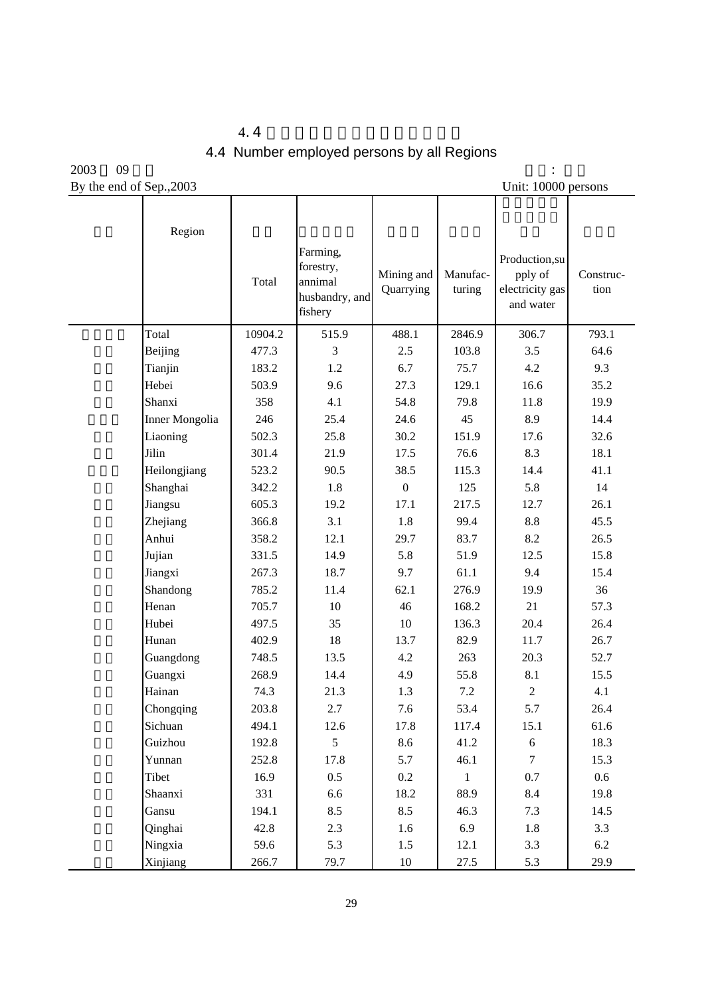| 44                                         |
|--------------------------------------------|
| 4.4 Number employed persons by all Regions |

2003 09 月末 单位: 万人 By the end of Sep., 2003

| Region         | Total   | Farming,<br>forestry,<br>annimal<br>husbandry, and<br>fishery | Mining and<br>Quarrying | Manufac-<br>turing | Production,su<br>pply of<br>electricity gas<br>and water | Construc-<br>tion |
|----------------|---------|---------------------------------------------------------------|-------------------------|--------------------|----------------------------------------------------------|-------------------|
| Total          | 10904.2 | 515.9                                                         | 488.1                   | 2846.9             | 306.7                                                    | 793.1             |
| Beijing        | 477.3   | 3                                                             | 2.5                     | 103.8              | 3.5                                                      | 64.6              |
| Tianjin        | 183.2   | 1.2                                                           | 6.7                     | 75.7               | 4.2                                                      | 9.3               |
| Hebei          | 503.9   | 9.6                                                           | 27.3                    | 129.1              | 16.6                                                     | 35.2              |
| Shanxi         | 358     | 4.1                                                           | 54.8                    | 79.8               | 11.8                                                     | 19.9              |
| Inner Mongolia | 246     | 25.4                                                          | 24.6                    | 45                 | 8.9                                                      | 14.4              |
| Liaoning       | 502.3   | 25.8                                                          | 30.2                    | 151.9              | 17.6                                                     | 32.6              |
| Jilin          | 301.4   | 21.9                                                          | 17.5                    | 76.6               | 8.3                                                      | 18.1              |
| Heilongjiang   | 523.2   | 90.5                                                          | 38.5                    | 115.3              | 14.4                                                     | 41.1              |
| Shanghai       | 342.2   | 1.8                                                           | $\boldsymbol{0}$        | 125                | 5.8                                                      | 14                |
| Jiangsu        | 605.3   | 19.2                                                          | 17.1                    | 217.5              | 12.7                                                     | 26.1              |
| Zhejiang       | 366.8   | 3.1                                                           | 1.8                     | 99.4               | $8.8\,$                                                  | 45.5              |
| Anhui          | 358.2   | 12.1                                                          | 29.7                    | 83.7               | 8.2                                                      | 26.5              |
| Jujian         | 331.5   | 14.9                                                          | 5.8                     | 51.9               | 12.5                                                     | 15.8              |
| Jiangxi        | 267.3   | 18.7                                                          | 9.7                     | 61.1               | 9.4                                                      | 15.4              |
| Shandong       | 785.2   | 11.4                                                          | 62.1                    | 276.9              | 19.9                                                     | 36                |
| Henan          | 705.7   | 10                                                            | 46                      | 168.2              | 21                                                       | 57.3              |
| Hubei          | 497.5   | 35                                                            | 10                      | 136.3              | 20.4                                                     | 26.4              |
| Hunan          | 402.9   | 18                                                            | 13.7                    | 82.9               | 11.7                                                     | 26.7              |
| Guangdong      | 748.5   | 13.5                                                          | 4.2                     | 263                | 20.3                                                     | 52.7              |
| Guangxi        | 268.9   | 14.4                                                          | 4.9                     | 55.8               | 8.1                                                      | 15.5              |
| Hainan         | 74.3    | 21.3                                                          | 1.3                     | 7.2                | $\overline{2}$                                           | 4.1               |
| Chongqing      | 203.8   | 2.7                                                           | 7.6                     | 53.4               | 5.7                                                      | 26.4              |
| Sichuan        | 494.1   | 12.6                                                          | 17.8                    | 117.4              | 15.1                                                     | 61.6              |
| Guizhou        | 192.8   | 5                                                             | 8.6                     | 41.2               | $6\,$                                                    | 18.3              |
| Yunnan         | 252.8   | 17.8                                                          | 5.7                     | 46.1               | $\tau$                                                   | 15.3              |
| Tibet          | 16.9    | $0.5\,$                                                       | $0.2\,$                 | $\mathbf{1}$       | 0.7                                                      | 0.6               |
| Shaanxi        | 331     | 6.6                                                           | 18.2                    | 88.9               | 8.4                                                      | 19.8              |
| Gansu          | 194.1   | 8.5                                                           | 8.5                     | 46.3               | 7.3                                                      | 14.5              |
| Qinghai        | 42.8    | 2.3                                                           | 1.6                     | 6.9                | 1.8                                                      | 3.3               |
| Ningxia        | 59.6    | 5.3                                                           | 1.5                     | 12.1               | 3.3                                                      | 6.2               |
| Xinjiang       | 266.7   | 79.7                                                          | $10\,$                  | 27.5               | 5.3                                                      | 29.9              |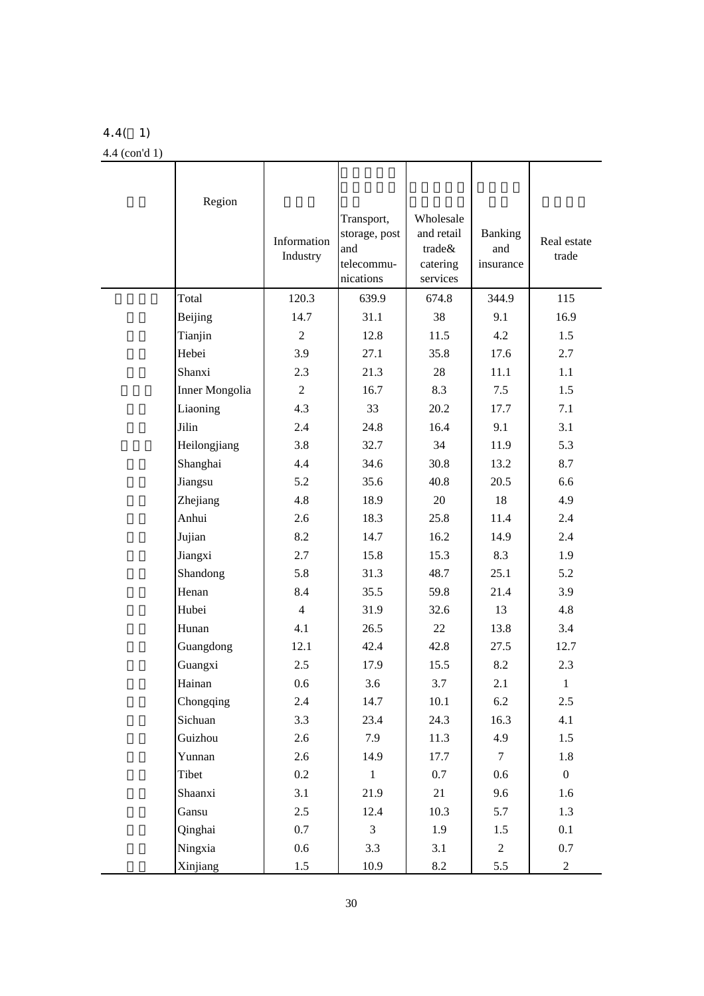## 4.4( 1)

4.4 (con'd 1)

| Region         | Information<br>Industry | Transport,<br>storage, post<br>and<br>telecommu-<br>nications | Wholesale<br>and retail<br>trade&<br>catering<br>services | <b>Banking</b><br>and<br>insurance | Real estate<br>trade |
|----------------|-------------------------|---------------------------------------------------------------|-----------------------------------------------------------|------------------------------------|----------------------|
| Total          | 120.3                   | 639.9                                                         | 674.8                                                     | 344.9                              | 115                  |
| Beijing        | 14.7                    | 31.1                                                          | 38                                                        | 9.1                                | 16.9                 |
| Tianjin        | $\mathfrak{2}$          | 12.8                                                          | 11.5                                                      | 4.2                                | 1.5                  |
| Hebei          | 3.9                     | 27.1                                                          | 35.8                                                      | 17.6                               | 2.7                  |
| Shanxi         | 2.3                     | 21.3                                                          | 28                                                        | 11.1                               | 1.1                  |
| Inner Mongolia | $\mathfrak{2}$          | 16.7                                                          | 8.3                                                       | 7.5                                | 1.5                  |
| Liaoning       | 4.3                     | 33                                                            | 20.2                                                      | 17.7                               | 7.1                  |
| Jilin          | 2.4                     | 24.8                                                          | 16.4                                                      | 9.1                                | 3.1                  |
| Heilongjiang   | 3.8                     | 32.7                                                          | 34                                                        | 11.9                               | 5.3                  |
| Shanghai       | 4.4                     | 34.6                                                          | 30.8                                                      | 13.2                               | 8.7                  |
| Jiangsu        | 5.2                     | 35.6                                                          | 40.8                                                      | 20.5                               | 6.6                  |
| Zhejiang       | 4.8                     | 18.9                                                          | 20                                                        | 18                                 | 4.9                  |
| Anhui          | 2.6                     | 18.3                                                          | 25.8                                                      | 11.4                               | 2.4                  |
| Jujian         | 8.2                     | 14.7                                                          | 16.2                                                      | 14.9                               | 2.4                  |
| Jiangxi        | 2.7                     | 15.8                                                          | 15.3                                                      | 8.3                                | 1.9                  |
| Shandong       | 5.8                     | 31.3                                                          | 48.7                                                      | 25.1                               | 5.2                  |
| Henan          | 8.4                     | 35.5                                                          | 59.8                                                      | 21.4                               | 3.9                  |
| Hubei          | $\overline{4}$          | 31.9                                                          | 32.6                                                      | 13                                 | 4.8                  |
| Hunan          | 4.1                     | 26.5                                                          | 22                                                        | 13.8                               | 3.4                  |
| Guangdong      | 12.1                    | 42.4                                                          | 42.8                                                      | 27.5                               | 12.7                 |
| Guangxi        | 2.5                     | 17.9                                                          | 15.5                                                      | 8.2                                | 2.3                  |
| Hainan         | 0.6                     | 3.6                                                           | 3.7                                                       | 2.1                                | $\mathbf{1}$         |
| Chongqing      | 2.4                     | 14.7                                                          | 10.1                                                      | 6.2                                | 2.5                  |
| Sichuan        | 3.3                     | 23.4                                                          | 24.3                                                      | 16.3                               | 4.1                  |
| Guizhou        | 2.6                     | 7.9                                                           | 11.3                                                      | 4.9                                | 1.5                  |
| Yunnan         | 2.6                     | 14.9                                                          | 17.7                                                      | $\tau$                             | 1.8                  |
| Tibet          | $0.2\,$                 | $\mathbf{1}$                                                  | $0.7\,$                                                   | 0.6                                | $\boldsymbol{0}$     |
| Shaanxi        | 3.1                     | 21.9                                                          | 21                                                        | 9.6                                | 1.6                  |
| Gansu          | 2.5                     | 12.4                                                          | 10.3                                                      | 5.7                                | 1.3                  |
| Qinghai        | 0.7                     | $\mathfrak{Z}$                                                | 1.9                                                       | 1.5                                | 0.1                  |
| Ningxia        | 0.6                     | 3.3                                                           | 3.1                                                       | $\overline{2}$                     | 0.7                  |
| Xinjiang       | 1.5                     | 10.9                                                          | 8.2                                                       | 5.5                                | $\overline{2}$       |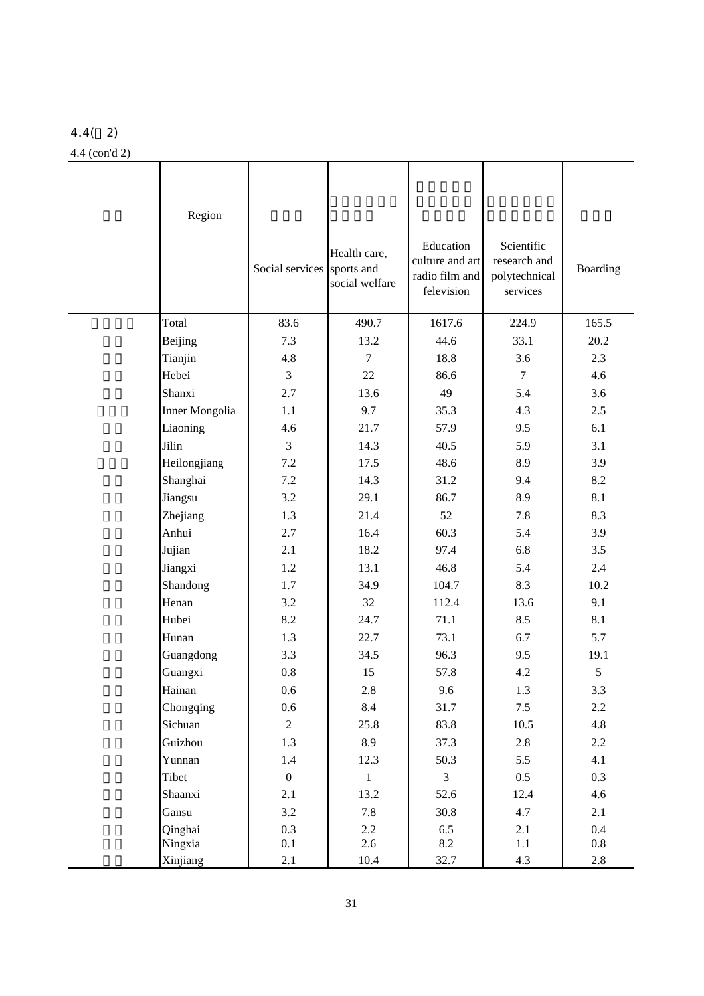## 4.4( 2)

4.4 (con'd 2)

| Region         | Social services  | Health care,<br>sports and<br>social welfare | Education<br>culture and art<br>radio film and<br>felevision | Scientific<br>research and<br>polytechnical<br>services | Boarding |
|----------------|------------------|----------------------------------------------|--------------------------------------------------------------|---------------------------------------------------------|----------|
| Total          | 83.6             | 490.7                                        | 1617.6                                                       | 224.9                                                   | 165.5    |
| Beijing        | 7.3              | 13.2                                         | 44.6                                                         | 33.1                                                    | 20.2     |
| Tianjin        | 4.8              | $\tau$                                       | 18.8                                                         | 3.6                                                     | 2.3      |
| Hebei          | $\overline{3}$   | 22                                           | 86.6                                                         | $\tau$                                                  | 4.6      |
| Shanxi         | 2.7              | 13.6                                         | 49                                                           | 5.4                                                     | 3.6      |
| Inner Mongolia | 1.1              | 9.7                                          | 35.3                                                         | 4.3                                                     | 2.5      |
| Liaoning       | 4.6              | 21.7                                         | 57.9                                                         | 9.5                                                     | 6.1      |
| Jilin          | 3                | 14.3                                         | 40.5                                                         | 5.9                                                     | 3.1      |
| Heilongjiang   | 7.2              | 17.5                                         | 48.6                                                         | 8.9                                                     | 3.9      |
| Shanghai       | 7.2              | 14.3                                         | 31.2                                                         | 9.4                                                     | 8.2      |
| Jiangsu        | 3.2              | 29.1                                         | 86.7                                                         | 8.9                                                     | 8.1      |
| Zhejiang       | 1.3              | 21.4                                         | 52                                                           | 7.8                                                     | 8.3      |
| Anhui          | 2.7              | 16.4                                         | 60.3                                                         | 5.4                                                     | 3.9      |
| Jujian         | 2.1              | 18.2                                         | 97.4                                                         | 6.8                                                     | 3.5      |
| Jiangxi        | 1.2              | 13.1                                         | 46.8                                                         | 5.4                                                     | 2.4      |
| Shandong       | 1.7              | 34.9                                         | 104.7                                                        | 8.3                                                     | 10.2     |
| Henan          | 3.2              | 32                                           | 112.4                                                        | 13.6                                                    | 9.1      |
| Hubei          | 8.2              | 24.7                                         | 71.1                                                         | 8.5                                                     | 8.1      |
| Hunan          | 1.3              | 22.7                                         | 73.1                                                         | 6.7                                                     | 5.7      |
| Guangdong      | 3.3              | 34.5                                         | 96.3                                                         | 9.5                                                     | 19.1     |
| Guangxi        | $0.8\,$          | 15                                           | 57.8                                                         | 4.2                                                     | 5        |
| Hainan         | $0.6\,$          | $2.8\,$                                      | 9.6                                                          | 1.3                                                     | $3.3\,$  |
| Chongqing      | $0.6\,$          | 8.4                                          | 31.7                                                         | 7.5                                                     | $2.2\,$  |
| Sichuan        | $\overline{2}$   | 25.8                                         | 83.8                                                         | 10.5                                                    | 4.8      |
| Guizhou        | 1.3              | 8.9                                          | 37.3                                                         | 2.8                                                     | $2.2\,$  |
| Yunnan         | 1.4              | 12.3                                         | 50.3                                                         | 5.5                                                     | 4.1      |
| Tibet          | $\boldsymbol{0}$ | $\mathbf{1}$                                 | $\mathfrak{Z}$                                               | 0.5                                                     | 0.3      |
| Shaanxi        | 2.1              | 13.2                                         | 52.6                                                         | 12.4                                                    | 4.6      |
| Gansu          | 3.2              | 7.8                                          | 30.8                                                         | 4.7                                                     | 2.1      |
| Qinghai        | 0.3              | $2.2\,$                                      | 6.5                                                          | 2.1                                                     | 0.4      |
| Ningxia        | $0.1\,$          | 2.6                                          | 8.2                                                          | $1.1\,$                                                 | $0.8\,$  |
| Xinjiang       | 2.1              | 10.4                                         | 32.7                                                         | 4.3                                                     | $2.8\,$  |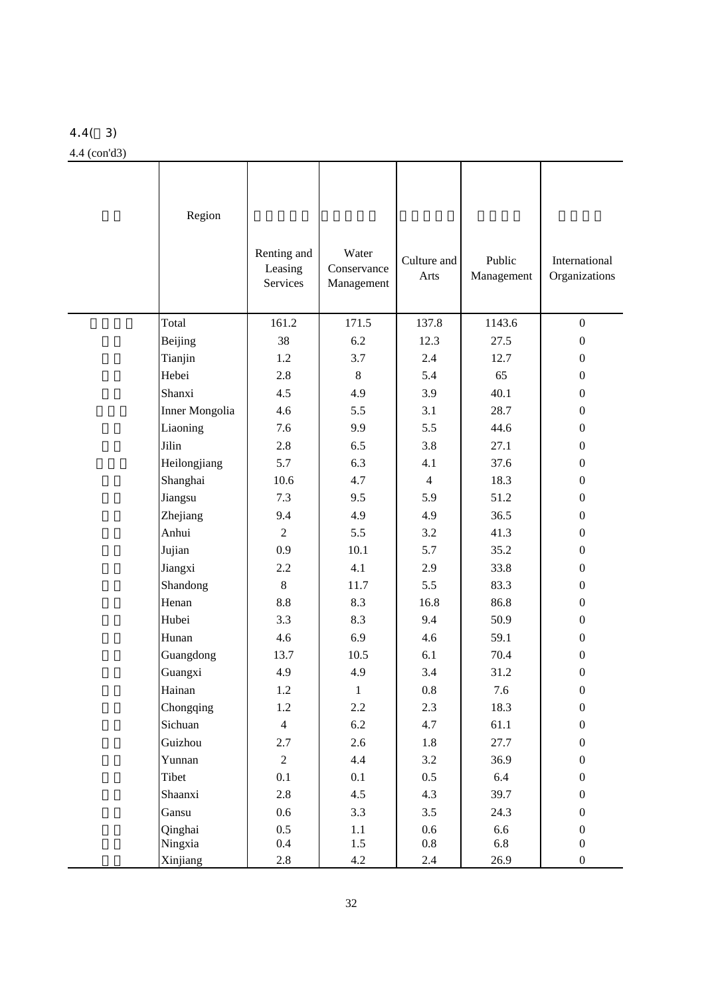## 4.4( 3)

### 4.4 (con'd3)

| Region         | Renting and<br>Leasing<br>Services | Water<br>Conservance<br>Management | Culture and<br>Arts | Public<br>Management | International<br>Organizations |
|----------------|------------------------------------|------------------------------------|---------------------|----------------------|--------------------------------|
| Total          | 161.2                              | 171.5                              | 137.8               | 1143.6               | $\boldsymbol{0}$               |
| Beijing        | 38                                 | 6.2                                | 12.3                | 27.5                 | $\boldsymbol{0}$               |
| Tianjin        | 1.2                                | 3.7                                | 2.4                 | 12.7                 | $\boldsymbol{0}$               |
| Hebei          | 2.8                                | $8\,$                              | 5.4                 | 65                   | $\boldsymbol{0}$               |
| Shanxi         | 4.5                                | 4.9                                | 3.9                 | 40.1                 | $\boldsymbol{0}$               |
| Inner Mongolia | 4.6                                | 5.5                                | 3.1                 | 28.7                 | $\overline{0}$                 |
| Liaoning       | 7.6                                | 9.9                                | 5.5                 | 44.6                 | $\boldsymbol{0}$               |
| Jilin          | 2.8                                | 6.5                                | 3.8                 | 27.1                 | $\boldsymbol{0}$               |
| Heilongjiang   | 5.7                                | 6.3                                | 4.1                 | 37.6                 | $\boldsymbol{0}$               |
| Shanghai       | 10.6                               | 4.7                                | $\overline{4}$      | 18.3                 | $\boldsymbol{0}$               |
| Jiangsu        | 7.3                                | 9.5                                | 5.9                 | 51.2                 | $\overline{0}$                 |
| Zhejiang       | 9.4                                | 4.9                                | 4.9                 | 36.5                 | $\boldsymbol{0}$               |
| Anhui          | $\overline{2}$                     | 5.5                                | 3.2                 | 41.3                 | $\boldsymbol{0}$               |
| Jujian         | 0.9                                | 10.1                               | 5.7                 | 35.2                 | $\boldsymbol{0}$               |
| Jiangxi        | 2.2                                | 4.1                                | 2.9                 | 33.8                 | $\boldsymbol{0}$               |
| Shandong       | $\,8\,$                            | 11.7                               | 5.5                 | 83.3                 | $\boldsymbol{0}$               |
| Henan          | 8.8                                | 8.3                                | 16.8                | 86.8                 | $\boldsymbol{0}$               |
| Hubei          | 3.3                                | 8.3                                | 9.4                 | 50.9                 | $\boldsymbol{0}$               |
| Hunan          | 4.6                                | 6.9                                | 4.6                 | 59.1                 | $\overline{0}$                 |
| Guangdong      | 13.7                               | 10.5                               | 6.1                 | 70.4                 | $\boldsymbol{0}$               |
| Guangxi        | 4.9                                | 4.9                                | 3.4                 | 31.2                 | $\boldsymbol{0}$               |
| Hainan         | $1.2\,$                            | $\mathbf{1}$                       | $\rm 0.8$           | 7.6                  | $\boldsymbol{0}$               |
| Chongqing      | 1.2                                | 2.2                                | 2.3                 | 18.3                 | $\boldsymbol{0}$               |
| Sichuan        | $\overline{4}$                     | 6.2                                | 4.7                 | 61.1                 | $\boldsymbol{0}$               |
| Guizhou        | 2.7                                | 2.6                                | 1.8                 | 27.7                 | $\boldsymbol{0}$               |
| Yunnan         | $\overline{2}$                     | 4.4                                | 3.2                 | 36.9                 | $\boldsymbol{0}$               |
| Tibet          | 0.1                                | 0.1                                | $0.5\,$             | 6.4                  | $\boldsymbol{0}$               |
| Shaanxi        | 2.8                                | 4.5                                | 4.3                 | 39.7                 | $\boldsymbol{0}$               |
| Gansu          | $0.6\,$                            | 3.3                                | 3.5                 | 24.3                 | $\boldsymbol{0}$               |
| Qinghai        | 0.5                                | $1.1\,$                            | 0.6                 | 6.6                  | $\boldsymbol{0}$               |
| Ningxia        | $0.4\,$                            | 1.5                                | 0.8                 | 6.8                  | $\boldsymbol{0}$               |
| Xinjiang       | $2.8\,$                            | 4.2                                | $2.4\,$             | 26.9                 | $\boldsymbol{0}$               |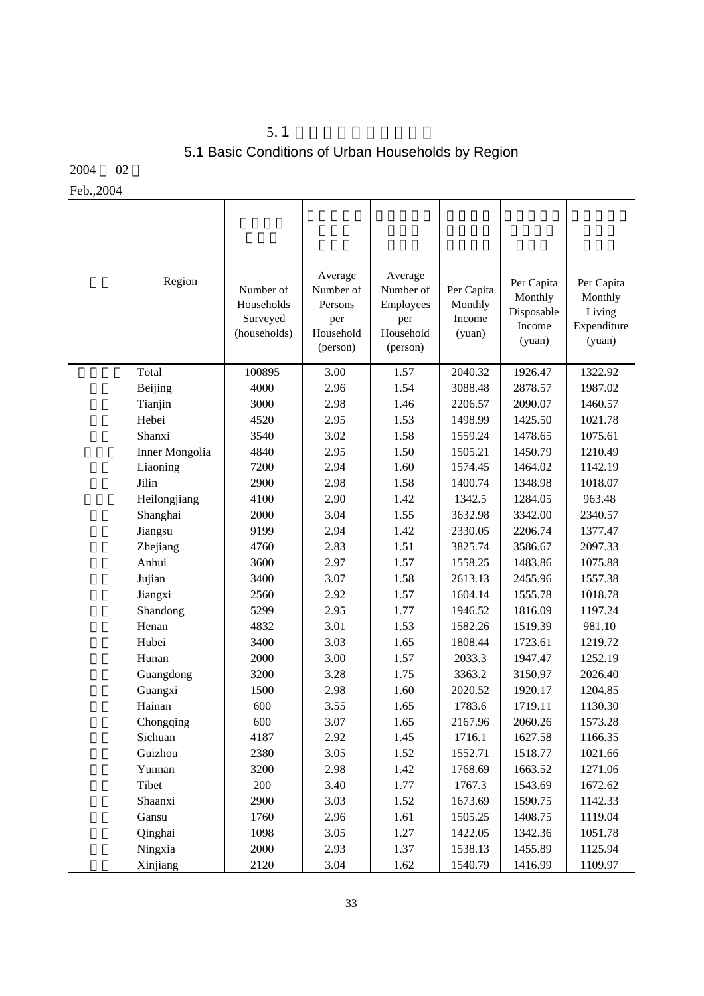# $5.1$ 5.1 Basic Conditions of Urban Households by Region

2004 02

Feb.,2004

| Region         | Number of<br>Households<br>Surveyed<br>(households) | Average<br>Number of<br>Persons<br>per<br>Household<br>(person) | Average<br>Number of<br>Employees<br>per<br>Household<br>(person) | Per Capita<br>Monthly<br>Income<br>(yuan) | Per Capita<br>Monthly<br>Disposable<br>Income<br>(yuan) | Per Capita<br>Monthly<br>Living<br>Expenditure<br>(yuan) |
|----------------|-----------------------------------------------------|-----------------------------------------------------------------|-------------------------------------------------------------------|-------------------------------------------|---------------------------------------------------------|----------------------------------------------------------|
| Total          | 100895                                              | 3.00                                                            | 1.57                                                              | 2040.32                                   | 1926.47                                                 | 1322.92                                                  |
| Beijing        | 4000                                                | 2.96                                                            | 1.54                                                              | 3088.48                                   | 2878.57                                                 | 1987.02                                                  |
| Tianjin        | 3000                                                | 2.98                                                            | 1.46                                                              | 2206.57                                   | 2090.07                                                 | 1460.57                                                  |
| Hebei          | 4520                                                | 2.95                                                            | 1.53                                                              | 1498.99                                   | 1425.50                                                 | 1021.78                                                  |
| Shanxi         | 3540                                                | 3.02                                                            | 1.58                                                              | 1559.24                                   | 1478.65                                                 | 1075.61                                                  |
| Inner Mongolia | 4840                                                | 2.95                                                            | 1.50                                                              | 1505.21                                   | 1450.79                                                 | 1210.49                                                  |
| Liaoning       | 7200                                                | 2.94                                                            | 1.60                                                              | 1574.45                                   | 1464.02                                                 | 1142.19                                                  |
| Jilin          | 2900                                                | 2.98                                                            | 1.58                                                              | 1400.74                                   | 1348.98                                                 | 1018.07                                                  |
| Heilongjiang   | 4100                                                | 2.90                                                            | 1.42                                                              | 1342.5                                    | 1284.05                                                 | 963.48                                                   |
| Shanghai       | 2000                                                | 3.04                                                            | 1.55                                                              | 3632.98                                   | 3342.00                                                 | 2340.57                                                  |
| Jiangsu        | 9199                                                | 2.94                                                            | 1.42                                                              | 2330.05                                   | 2206.74                                                 | 1377.47                                                  |
| Zhejiang       | 4760                                                | 2.83                                                            | 1.51                                                              | 3825.74                                   | 3586.67                                                 | 2097.33                                                  |
| Anhui          | 3600                                                | 2.97                                                            | 1.57                                                              | 1558.25                                   | 1483.86                                                 | 1075.88                                                  |
| Jujian         | 3400                                                | 3.07                                                            | 1.58                                                              | 2613.13                                   | 2455.96                                                 | 1557.38                                                  |
| Jiangxi        | 2560                                                | 2.92                                                            | 1.57                                                              | 1604.14                                   | 1555.78                                                 | 1018.78                                                  |
| Shandong       | 5299                                                | 2.95                                                            | 1.77                                                              | 1946.52                                   | 1816.09                                                 | 1197.24                                                  |
| Henan          | 4832                                                | 3.01                                                            | 1.53                                                              | 1582.26                                   | 1519.39                                                 | 981.10                                                   |
| Hubei          | 3400                                                | 3.03                                                            | 1.65                                                              | 1808.44                                   | 1723.61                                                 | 1219.72                                                  |
| Hunan          | 2000                                                | 3.00                                                            | 1.57                                                              | 2033.3                                    | 1947.47                                                 | 1252.19                                                  |
| Guangdong      | 3200                                                | 3.28                                                            | 1.75                                                              | 3363.2                                    | 3150.97                                                 | 2026.40                                                  |
| Guangxi        | 1500                                                | 2.98                                                            | 1.60                                                              | 2020.52                                   | 1920.17                                                 | 1204.85                                                  |
| Hainan         | 600                                                 | 3.55                                                            | 1.65                                                              | 1783.6                                    | 1719.11                                                 | 1130.30                                                  |
| Chongqing      | 600                                                 | 3.07                                                            | 1.65                                                              | 2167.96                                   | 2060.26                                                 | 1573.28                                                  |
| Sichuan        | 4187                                                | 2.92                                                            | 1.45                                                              | 1716.1                                    | 1627.58                                                 | 1166.35                                                  |
| Guizhou        | 2380                                                | 3.05                                                            | 1.52                                                              | 1552.71                                   | 1518.77                                                 | 1021.66                                                  |
| Yunnan         | 3200                                                | 2.98                                                            | 1.42                                                              | 1768.69                                   | 1663.52                                                 | 1271.06                                                  |
| Tibet          | 200                                                 | 3.40                                                            | 1.77                                                              | 1767.3                                    | 1543.69                                                 | 1672.62                                                  |
| Shaanxi        | 2900                                                | 3.03                                                            | 1.52                                                              | 1673.69                                   | 1590.75                                                 | 1142.33                                                  |
| Gansu          | 1760                                                | 2.96                                                            | 1.61                                                              | 1505.25                                   | 1408.75                                                 | 1119.04                                                  |
| Qinghai        | 1098                                                | 3.05                                                            | 1.27                                                              | 1422.05                                   | 1342.36                                                 | 1051.78                                                  |
| Ningxia        | 2000                                                | 2.93                                                            | 1.37                                                              | 1538.13                                   | 1455.89                                                 | 1125.94                                                  |
| Xinjiang       | 2120                                                | 3.04                                                            | 1.62                                                              | 1540.79                                   | 1416.99                                                 | 1109.97                                                  |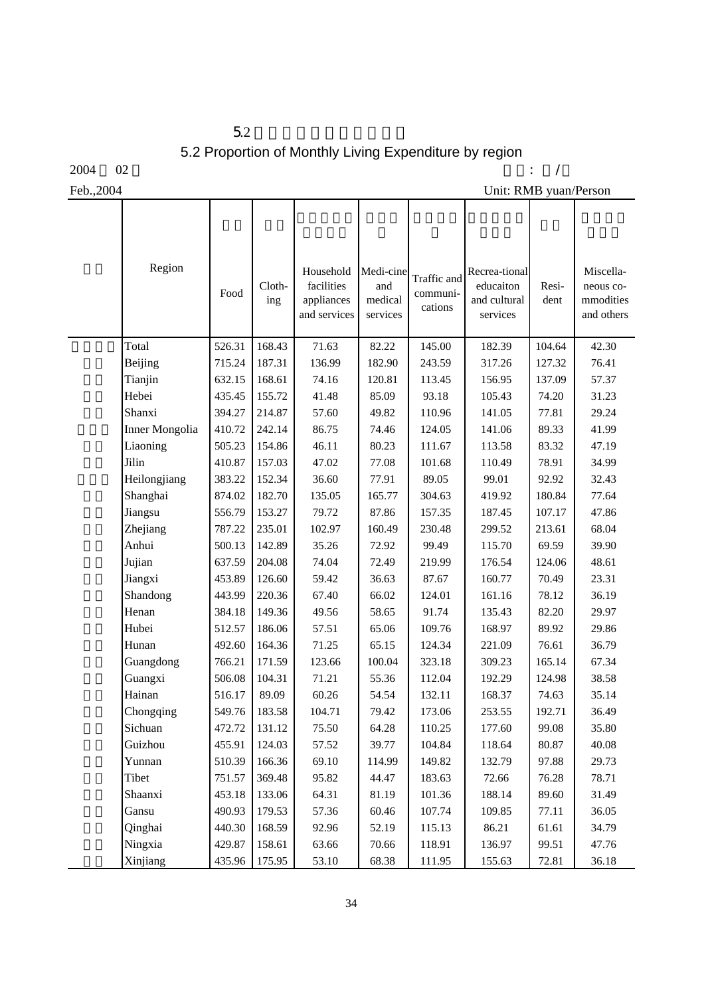$5.2$ 5.2 Proportion of Monthly Living Expenditure by region

 $\mathsf{I}$ 

 $2004$   $02$   $\cdot$  /

 $\mathsf{l}$ 

Τ

Feb.,2004 Unit: RMB yuan/Person

| Region         | Food   | Cloth-<br>ing | Household<br>facilities<br>appliances<br>and services | Medi-cine<br>and<br>medical<br>services | Traffic and<br>communi-<br>cations | Recrea-tional<br>educaiton<br>and cultural<br>services | Resi-<br>dent | Miscella-<br>neous co-<br>mmodities<br>and others |
|----------------|--------|---------------|-------------------------------------------------------|-----------------------------------------|------------------------------------|--------------------------------------------------------|---------------|---------------------------------------------------|
| Total          | 526.31 | 168.43        | 71.63                                                 | 82.22                                   | 145.00                             | 182.39                                                 | 104.64        | 42.30                                             |
| Beijing        | 715.24 | 187.31        | 136.99                                                | 182.90                                  | 243.59                             | 317.26                                                 | 127.32        | 76.41                                             |
| Tianjin        | 632.15 | 168.61        | 74.16                                                 | 120.81                                  | 113.45                             | 156.95                                                 | 137.09        | 57.37                                             |
| Hebei          | 435.45 | 155.72        | 41.48                                                 | 85.09                                   | 93.18                              | 105.43                                                 | 74.20         | 31.23                                             |
| Shanxi         | 394.27 | 214.87        | 57.60                                                 | 49.82                                   | 110.96                             | 141.05                                                 | 77.81         | 29.24                                             |
| Inner Mongolia | 410.72 | 242.14        | 86.75                                                 | 74.46                                   | 124.05                             | 141.06                                                 | 89.33         | 41.99                                             |
| Liaoning       | 505.23 | 154.86        | 46.11                                                 | 80.23                                   | 111.67                             | 113.58                                                 | 83.32         | 47.19                                             |
| Jilin          | 410.87 | 157.03        | 47.02                                                 | 77.08                                   | 101.68                             | 110.49                                                 | 78.91         | 34.99                                             |
| Heilongjiang   | 383.22 | 152.34        | 36.60                                                 | 77.91                                   | 89.05                              | 99.01                                                  | 92.92         | 32.43                                             |
| Shanghai       | 874.02 | 182.70        | 135.05                                                | 165.77                                  | 304.63                             | 419.92                                                 | 180.84        | 77.64                                             |
| Jiangsu        | 556.79 | 153.27        | 79.72                                                 | 87.86                                   | 157.35                             | 187.45                                                 | 107.17        | 47.86                                             |
| Zhejiang       | 787.22 | 235.01        | 102.97                                                | 160.49                                  | 230.48                             | 299.52                                                 | 213.61        | 68.04                                             |
| Anhui          | 500.13 | 142.89        | 35.26                                                 | 72.92                                   | 99.49                              | 115.70                                                 | 69.59         | 39.90                                             |
| Jujian         | 637.59 | 204.08        | 74.04                                                 | 72.49                                   | 219.99                             | 176.54                                                 | 124.06        | 48.61                                             |
| Jiangxi        | 453.89 | 126.60        | 59.42                                                 | 36.63                                   | 87.67                              | 160.77                                                 | 70.49         | 23.31                                             |
| Shandong       | 443.99 | 220.36        | 67.40                                                 | 66.02                                   | 124.01                             | 161.16                                                 | 78.12         | 36.19                                             |
| Henan          | 384.18 | 149.36        | 49.56                                                 | 58.65                                   | 91.74                              | 135.43                                                 | 82.20         | 29.97                                             |
| Hubei          | 512.57 | 186.06        | 57.51                                                 | 65.06                                   | 109.76                             | 168.97                                                 | 89.92         | 29.86                                             |
| Hunan          | 492.60 | 164.36        | 71.25                                                 | 65.15                                   | 124.34                             | 221.09                                                 | 76.61         | 36.79                                             |
| Guangdong      | 766.21 | 171.59        | 123.66                                                | 100.04                                  | 323.18                             | 309.23                                                 | 165.14        | 67.34                                             |
| Guangxi        | 506.08 | 104.31        | 71.21                                                 | 55.36                                   | 112.04                             | 192.29                                                 | 124.98        | 38.58                                             |
| Hainan         | 516.17 | 89.09         | 60.26                                                 | 54.54                                   | 132.11                             | 168.37                                                 | 74.63         | 35.14                                             |
| Chongqing      | 549.76 | 183.58        | 104.71                                                | 79.42                                   | 173.06                             | 253.55                                                 | 192.71        | 36.49                                             |
| Sichuan        | 472.72 | 131.12        | 75.50                                                 | 64.28                                   | 110.25                             | 177.60                                                 | 99.08         | 35.80                                             |
| Guizhou        | 455.91 | 124.03        | 57.52                                                 | 39.77                                   | 104.84                             | 118.64                                                 | 80.87         | 40.08                                             |
| Yunnan         | 510.39 | 166.36        | 69.10                                                 | 114.99                                  | 149.82                             | 132.79                                                 | 97.88         | 29.73                                             |
| Tibet          | 751.57 | 369.48        | 95.82                                                 | 44.47                                   | 183.63                             | 72.66                                                  | 76.28         | 78.71                                             |
| Shaanxi        | 453.18 | 133.06        | 64.31                                                 | 81.19                                   | 101.36                             | 188.14                                                 | 89.60         | 31.49                                             |
| Gansu          | 490.93 | 179.53        | 57.36                                                 | 60.46                                   | 107.74                             | 109.85                                                 | 77.11         | 36.05                                             |
| Qinghai        | 440.30 | 168.59        | 92.96                                                 | 52.19                                   | 115.13                             | 86.21                                                  | 61.61         | 34.79                                             |
| Ningxia        | 429.87 | 158.61        | 63.66                                                 | 70.66                                   | 118.91                             | 136.97                                                 | 99.51         | 47.76                                             |
| Xinjiang       | 435.96 | 175.95        | 53.10                                                 | 68.38                                   | 111.95                             | 155.63                                                 | 72.81         | 36.18                                             |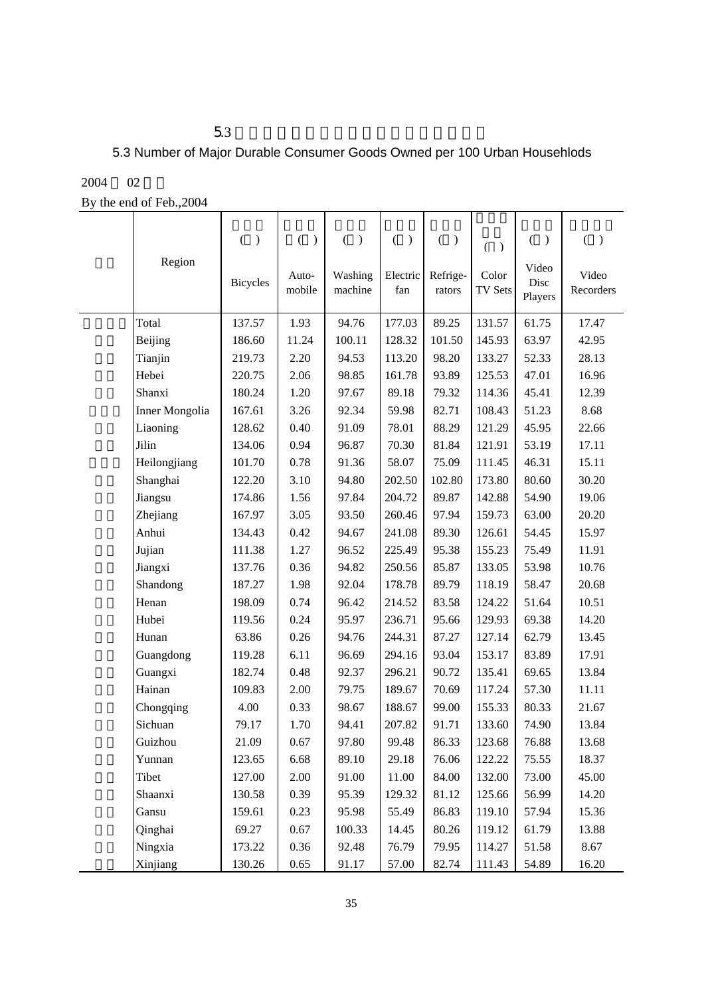## 5.3 Number of Major Durable Consumer Goods Owned per 100 Urban Househlods

#### 2004 02

By the end of Feb.,2004

| Region         | $\overline{(\ }$<br>$\mathcal{E}$ | $\overline{(\ }$<br>$\mathcal{L}$ | $\overline{(\ }$<br>$\mathcal{E}$ | $\left($<br>$\mathcal{E}$ | $\overline{(\ }$<br>$\mathcal{L}$ | $\overline{(}$<br>$\rightarrow$ | $\left($<br>$\rightarrow$<br>Video | €<br>$\mathcal{E}$ |
|----------------|-----------------------------------|-----------------------------------|-----------------------------------|---------------------------|-----------------------------------|---------------------------------|------------------------------------|--------------------|
|                | <b>Bicycles</b>                   | Auto-<br>mobile                   | Washing<br>machine                | Electric<br>fan           | Refrige-<br>rators                | Color<br><b>TV Sets</b>         | Disc<br>Players                    | Video<br>Recorders |
| Total          | 137.57                            | 1.93                              | 94.76                             | 177.03                    | 89.25                             | 131.57                          | 61.75                              | 17.47              |
| Beijing        | 186.60                            | 11.24                             | 100.11                            | 128.32                    | 101.50                            | 145.93                          | 63.97                              | 42.95              |
| Tianjin        | 219.73                            | 2.20                              | 94.53                             | 113.20                    | 98.20                             | 133.27                          | 52.33                              | 28.13              |
| Hebei          | 220.75                            | 2.06                              | 98.85                             | 161.78                    | 93.89                             | 125.53                          | 47.01                              | 16.96              |
| Shanxi         | 180.24                            | 1.20                              | 97.67                             | 89.18                     | 79.32                             | 114.36                          | 45.41                              | 12.39              |
| Inner Mongolia | 167.61                            | 3.26                              | 92.34                             | 59.98                     | 82.71                             | 108.43                          | 51.23                              | 8.68               |
| Liaoning       | 128.62                            | 0.40                              | 91.09                             | 78.01                     | 88.29                             | 121.29                          | 45.95                              | 22.66              |
| Jilin          | 134.06                            | 0.94                              | 96.87                             | 70.30                     | 81.84                             | 121.91                          | 53.19                              | 17.11              |
| Heilongjiang   | 101.70                            | 0.78                              | 91.36                             | 58.07                     | 75.09                             | 111.45                          | 46.31                              | 15.11              |
| Shanghai       | 122.20                            | 3.10                              | 94.80                             | 202.50                    | 102.80                            | 173.80                          | 80.60                              | 30.20              |
| Jiangsu        | 174.86                            | 1.56                              | 97.84                             | 204.72                    | 89.87                             | 142.88                          | 54.90                              | 19.06              |
| Zhejiang       | 167.97                            | 3.05                              | 93.50                             | 260.46                    | 97.94                             | 159.73                          | 63.00                              | 20.20              |
| Anhui          | 134.43                            | 0.42                              | 94.67                             | 241.08                    | 89.30                             | 126.61                          | 54.45                              | 15.97              |
| Jujian         | 111.38                            | 1.27                              | 96.52                             | 225.49                    | 95.38                             | 155.23                          | 75.49                              | 11.91              |
| Jiangxi        | 137.76                            | 0.36                              | 94.82                             | 250.56                    | 85.87                             | 133.05                          | 53.98                              | 10.76              |
| Shandong       | 187.27                            | 1.98                              | 92.04                             | 178.78                    | 89.79                             | 118.19                          | 58.47                              | 20.68              |
| Henan          | 198.09                            | 0.74                              | 96.42                             | 214.52                    | 83.58                             | 124.22                          | 51.64                              | 10.51              |
| Hubei          | 119.56                            | 0.24                              | 95.97                             | 236.71                    | 95.66                             | 129.93                          | 69.38                              | 14.20              |
| Hunan          | 63.86                             | 0.26                              | 94.76                             | 244.31                    | 87.27                             | 127.14                          | 62.79                              | 13.45              |
| Guangdong      | 119.28                            | 6.11                              | 96.69                             | 294.16                    | 93.04                             | 153.17                          | 83.89                              | 17.91              |
| Guangxi        | 182.74                            | 0.48                              | 92.37                             | 296.21                    | 90.72                             | 135.41                          | 69.65                              | 13.84              |
| Hainan         | 109.83                            | 2.00                              | 79.75                             | 189.67                    | 70.69                             | 117.24                          | 57.30                              | 11.11              |
| Chongqing      | 4.00                              | 0.33                              | 98.67                             | 188.67                    | 99.00                             | 155.33                          | 80.33                              | 21.67              |
| Sichuan        | 79.17                             | 1.70                              | 94.41                             | 207.82                    | 91.71                             | 133.60                          | 74.90                              | 13.84              |
| Guizhou        | 21.09                             | 0.67                              | 97.80                             | 99.48                     | 86.33                             | 123.68                          | 76.88                              | 13.68              |
| Yunnan         | 123.65                            | 6.68                              | 89.10                             | 29.18                     | 76.06                             | 122.22                          | 75.55                              | 18.37              |
| Tibet          | 127.00                            | 2.00                              | 91.00                             | 11.00                     | 84.00                             | 132.00                          | 73.00                              | 45.00              |
| Shaanxi        | 130.58                            | 0.39                              | 95.39                             | 129.32                    | 81.12                             | 125.66                          | 56.99                              | 14.20              |
| Gansu          | 159.61                            | 0.23                              | 95.98                             | 55.49                     | 86.83                             | 119.10                          | 57.94                              | 15.36              |
| Qinghai        | 69.27                             | 0.67                              | 100.33                            | 14.45                     | 80.26                             | 119.12                          | 61.79                              | 13.88              |
| Ningxia        | 173.22                            | 0.36                              | 92.48                             | 76.79                     | 79.95                             | 114.27                          | 51.58                              | 8.67               |
| Xinjiang       | 130.26                            | 0.65                              | 91.17                             | 57.00                     | 82.74                             | 111.43                          | 54.89                              | 16.20              |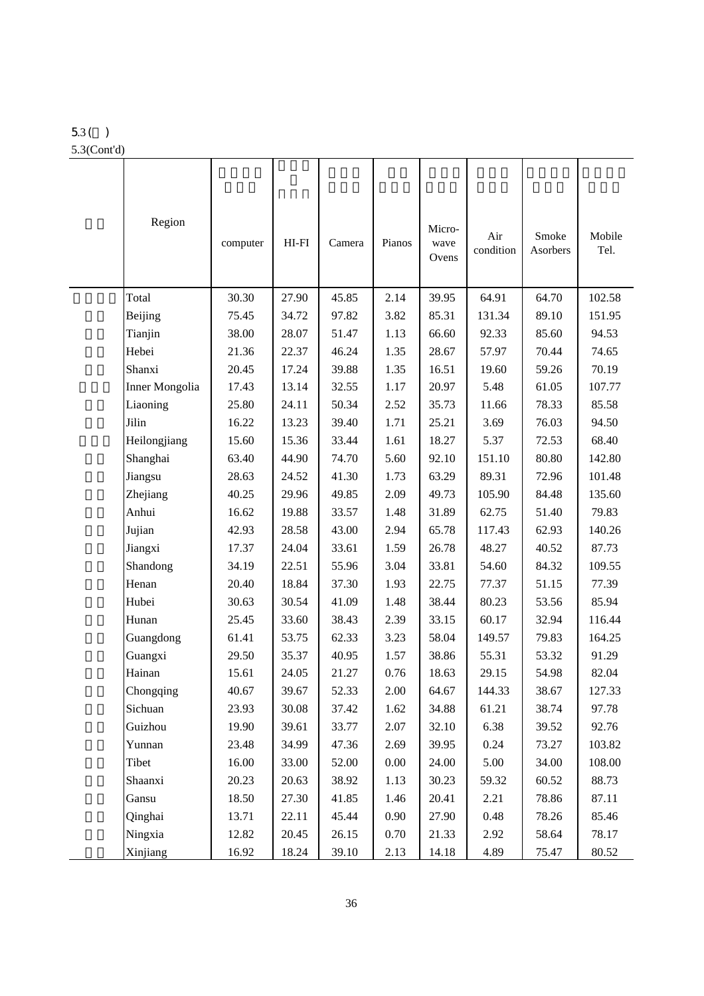# 5.3( )

5.3(Cont'd)

| Region                | computer | $HI-FI$ | Camera | Pianos   | Micro-<br>wave<br>Ovens | Air<br>condition | Smoke<br>Asorbers | Mobile<br>Tel. |
|-----------------------|----------|---------|--------|----------|-------------------------|------------------|-------------------|----------------|
| Total                 | 30.30    | 27.90   | 45.85  | 2.14     | 39.95                   | 64.91            | 64.70             | 102.58         |
| Beijing               | 75.45    | 34.72   | 97.82  | 3.82     | 85.31                   | 131.34           | 89.10             | 151.95         |
| Tianjin               | 38.00    | 28.07   | 51.47  | 1.13     | 66.60                   | 92.33            | 85.60             | 94.53          |
| Hebei                 | 21.36    | 22.37   | 46.24  | 1.35     | 28.67                   | 57.97            | 70.44             | 74.65          |
| Shanxi                | 20.45    | 17.24   | 39.88  | 1.35     | 16.51                   | 19.60            | 59.26             | 70.19          |
| <b>Inner Mongolia</b> | 17.43    | 13.14   | 32.55  | 1.17     | 20.97                   | 5.48             | 61.05             | 107.77         |
| Liaoning              | 25.80    | 24.11   | 50.34  | 2.52     | 35.73                   | 11.66            | 78.33             | 85.58          |
| Jilin                 | 16.22    | 13.23   | 39.40  | 1.71     | 25.21                   | 3.69             | 76.03             | 94.50          |
| Heilongjiang          | 15.60    | 15.36   | 33.44  | 1.61     | 18.27                   | 5.37             | 72.53             | 68.40          |
| Shanghai              | 63.40    | 44.90   | 74.70  | 5.60     | 92.10                   | 151.10           | 80.80             | 142.80         |
| Jiangsu               | 28.63    | 24.52   | 41.30  | 1.73     | 63.29                   | 89.31            | 72.96             | 101.48         |
| Zhejiang              | 40.25    | 29.96   | 49.85  | 2.09     | 49.73                   | 105.90           | 84.48             | 135.60         |
| Anhui                 | 16.62    | 19.88   | 33.57  | 1.48     | 31.89                   | 62.75            | 51.40             | 79.83          |
| Jujian                | 42.93    | 28.58   | 43.00  | 2.94     | 65.78                   | 117.43           | 62.93             | 140.26         |
| Jiangxi               | 17.37    | 24.04   | 33.61  | 1.59     | 26.78                   | 48.27            | 40.52             | 87.73          |
| Shandong              | 34.19    | 22.51   | 55.96  | 3.04     | 33.81                   | 54.60            | 84.32             | 109.55         |
| Henan                 | 20.40    | 18.84   | 37.30  | 1.93     | 22.75                   | 77.37            | 51.15             | 77.39          |
| Hubei                 | 30.63    | 30.54   | 41.09  | 1.48     | 38.44                   | 80.23            | 53.56             | 85.94          |
| Hunan                 | 25.45    | 33.60   | 38.43  | 2.39     | 33.15                   | 60.17            | 32.94             | 116.44         |
| Guangdong             | 61.41    | 53.75   | 62.33  | 3.23     | 58.04                   | 149.57           | 79.83             | 164.25         |
| Guangxi               | 29.50    | 35.37   | 40.95  | 1.57     | 38.86                   | 55.31            | 53.32             | 91.29          |
| Hainan                | 15.61    | 24.05   | 21.27  | 0.76     | 18.63                   | 29.15            | 54.98             | 82.04          |
| Chongqing             | 40.67    | 39.67   | 52.33  | $2.00\,$ | 64.67                   | 144.33           | 38.67             | 127.33         |
| Sichuan               | 23.93    | 30.08   | 37.42  | 1.62     | 34.88                   | 61.21            | 38.74             | 97.78          |
| Guizhou               | 19.90    | 39.61   | 33.77  | 2.07     | 32.10                   | 6.38             | 39.52             | 92.76          |
| Yunnan                | 23.48    | 34.99   | 47.36  | 2.69     | 39.95                   | 0.24             | 73.27             | 103.82         |
| Tibet                 | 16.00    | 33.00   | 52.00  | 0.00     | 24.00                   | 5.00             | 34.00             | 108.00         |
| Shaanxi               | 20.23    | 20.63   | 38.92  | 1.13     | 30.23                   | 59.32            | 60.52             | 88.73          |
| Gansu                 | 18.50    | 27.30   | 41.85  | 1.46     | 20.41                   | 2.21             | 78.86             | 87.11          |
| Qinghai               | 13.71    | 22.11   | 45.44  | 0.90     | 27.90                   | 0.48             | 78.26             | 85.46          |
| Ningxia               | 12.82    | 20.45   | 26.15  | 0.70     | 21.33                   | 2.92             | 58.64             | 78.17          |
| Xinjiang              | 16.92    | 18.24   | 39.10  | 2.13     | 14.18                   | 4.89             | 75.47             | 80.52          |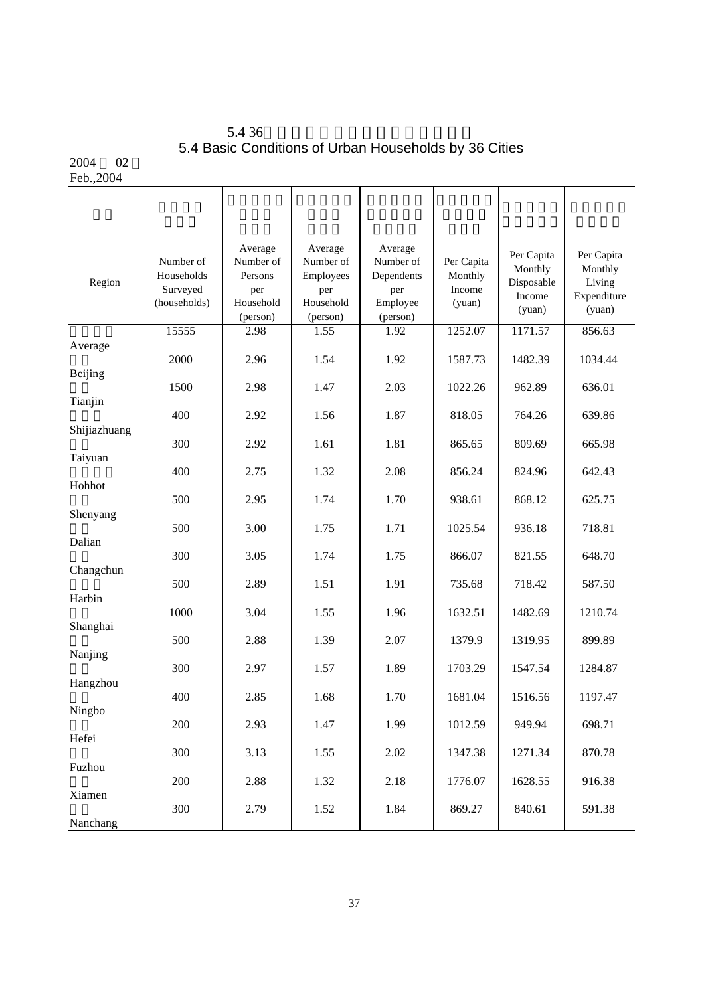| 5.436                                                 |  |  |
|-------------------------------------------------------|--|--|
| 5.4 Basic Conditions of Urban Households by 36 Cities |  |  |

#### 2004 02 Feb.,2004

| Region       | Number of<br>Households<br>Surveyed<br>(households) | Average<br>Number of<br>Persons<br>per<br>Household<br>(person) | Average<br>Number of<br>Employees<br>per<br>Household<br>(person) | Average<br>Number of<br>Dependents<br>per<br>Employee<br>(person) | Per Capita<br>Monthly<br>Income<br>(yuan) | Per Capita<br>Monthly<br>Disposable<br>Income<br>(yuan) | Per Capita<br>Monthly<br>Living<br>Expenditure<br>(yuan) |
|--------------|-----------------------------------------------------|-----------------------------------------------------------------|-------------------------------------------------------------------|-------------------------------------------------------------------|-------------------------------------------|---------------------------------------------------------|----------------------------------------------------------|
| Average      | 15555                                               | 2.98                                                            | 1.55                                                              | 1.92                                                              | 1252.07                                   | 1171.57                                                 | 856.63                                                   |
|              | 2000                                                | 2.96                                                            | 1.54                                                              | 1.92                                                              | 1587.73                                   | 1482.39                                                 | 1034.44                                                  |
| Beijing      | 1500                                                | 2.98                                                            | 1.47                                                              | 2.03                                                              | 1022.26                                   | 962.89                                                  | 636.01                                                   |
| Tianjin      | 400                                                 | 2.92                                                            | 1.56                                                              | 1.87                                                              | 818.05                                    | 764.26                                                  | 639.86                                                   |
| Shijiazhuang |                                                     |                                                                 |                                                                   |                                                                   |                                           |                                                         |                                                          |
| Taiyuan      | 300                                                 | 2.92                                                            | 1.61                                                              | 1.81                                                              | 865.65                                    | 809.69                                                  | 665.98                                                   |
|              | 400                                                 | 2.75                                                            | 1.32                                                              | 2.08                                                              | 856.24                                    | 824.96                                                  | 642.43                                                   |
| Hohhot       | 500                                                 | 2.95                                                            | 1.74                                                              | 1.70                                                              | 938.61                                    | 868.12                                                  | 625.75                                                   |
| Shenyang     | 500                                                 | 3.00                                                            | 1.75                                                              | 1.71                                                              | 1025.54                                   | 936.18                                                  | 718.81                                                   |
| Dalian       |                                                     |                                                                 |                                                                   |                                                                   |                                           |                                                         |                                                          |
| Changchun    | 300                                                 | 3.05                                                            | 1.74                                                              | 1.75                                                              | 866.07                                    | 821.55                                                  | 648.70                                                   |
| Harbin       | 500                                                 | 2.89                                                            | 1.51                                                              | 1.91                                                              | 735.68                                    | 718.42                                                  | 587.50                                                   |
|              | 1000                                                | 3.04                                                            | 1.55                                                              | 1.96                                                              | 1632.51                                   | 1482.69                                                 | 1210.74                                                  |
| Shanghai     | 500                                                 | 2.88                                                            | 1.39                                                              | 2.07                                                              | 1379.9                                    | 1319.95                                                 | 899.89                                                   |
| Nanjing      | 300                                                 | 2.97                                                            | 1.57                                                              | 1.89                                                              | 1703.29                                   | 1547.54                                                 | 1284.87                                                  |
| Hangzhou     |                                                     |                                                                 |                                                                   |                                                                   |                                           |                                                         |                                                          |
| Ningbo       | 400                                                 | 2.85                                                            | 1.68                                                              | 1.70                                                              | 1681.04                                   | 1516.56                                                 | 1197.47                                                  |
|              | 200                                                 | 2.93                                                            | 1.47                                                              | 1.99                                                              | 1012.59                                   | 949.94                                                  | 698.71                                                   |
| Hefei        | 300                                                 | 3.13                                                            | 1.55                                                              | 2.02                                                              | 1347.38                                   | 1271.34                                                 | 870.78                                                   |
| Fuzhou       | 200                                                 | 2.88                                                            | 1.32                                                              | 2.18                                                              | 1776.07                                   | 1628.55                                                 | 916.38                                                   |
| Xiamen       |                                                     |                                                                 |                                                                   |                                                                   |                                           |                                                         |                                                          |
| Nanchang     | 300                                                 | 2.79                                                            | 1.52                                                              | 1.84                                                              | 869.27                                    | 840.61                                                  | 591.38                                                   |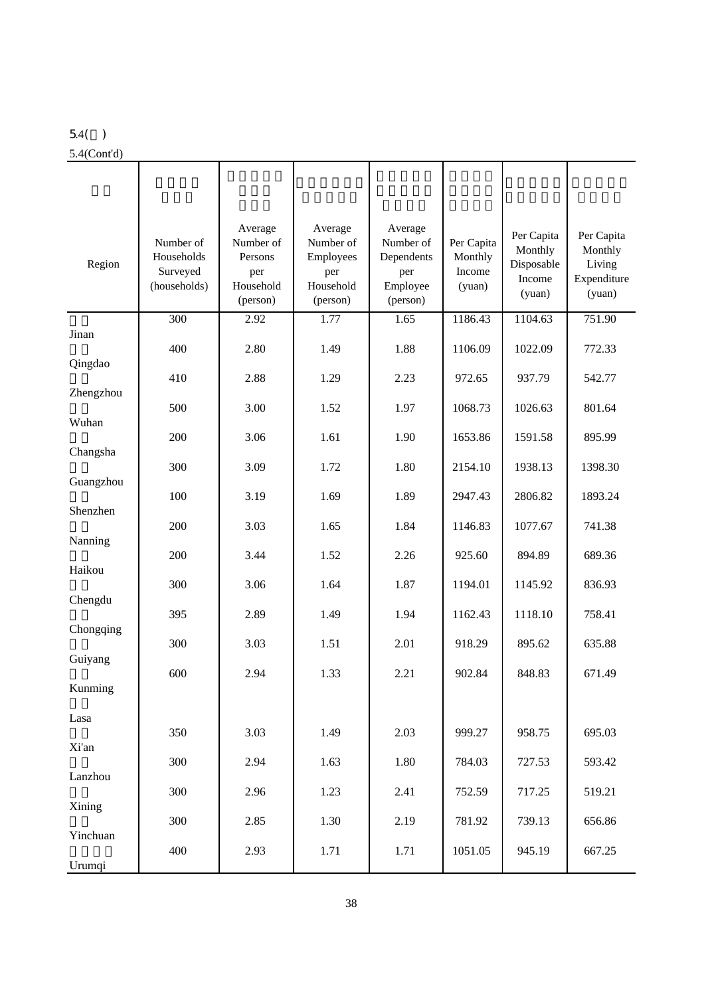## 5.4( )

#### 5.4(Cont'd)

| Region    | Number of<br>Households<br>Surveyed<br>(households) | Average<br>Number of<br>Persons<br>per<br>Household<br>(person) | Average<br>Number of<br>Employees<br>per<br>Household<br>(person) | Average<br>Number of<br>Dependents<br>per<br>Employee<br>(person) | Per Capita<br>Monthly<br>Income<br>(yuan) | Per Capita<br>Monthly<br>Disposable<br>Income<br>(yuan) | Per Capita<br>Monthly<br>Living<br>Expenditure<br>(yuan) |
|-----------|-----------------------------------------------------|-----------------------------------------------------------------|-------------------------------------------------------------------|-------------------------------------------------------------------|-------------------------------------------|---------------------------------------------------------|----------------------------------------------------------|
|           | 300                                                 | 2.92                                                            | 1.77                                                              | 1.65                                                              | 1186.43                                   | 1104.63                                                 | 751.90                                                   |
| Jinan     | 400                                                 | 2.80                                                            | 1.49                                                              | 1.88                                                              | 1106.09                                   | 1022.09                                                 | 772.33                                                   |
| Qingdao   |                                                     |                                                                 |                                                                   |                                                                   |                                           |                                                         |                                                          |
| Zhengzhou | 410                                                 | 2.88                                                            | 1.29                                                              | 2.23                                                              | 972.65                                    | 937.79                                                  | 542.77                                                   |
|           | 500                                                 | 3.00                                                            | 1.52                                                              | 1.97                                                              | 1068.73                                   | 1026.63                                                 | 801.64                                                   |
| Wuhan     |                                                     |                                                                 |                                                                   |                                                                   |                                           |                                                         |                                                          |
| Changsha  | 200                                                 | 3.06                                                            | 1.61                                                              | 1.90                                                              | 1653.86                                   | 1591.58                                                 | 895.99                                                   |
|           | 300                                                 | 3.09                                                            | 1.72                                                              | 1.80                                                              | 2154.10                                   | 1938.13                                                 | 1398.30                                                  |
| Guangzhou |                                                     |                                                                 |                                                                   |                                                                   |                                           |                                                         |                                                          |
| Shenzhen  | 100                                                 | 3.19                                                            | 1.69                                                              | 1.89                                                              | 2947.43                                   | 2806.82                                                 | 1893.24                                                  |
|           | 200                                                 | 3.03                                                            | 1.65                                                              | 1.84                                                              | 1146.83                                   | 1077.67                                                 | 741.38                                                   |
| Nanning   |                                                     |                                                                 |                                                                   |                                                                   |                                           |                                                         |                                                          |
| Haikou    | 200                                                 | 3.44                                                            | 1.52                                                              | 2.26                                                              | 925.60                                    | 894.89                                                  | 689.36                                                   |
|           | 300                                                 | 3.06                                                            | 1.64                                                              | 1.87                                                              | 1194.01                                   | 1145.92                                                 | 836.93                                                   |
| Chengdu   |                                                     |                                                                 |                                                                   |                                                                   |                                           |                                                         |                                                          |
| Chongqing | 395                                                 | 2.89                                                            | 1.49                                                              | 1.94                                                              | 1162.43                                   | 1118.10                                                 | 758.41                                                   |
|           | 300                                                 | 3.03                                                            | 1.51                                                              | 2.01                                                              | 918.29                                    | 895.62                                                  | 635.88                                                   |
| Guiyang   | 600                                                 | 2.94                                                            | 1.33                                                              | 2.21                                                              | 902.84                                    | 848.83                                                  | 671.49                                                   |
| Kunming   |                                                     |                                                                 |                                                                   |                                                                   |                                           |                                                         |                                                          |
|           |                                                     |                                                                 |                                                                   |                                                                   |                                           |                                                         |                                                          |
| Lasa      | 350                                                 | 3.03                                                            | 1.49                                                              | 2.03                                                              | 999.27                                    | 958.75                                                  | 695.03                                                   |
| Xi'an     |                                                     |                                                                 |                                                                   |                                                                   |                                           |                                                         |                                                          |
|           | 300                                                 | 2.94                                                            | 1.63                                                              | 1.80                                                              | 784.03                                    | 727.53                                                  | 593.42                                                   |
| Lanzhou   | 300                                                 | 2.96                                                            | 1.23                                                              | 2.41                                                              | 752.59                                    | 717.25                                                  | 519.21                                                   |
| Xining    |                                                     |                                                                 |                                                                   |                                                                   |                                           |                                                         |                                                          |
|           | 300                                                 | 2.85                                                            | 1.30                                                              | 2.19                                                              | 781.92                                    | 739.13                                                  | 656.86                                                   |
| Yinchuan  | 400                                                 | 2.93                                                            | 1.71                                                              | 1.71                                                              | 1051.05                                   | 945.19                                                  | 667.25                                                   |
| Urumqi    |                                                     |                                                                 |                                                                   |                                                                   |                                           |                                                         |                                                          |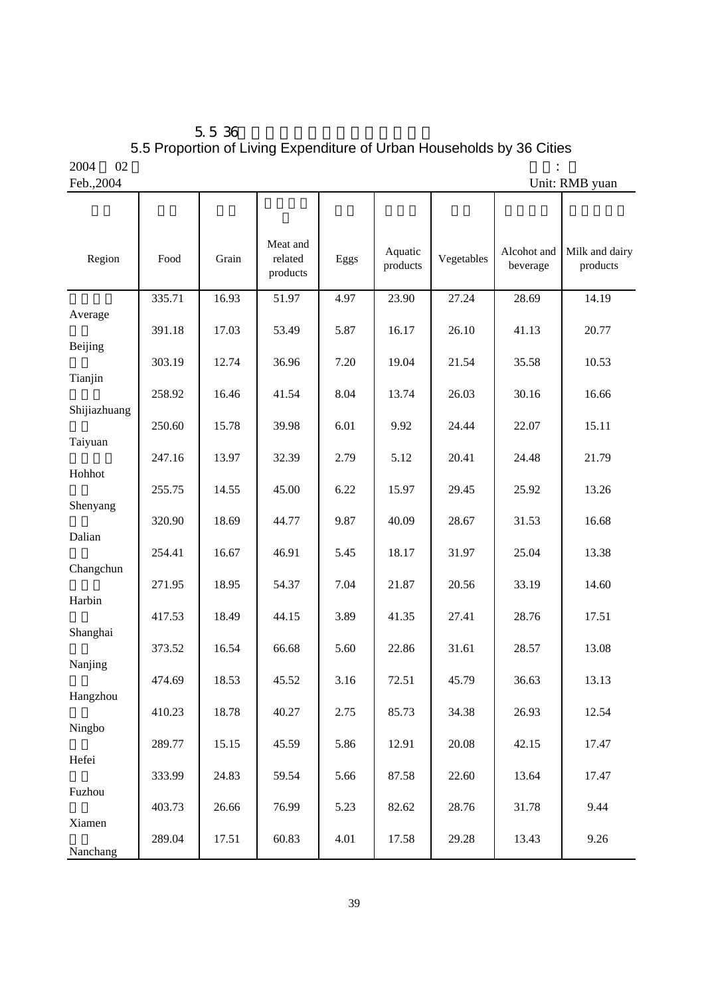$5.5\,36$ 5.5 Proportion of Living Expenditure of Urban Households by 36 Cities  $2004$  02  $\cdot$ 

| $\sim$ $\sim$ $\sim$ $\sim$ | <b>A</b> |
|-----------------------------|----------|
| Fah                         | ാറവ      |

Feb.,2004 Unit: RMB yuan

| Region         | Food   | Grain | Meat and<br>related<br>products | Eggs | Aquatic<br>products | Vegetables | Alcohot and<br>beverage | Milk and dairy<br>products |
|----------------|--------|-------|---------------------------------|------|---------------------|------------|-------------------------|----------------------------|
|                | 335.71 | 16.93 | 51.97                           | 4.97 | 23.90               | 27.24      | 28.69                   | 14.19                      |
| Average        | 391.18 | 17.03 | 53.49                           | 5.87 | 16.17               | 26.10      | 41.13                   | 20.77                      |
| <b>Beijing</b> |        |       |                                 |      |                     |            |                         |                            |
| Tianjin        | 303.19 | 12.74 | 36.96                           | 7.20 | 19.04               | 21.54      | 35.58                   | 10.53                      |
|                | 258.92 | 16.46 | 41.54                           | 8.04 | 13.74               | 26.03      | 30.16                   | 16.66                      |
| Shijiazhuang   | 250.60 | 15.78 | 39.98                           | 6.01 | 9.92                | 24.44      | 22.07                   | 15.11                      |
| Taiyuan        |        |       |                                 |      |                     |            |                         |                            |
| Hohhot         | 247.16 | 13.97 | 32.39                           | 2.79 | 5.12                | 20.41      | 24.48                   | 21.79                      |
|                | 255.75 | 14.55 | 45.00                           | 6.22 | 15.97               | 29.45      | 25.92                   | 13.26                      |
| Shenyang       | 320.90 | 18.69 | 44.77                           | 9.87 | 40.09               | 28.67      | 31.53                   | 16.68                      |
| Dalian         |        |       |                                 |      |                     |            |                         |                            |
| Changchun      | 254.41 | 16.67 | 46.91                           | 5.45 | 18.17               | 31.97      | 25.04                   | 13.38                      |
|                | 271.95 | 18.95 | 54.37                           | 7.04 | 21.87               | 20.56      | 33.19                   | 14.60                      |
| Harbin         | 417.53 | 18.49 | 44.15                           | 3.89 | 41.35               | 27.41      | 28.76                   | 17.51                      |
| Shanghai       |        |       |                                 |      |                     |            |                         |                            |
| Nanjing        | 373.52 | 16.54 | 66.68                           | 5.60 | 22.86               | 31.61      | 28.57                   | 13.08                      |
|                | 474.69 | 18.53 | 45.52                           | 3.16 | 72.51               | 45.79      | 36.63                   | 13.13                      |
| Hangzhou       | 410.23 | 18.78 | 40.27                           | 2.75 | 85.73               | 34.38      | 26.93                   | 12.54                      |
| Ningbo         |        |       |                                 |      |                     |            |                         |                            |
| Hefei          | 289.77 | 15.15 | 45.59                           | 5.86 | 12.91               | 20.08      | 42.15                   | 17.47                      |
|                | 333.99 | 24.83 | 59.54                           | 5.66 | 87.58               | 22.60      | 13.64                   | 17.47                      |
| Fuzhou         | 403.73 | 26.66 | 76.99                           | 5.23 | 82.62               | 28.76      | 31.78                   | 9.44                       |
| Xiamen         |        |       |                                 |      |                     |            |                         |                            |
| Nanchang       | 289.04 | 17.51 | 60.83                           | 4.01 | 17.58               | 29.28      | 13.43                   | 9.26                       |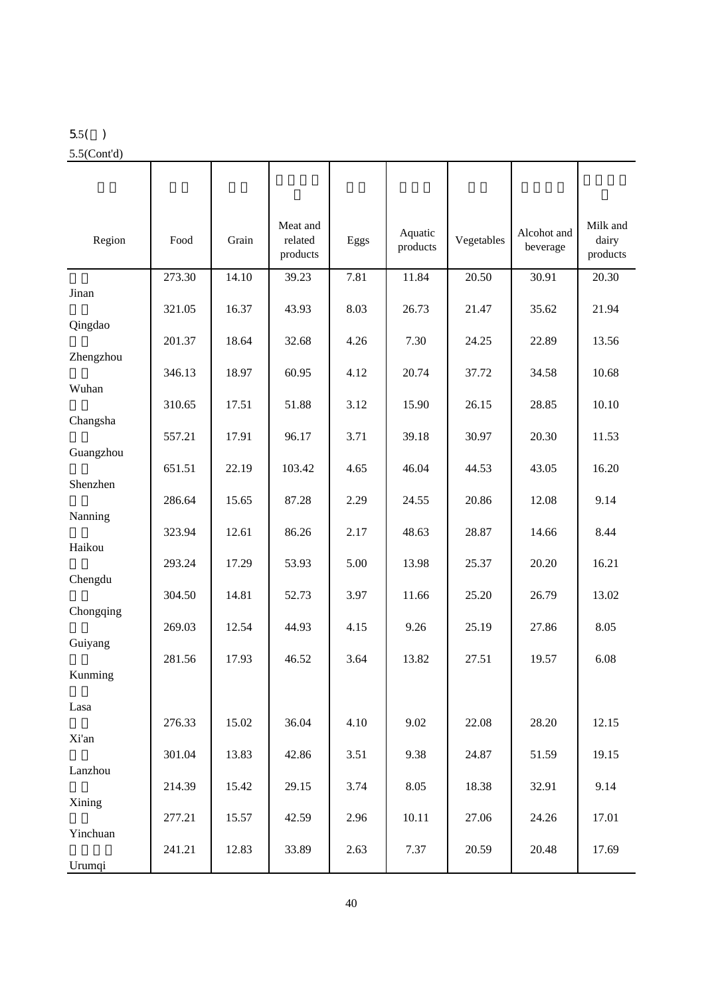## 5.5( )

5.5(Cont'd)

| Region    | Food   | Grain | Meat and<br>related<br>products | Eggs | Aquatic<br>products | Vegetables | Alcohot and<br>beverage | Milk and<br>dairy<br>products |
|-----------|--------|-------|---------------------------------|------|---------------------|------------|-------------------------|-------------------------------|
|           | 273.30 | 14.10 | 39.23                           | 7.81 | 11.84               | 20.50      | 30.91                   | 20.30                         |
| Jinan     | 321.05 | 16.37 | 43.93                           | 8.03 | 26.73               | 21.47      | 35.62                   | 21.94                         |
| Qingdao   | 201.37 | 18.64 | 32.68                           | 4.26 | 7.30                | 24.25      | 22.89                   | 13.56                         |
| Zhengzhou |        |       |                                 |      |                     |            |                         |                               |
| Wuhan     | 346.13 | 18.97 | 60.95                           | 4.12 | 20.74               | 37.72      | 34.58                   | 10.68                         |
|           | 310.65 | 17.51 | 51.88                           | 3.12 | 15.90               | 26.15      | 28.85                   | 10.10                         |
| Changsha  | 557.21 | 17.91 | 96.17                           | 3.71 | 39.18               | 30.97      | 20.30                   | 11.53                         |
| Guangzhou |        |       |                                 |      |                     |            |                         |                               |
| Shenzhen  | 651.51 | 22.19 | 103.42                          | 4.65 | 46.04               | 44.53      | 43.05                   | 16.20                         |
|           | 286.64 | 15.65 | 87.28                           | 2.29 | 24.55               | 20.86      | 12.08                   | 9.14                          |
| Nanning   | 323.94 | 12.61 | 86.26                           | 2.17 | 48.63               | 28.87      | 14.66                   | 8.44                          |
| Haikou    | 293.24 | 17.29 | 53.93                           | 5.00 | 13.98               | 25.37      | 20.20                   | 16.21                         |
| Chengdu   |        |       |                                 |      |                     |            |                         |                               |
|           | 304.50 | 14.81 | 52.73                           | 3.97 | 11.66               | 25.20      | 26.79                   | 13.02                         |
| Chongqing | 269.03 | 12.54 | 44.93                           | 4.15 | 9.26                | 25.19      | 27.86                   | 8.05                          |
| Guiyang   | 281.56 | 17.93 | 46.52                           | 3.64 | 13.82               | 27.51      | 19.57                   | 6.08                          |
| Kunming   |        |       |                                 |      |                     |            |                         |                               |
| Lasa      |        |       |                                 |      |                     |            |                         |                               |
|           | 276.33 | 15.02 | 36.04                           | 4.10 | 9.02                | 22.08      | 28.20                   | 12.15                         |
| Xi'an     | 301.04 | 13.83 | 42.86                           | 3.51 | 9.38                | 24.87      | 51.59                   | 19.15                         |
| Lanzhou   |        |       |                                 |      |                     |            |                         |                               |
| Xining    | 214.39 | 15.42 | 29.15                           | 3.74 | 8.05                | 18.38      | 32.91                   | 9.14                          |
|           | 277.21 | 15.57 | 42.59                           | 2.96 | 10.11               | 27.06      | 24.26                   | 17.01                         |
| Yinchuan  | 241.21 | 12.83 | 33.89                           | 2.63 | 7.37                | 20.59      | 20.48                   | 17.69                         |
| Urumqi    |        |       |                                 |      |                     |            |                         |                               |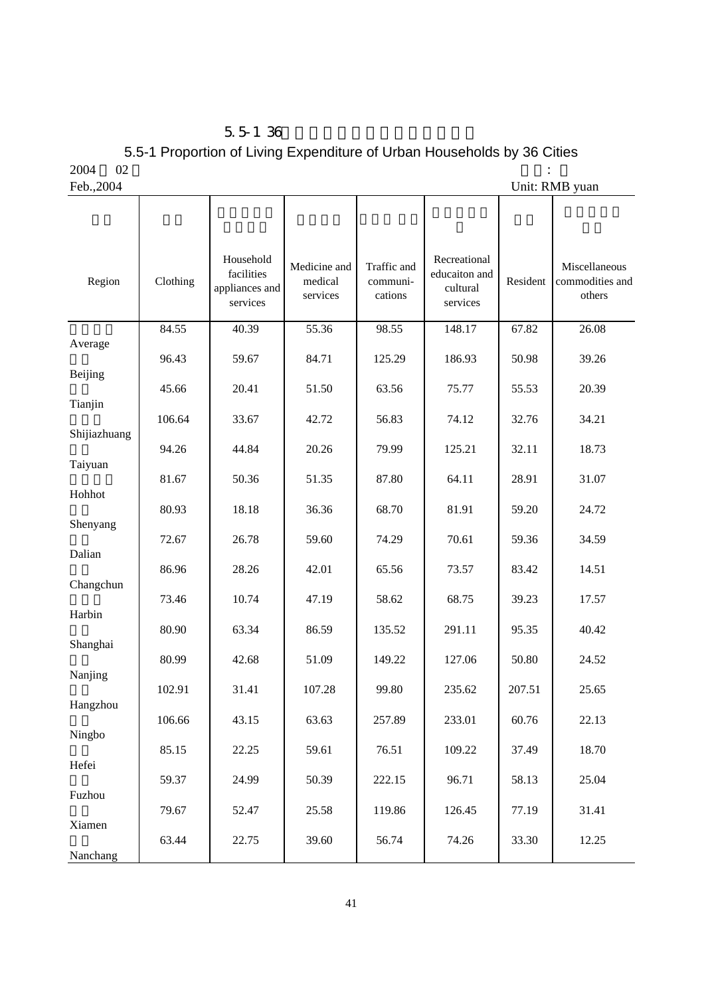|      | $5.5 - 1.36$                                                            |  |
|------|-------------------------------------------------------------------------|--|
|      | 5.5-1 Proportion of Living Expenditure of Urban Households by 36 Cities |  |
| 2004 | 02                                                                      |  |

| $\sim$ $\sim$ $\sim$ $\sim$ | .,   |
|-----------------------------|------|
| $E_{\alpha}L$               | 2001 |

Feb., 2004 Unit: RMB yuan

| Region       | Clothing | Household<br>facilities<br>appliances and<br>services | Medicine and<br>medical<br>services | Traffic and<br>communi-<br>cations | Recreational<br>educaiton and<br>cultural<br>services | Resident | Miscellaneous<br>commodities and<br>others |
|--------------|----------|-------------------------------------------------------|-------------------------------------|------------------------------------|-------------------------------------------------------|----------|--------------------------------------------|
| Average      | 84.55    | 40.39                                                 | 55.36                               | 98.55                              | 148.17                                                | 67.82    | 26.08                                      |
|              | 96.43    | 59.67                                                 | 84.71                               | 125.29                             | 186.93                                                | 50.98    | 39.26                                      |
| Beijing      | 45.66    | 20.41                                                 | 51.50                               | 63.56                              | 75.77                                                 | 55.53    | 20.39                                      |
| Tianjin      | 106.64   | 33.67                                                 | 42.72                               | 56.83                              | 74.12                                                 | 32.76    | 34.21                                      |
| Shijiazhuang | 94.26    | 44.84                                                 | 20.26                               | 79.99                              | 125.21                                                | 32.11    | 18.73                                      |
| Taiyuan      | 81.67    | 50.36                                                 | 51.35                               | 87.80                              | 64.11                                                 | 28.91    | 31.07                                      |
| Hohhot       | 80.93    | 18.18                                                 | 36.36                               | 68.70                              | 81.91                                                 | 59.20    | 24.72                                      |
| Shenyang     |          |                                                       |                                     |                                    |                                                       |          |                                            |
| Dalian       | 72.67    | 26.78                                                 | 59.60                               | 74.29                              | 70.61                                                 | 59.36    | 34.59                                      |
|              | 86.96    | 28.26                                                 | 42.01                               | 65.56                              | 73.57                                                 | 83.42    | 14.51                                      |
| Changchun    | 73.46    | 10.74                                                 | 47.19                               | 58.62                              | 68.75                                                 | 39.23    | 17.57                                      |
| Harbin       | 80.90    | 63.34                                                 | 86.59                               | 135.52                             | 291.11                                                | 95.35    | 40.42                                      |
| Shanghai     |          |                                                       |                                     |                                    |                                                       |          |                                            |
| Nanjing      | 80.99    | 42.68                                                 | 51.09                               | 149.22                             | 127.06                                                | 50.80    | 24.52                                      |
| Hangzhou     | 102.91   | 31.41                                                 | 107.28                              | 99.80                              | 235.62                                                | 207.51   | 25.65                                      |
|              | 106.66   | 43.15                                                 | 63.63                               | 257.89                             | 233.01                                                | 60.76    | 22.13                                      |
| Ningbo       | 85.15    | 22.25                                                 | 59.61                               | 76.51                              | 109.22                                                | 37.49    | 18.70                                      |
| Hefei        | 59.37    | 24.99                                                 | 50.39                               | 222.15                             | 96.71                                                 | 58.13    | 25.04                                      |
| Fuzhou       |          |                                                       |                                     |                                    |                                                       |          |                                            |
| Xiamen       | 79.67    | 52.47                                                 | 25.58                               | 119.86                             | 126.45                                                | 77.19    | 31.41                                      |
| Nanchang     | 63.44    | 22.75                                                 | 39.60                               | 56.74                              | 74.26                                                 | 33.30    | 12.25                                      |